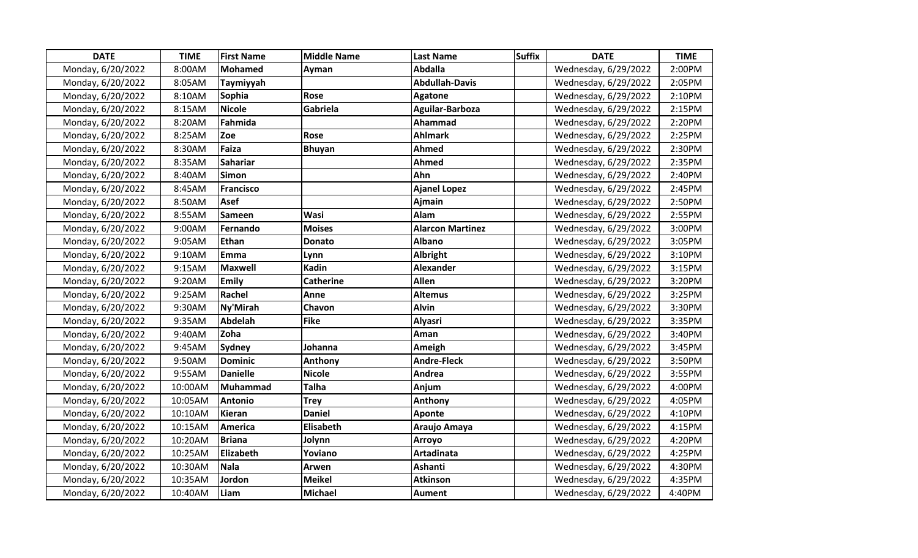| <b>DATE</b>       | <b>TIME</b> | <b>First Name</b> | <b>Middle Name</b> | <b>Last Name</b>        | <b>Suffix</b> | <b>DATE</b>          | <b>TIME</b> |
|-------------------|-------------|-------------------|--------------------|-------------------------|---------------|----------------------|-------------|
| Monday, 6/20/2022 | 8:00AM      | Mohamed           | Ayman              | Abdalla                 |               | Wednesday, 6/29/2022 | 2:00PM      |
| Monday, 6/20/2022 | 8:05AM      | Taymiyyah         |                    | <b>Abdullah-Davis</b>   |               | Wednesday, 6/29/2022 | 2:05PM      |
| Monday, 6/20/2022 | 8:10AM      | Sophia            | Rose               | <b>Agatone</b>          |               | Wednesday, 6/29/2022 | 2:10PM      |
| Monday, 6/20/2022 | 8:15AM      | <b>Nicole</b>     | Gabriela           | Aguilar-Barboza         |               | Wednesday, 6/29/2022 | 2:15PM      |
| Monday, 6/20/2022 | 8:20AM      | Fahmida           |                    | Ahammad                 |               | Wednesday, 6/29/2022 | 2:20PM      |
| Monday, 6/20/2022 | 8:25AM      | Zoe               | Rose               | <b>Ahlmark</b>          |               | Wednesday, 6/29/2022 | 2:25PM      |
| Monday, 6/20/2022 | 8:30AM      | Faiza             | <b>Bhuyan</b>      | <b>Ahmed</b>            |               | Wednesday, 6/29/2022 | 2:30PM      |
| Monday, 6/20/2022 | 8:35AM      | <b>Sahariar</b>   |                    | Ahmed                   |               | Wednesday, 6/29/2022 | 2:35PM      |
| Monday, 6/20/2022 | 8:40AM      | <b>Simon</b>      |                    | Ahn                     |               | Wednesday, 6/29/2022 | 2:40PM      |
| Monday, 6/20/2022 | 8:45AM      | <b>Francisco</b>  |                    | <b>Ajanel Lopez</b>     |               | Wednesday, 6/29/2022 | 2:45PM      |
| Monday, 6/20/2022 | 8:50AM      | <b>Asef</b>       |                    | Ajmain                  |               | Wednesday, 6/29/2022 | 2:50PM      |
| Monday, 6/20/2022 | 8:55AM      | <b>Sameen</b>     | <b>Wasi</b>        | Alam                    |               | Wednesday, 6/29/2022 | 2:55PM      |
| Monday, 6/20/2022 | 9:00AM      | Fernando          | <b>Moises</b>      | <b>Alarcon Martinez</b> |               | Wednesday, 6/29/2022 | 3:00PM      |
| Monday, 6/20/2022 | 9:05AM      | Ethan             | <b>Donato</b>      | <b>Albano</b>           |               | Wednesday, 6/29/2022 | 3:05PM      |
| Monday, 6/20/2022 | 9:10AM      | Emma              | Lynn               | Albright                |               | Wednesday, 6/29/2022 | 3:10PM      |
| Monday, 6/20/2022 | 9:15AM      | <b>Maxwell</b>    | <b>Kadin</b>       | <b>Alexander</b>        |               | Wednesday, 6/29/2022 | 3:15PM      |
| Monday, 6/20/2022 | 9:20AM      | <b>Emily</b>      | <b>Catherine</b>   | <b>Allen</b>            |               | Wednesday, 6/29/2022 | 3:20PM      |
| Monday, 6/20/2022 | 9:25AM      | Rachel            | Anne               | <b>Altemus</b>          |               | Wednesday, 6/29/2022 | 3:25PM      |
| Monday, 6/20/2022 | 9:30AM      | Ny'Mirah          | Chavon             | <b>Alvin</b>            |               | Wednesday, 6/29/2022 | 3:30PM      |
| Monday, 6/20/2022 | 9:35AM      | <b>Abdelah</b>    | Fike               | <b>Alyasri</b>          |               | Wednesday, 6/29/2022 | 3:35PM      |
| Monday, 6/20/2022 | 9:40AM      | Zoha              |                    | Aman                    |               | Wednesday, 6/29/2022 | 3:40PM      |
| Monday, 6/20/2022 | 9:45AM      | <b>Sydney</b>     | Johanna            | Ameigh                  |               | Wednesday, 6/29/2022 | 3:45PM      |
| Monday, 6/20/2022 | 9:50AM      | <b>Dominic</b>    | <b>Anthony</b>     | <b>Andre-Fleck</b>      |               | Wednesday, 6/29/2022 | 3:50PM      |
| Monday, 6/20/2022 | 9:55AM      | <b>Danielle</b>   | <b>Nicole</b>      | Andrea                  |               | Wednesday, 6/29/2022 | 3:55PM      |
| Monday, 6/20/2022 | 10:00AM     | Muhammad          | <b>Talha</b>       | Anjum                   |               | Wednesday, 6/29/2022 | 4:00PM      |
| Monday, 6/20/2022 | 10:05AM     | <b>Antonio</b>    | <b>Trey</b>        | Anthony                 |               | Wednesday, 6/29/2022 | 4:05PM      |
| Monday, 6/20/2022 | 10:10AM     | <b>Kieran</b>     | <b>Daniel</b>      | Aponte                  |               | Wednesday, 6/29/2022 | 4:10PM      |
| Monday, 6/20/2022 | 10:15AM     | <b>America</b>    | <b>Elisabeth</b>   | Araujo Amaya            |               | Wednesday, 6/29/2022 | 4:15PM      |
| Monday, 6/20/2022 | 10:20AM     | <b>Briana</b>     | Jolynn             | <b>Arroyo</b>           |               | Wednesday, 6/29/2022 | 4:20PM      |
| Monday, 6/20/2022 | 10:25AM     | Elizabeth         | Yoviano            | Artadinata              |               | Wednesday, 6/29/2022 | 4:25PM      |
| Monday, 6/20/2022 | 10:30AM     | Nala              | Arwen              | Ashanti                 |               | Wednesday, 6/29/2022 | 4:30PM      |
| Monday, 6/20/2022 | 10:35AM     | Jordon            | <b>Meikel</b>      | <b>Atkinson</b>         |               | Wednesday, 6/29/2022 | 4:35PM      |
| Monday, 6/20/2022 | 10:40AM     | Liam              | <b>Michael</b>     | <b>Aument</b>           |               | Wednesday, 6/29/2022 | 4:40PM      |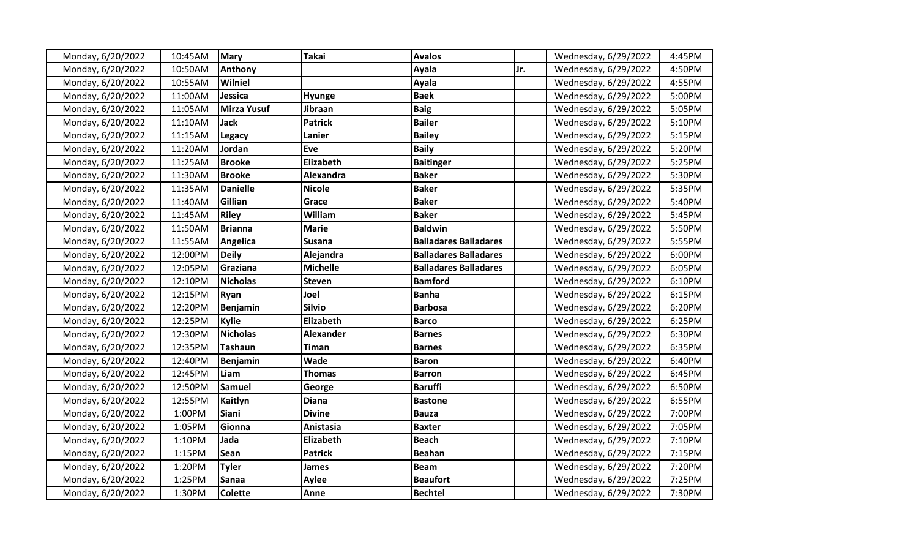| Monday, 6/20/2022 | 10:45AM | <b>Mary</b>        | <b>Takai</b>     | <b>Avalos</b>                |     | Wednesday, 6/29/2022 | 4:45PM |
|-------------------|---------|--------------------|------------------|------------------------------|-----|----------------------|--------|
| Monday, 6/20/2022 | 10:50AM | Anthony            |                  | Ayala                        | Jr. | Wednesday, 6/29/2022 | 4:50PM |
| Monday, 6/20/2022 | 10:55AM | Wilniel            |                  | Ayala                        |     | Wednesday, 6/29/2022 | 4:55PM |
| Monday, 6/20/2022 | 11:00AM | Jessica            | Hyunge           | <b>Baek</b>                  |     | Wednesday, 6/29/2022 | 5:00PM |
| Monday, 6/20/2022 | 11:05AM | <b>Mirza Yusuf</b> | Jibraan          | <b>Baig</b>                  |     | Wednesday, 6/29/2022 | 5:05PM |
| Monday, 6/20/2022 | 11:10AM | Jack               | <b>Patrick</b>   | <b>Bailer</b>                |     | Wednesday, 6/29/2022 | 5:10PM |
| Monday, 6/20/2022 | 11:15AM | <b>Legacy</b>      | Lanier           | <b>Bailey</b>                |     | Wednesday, 6/29/2022 | 5:15PM |
| Monday, 6/20/2022 | 11:20AM | Jordan             | Eve              | <b>Baily</b>                 |     | Wednesday, 6/29/2022 | 5:20PM |
| Monday, 6/20/2022 | 11:25AM | <b>Brooke</b>      | Elizabeth        | <b>Baitinger</b>             |     | Wednesday, 6/29/2022 | 5:25PM |
| Monday, 6/20/2022 | 11:30AM | <b>Brooke</b>      | Alexandra        | <b>Baker</b>                 |     | Wednesday, 6/29/2022 | 5:30PM |
| Monday, 6/20/2022 | 11:35AM | <b>Danielle</b>    | <b>Nicole</b>    | <b>Baker</b>                 |     | Wednesday, 6/29/2022 | 5:35PM |
| Monday, 6/20/2022 | 11:40AM | Gillian            | Grace            | <b>Baker</b>                 |     | Wednesday, 6/29/2022 | 5:40PM |
| Monday, 6/20/2022 | 11:45AM | <b>Riley</b>       | William          | <b>Baker</b>                 |     | Wednesday, 6/29/2022 | 5:45PM |
| Monday, 6/20/2022 | 11:50AM | <b>Brianna</b>     | <b>Marie</b>     | <b>Baldwin</b>               |     | Wednesday, 6/29/2022 | 5:50PM |
| Monday, 6/20/2022 | 11:55AM | Angelica           | <b>Susana</b>    | <b>Balladares Balladares</b> |     | Wednesday, 6/29/2022 | 5:55PM |
| Monday, 6/20/2022 | 12:00PM | <b>Deily</b>       | Alejandra        | <b>Balladares Balladares</b> |     | Wednesday, 6/29/2022 | 6:00PM |
| Monday, 6/20/2022 | 12:05PM | Graziana           | <b>Michelle</b>  | <b>Balladares Balladares</b> |     | Wednesday, 6/29/2022 | 6:05PM |
| Monday, 6/20/2022 | 12:10PM | <b>Nicholas</b>    | <b>Steven</b>    | <b>Bamford</b>               |     | Wednesday, 6/29/2022 | 6:10PM |
| Monday, 6/20/2022 | 12:15PM | <b>Ryan</b>        | Joel             | <b>Banha</b>                 |     | Wednesday, 6/29/2022 | 6:15PM |
| Monday, 6/20/2022 | 12:20PM | Benjamin           | <b>Silvio</b>    | <b>Barbosa</b>               |     | Wednesday, 6/29/2022 | 6:20PM |
| Monday, 6/20/2022 | 12:25PM | Kylie              | Elizabeth        | <b>Barco</b>                 |     | Wednesday, 6/29/2022 | 6:25PM |
| Monday, 6/20/2022 | 12:30PM | <b>Nicholas</b>    | <b>Alexander</b> | <b>Barnes</b>                |     | Wednesday, 6/29/2022 | 6:30PM |
| Monday, 6/20/2022 | 12:35PM | <b>Tashaun</b>     | <b>Timan</b>     | <b>Barnes</b>                |     | Wednesday, 6/29/2022 | 6:35PM |
| Monday, 6/20/2022 | 12:40PM | <b>Benjamin</b>    | Wade             | <b>Baron</b>                 |     | Wednesday, 6/29/2022 | 6:40PM |
| Monday, 6/20/2022 | 12:45PM | Liam               | <b>Thomas</b>    | <b>Barron</b>                |     | Wednesday, 6/29/2022 | 6:45PM |
| Monday, 6/20/2022 | 12:50PM | <b>Samuel</b>      | George           | <b>Baruffi</b>               |     | Wednesday, 6/29/2022 | 6:50PM |
| Monday, 6/20/2022 | 12:55PM | Kaitlyn            | <b>Diana</b>     | <b>Bastone</b>               |     | Wednesday, 6/29/2022 | 6:55PM |
| Monday, 6/20/2022 | 1:00PM  | Siani              | <b>Divine</b>    | <b>Bauza</b>                 |     | Wednesday, 6/29/2022 | 7:00PM |
| Monday, 6/20/2022 | 1:05PM  | Gionna             | Anistasia        | <b>Baxter</b>                |     | Wednesday, 6/29/2022 | 7:05PM |
| Monday, 6/20/2022 | 1:10PM  | Jada               | Elizabeth        | <b>Beach</b>                 |     | Wednesday, 6/29/2022 | 7:10PM |
| Monday, 6/20/2022 | 1:15PM  | Sean               | <b>Patrick</b>   | <b>Beahan</b>                |     | Wednesday, 6/29/2022 | 7:15PM |
| Monday, 6/20/2022 | 1:20PM  | <b>Tyler</b>       | James            | <b>Beam</b>                  |     | Wednesday, 6/29/2022 | 7:20PM |
| Monday, 6/20/2022 | 1:25PM  | <b>Sanaa</b>       | <b>Aylee</b>     | <b>Beaufort</b>              |     | Wednesday, 6/29/2022 | 7:25PM |
| Monday, 6/20/2022 | 1:30PM  | <b>Colette</b>     | Anne             | <b>Bechtel</b>               |     | Wednesday, 6/29/2022 | 7:30PM |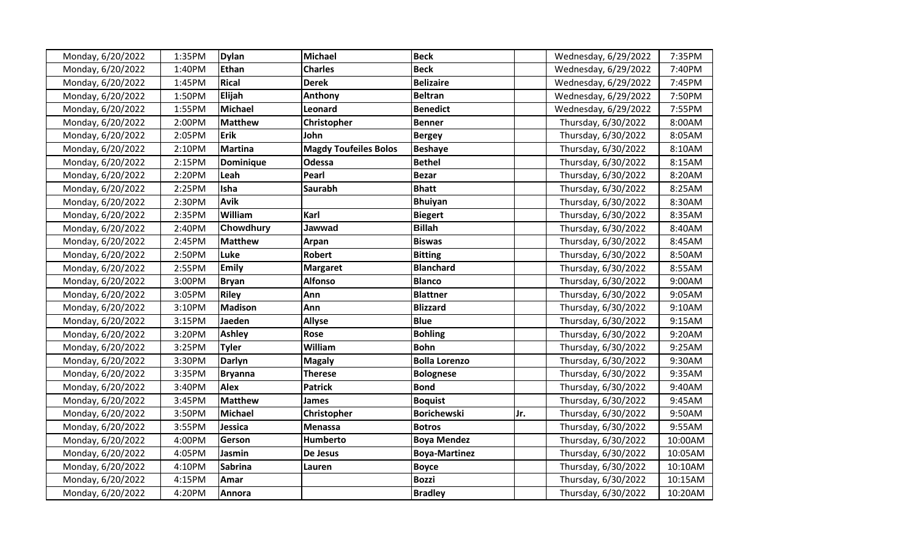| Monday, 6/20/2022 | 1:35PM | <b>Dylan</b>     | <b>Michael</b>               | <b>Beck</b>          |     | Wednesday, 6/29/2022 | 7:35PM  |
|-------------------|--------|------------------|------------------------------|----------------------|-----|----------------------|---------|
| Monday, 6/20/2022 | 1:40PM | <b>Ethan</b>     | <b>Charles</b>               | <b>Beck</b>          |     | Wednesday, 6/29/2022 | 7:40PM  |
| Monday, 6/20/2022 | 1:45PM | <b>Rical</b>     | <b>Derek</b>                 | <b>Belizaire</b>     |     | Wednesday, 6/29/2022 | 7:45PM  |
| Monday, 6/20/2022 | 1:50PM | Elijah           | Anthony                      | <b>Beltran</b>       |     | Wednesday, 6/29/2022 | 7:50PM  |
| Monday, 6/20/2022 | 1:55PM | Michael          | Leonard                      | <b>Benedict</b>      |     | Wednesday, 6/29/2022 | 7:55PM  |
| Monday, 6/20/2022 | 2:00PM | <b>Matthew</b>   | Christopher                  | <b>Benner</b>        |     | Thursday, 6/30/2022  | 8:00AM  |
| Monday, 6/20/2022 | 2:05PM | <b>Erik</b>      | John                         | <b>Bergey</b>        |     | Thursday, 6/30/2022  | 8:05AM  |
| Monday, 6/20/2022 | 2:10PM | <b>Martina</b>   | <b>Magdy Toufeiles Bolos</b> | <b>Beshaye</b>       |     | Thursday, 6/30/2022  | 8:10AM  |
| Monday, 6/20/2022 | 2:15PM | <b>Dominique</b> | Odessa                       | <b>Bethel</b>        |     | Thursday, 6/30/2022  | 8:15AM  |
| Monday, 6/20/2022 | 2:20PM | Leah             | Pearl                        | <b>Bezar</b>         |     | Thursday, 6/30/2022  | 8:20AM  |
| Monday, 6/20/2022 | 2:25PM | Isha             | <b>Saurabh</b>               | <b>Bhatt</b>         |     | Thursday, 6/30/2022  | 8:25AM  |
| Monday, 6/20/2022 | 2:30PM | <b>Avik</b>      |                              | <b>Bhuiyan</b>       |     | Thursday, 6/30/2022  | 8:30AM  |
| Monday, 6/20/2022 | 2:35PM | William          | Karl                         | <b>Biegert</b>       |     | Thursday, 6/30/2022  | 8:35AM  |
| Monday, 6/20/2022 | 2:40PM | <b>Chowdhury</b> | Jawwad                       | <b>Billah</b>        |     | Thursday, 6/30/2022  | 8:40AM  |
| Monday, 6/20/2022 | 2:45PM | <b>Matthew</b>   | Arpan                        | <b>Biswas</b>        |     | Thursday, 6/30/2022  | 8:45AM  |
| Monday, 6/20/2022 | 2:50PM | Luke             | <b>Robert</b>                | <b>Bitting</b>       |     | Thursday, 6/30/2022  | 8:50AM  |
| Monday, 6/20/2022 | 2:55PM | <b>Emily</b>     | <b>Margaret</b>              | <b>Blanchard</b>     |     | Thursday, 6/30/2022  | 8:55AM  |
| Monday, 6/20/2022 | 3:00PM | <b>Bryan</b>     | <b>Alfonso</b>               | <b>Blanco</b>        |     | Thursday, 6/30/2022  | 9:00AM  |
| Monday, 6/20/2022 | 3:05PM | <b>Riley</b>     | Ann                          | <b>Blattner</b>      |     | Thursday, 6/30/2022  | 9:05AM  |
| Monday, 6/20/2022 | 3:10PM | <b>Madison</b>   | Ann                          | <b>Blizzard</b>      |     | Thursday, 6/30/2022  | 9:10AM  |
| Monday, 6/20/2022 | 3:15PM | Jaeden           | <b>Allyse</b>                | <b>Blue</b>          |     | Thursday, 6/30/2022  | 9:15AM  |
| Monday, 6/20/2022 | 3:20PM | <b>Ashley</b>    | Rose                         | <b>Bohling</b>       |     | Thursday, 6/30/2022  | 9:20AM  |
| Monday, 6/20/2022 | 3:25PM | <b>Tyler</b>     | William                      | <b>Bohn</b>          |     | Thursday, 6/30/2022  | 9:25AM  |
| Monday, 6/20/2022 | 3:30PM | <b>Darlyn</b>    | <b>Magaly</b>                | <b>Bolla Lorenzo</b> |     | Thursday, 6/30/2022  | 9:30AM  |
| Monday, 6/20/2022 | 3:35PM | <b>Bryanna</b>   | <b>Therese</b>               | <b>Bolognese</b>     |     | Thursday, 6/30/2022  | 9:35AM  |
| Monday, 6/20/2022 | 3:40PM | <b>Alex</b>      | <b>Patrick</b>               | <b>Bond</b>          |     | Thursday, 6/30/2022  | 9:40AM  |
| Monday, 6/20/2022 | 3:45PM | <b>Matthew</b>   | James                        | <b>Boquist</b>       |     | Thursday, 6/30/2022  | 9:45AM  |
| Monday, 6/20/2022 | 3:50PM | <b>Michael</b>   | Christopher                  | <b>Borichewski</b>   | Jr. | Thursday, 6/30/2022  | 9:50AM  |
| Monday, 6/20/2022 | 3:55PM | Jessica          | <b>Menassa</b>               | <b>Botros</b>        |     | Thursday, 6/30/2022  | 9:55AM  |
| Monday, 6/20/2022 | 4:00PM | Gerson           | Humberto                     | <b>Boya Mendez</b>   |     | Thursday, 6/30/2022  | 10:00AM |
| Monday, 6/20/2022 | 4:05PM | Jasmin           | De Jesus                     | <b>Boya-Martinez</b> |     | Thursday, 6/30/2022  | 10:05AM |
| Monday, 6/20/2022 | 4:10PM | <b>Sabrina</b>   | Lauren                       | <b>Boyce</b>         |     | Thursday, 6/30/2022  | 10:10AM |
| Monday, 6/20/2022 | 4:15PM | Amar             |                              | <b>Bozzi</b>         |     | Thursday, 6/30/2022  | 10:15AM |
| Monday, 6/20/2022 | 4:20PM | Annora           |                              | <b>Bradley</b>       |     | Thursday, 6/30/2022  | 10:20AM |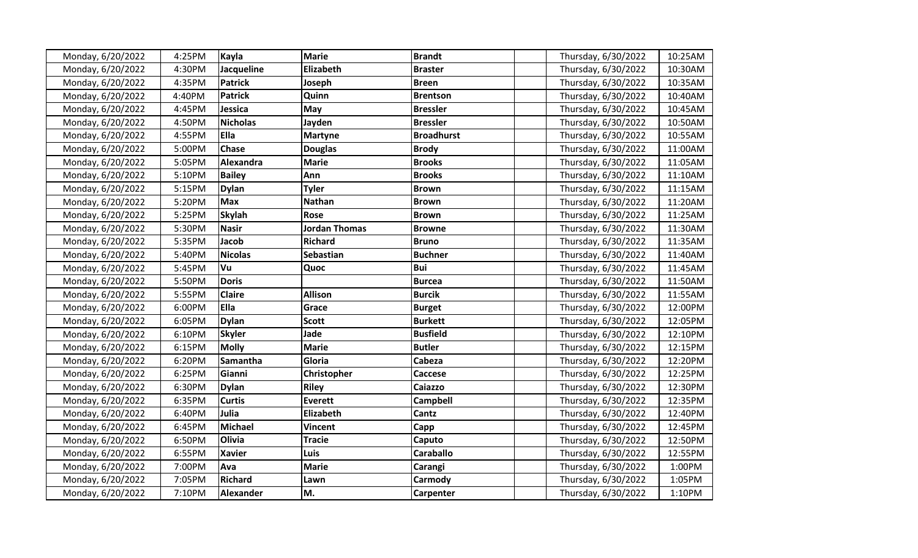| Monday, 6/20/2022 | 4:25PM | Kayla            | <b>Marie</b>         | <b>Brandt</b>     | Thursday, 6/30/2022 | 10:25AM |
|-------------------|--------|------------------|----------------------|-------------------|---------------------|---------|
| Monday, 6/20/2022 | 4:30PM | Jacqueline       | Elizabeth            | <b>Braster</b>    | Thursday, 6/30/2022 | 10:30AM |
| Monday, 6/20/2022 | 4:35PM | <b>Patrick</b>   | Joseph               | <b>Breen</b>      | Thursday, 6/30/2022 | 10:35AM |
| Monday, 6/20/2022 | 4:40PM | <b>Patrick</b>   | Quinn                | <b>Brentson</b>   | Thursday, 6/30/2022 | 10:40AM |
| Monday, 6/20/2022 | 4:45PM | Jessica          | <b>May</b>           | <b>Bressler</b>   | Thursday, 6/30/2022 | 10:45AM |
| Monday, 6/20/2022 | 4:50PM | <b>Nicholas</b>  | Jayden               | <b>Bressler</b>   | Thursday, 6/30/2022 | 10:50AM |
| Monday, 6/20/2022 | 4:55PM | <b>Ella</b>      | <b>Martyne</b>       | <b>Broadhurst</b> | Thursday, 6/30/2022 | 10:55AM |
| Monday, 6/20/2022 | 5:00PM | <b>Chase</b>     | <b>Douglas</b>       | <b>Brody</b>      | Thursday, 6/30/2022 | 11:00AM |
| Monday, 6/20/2022 | 5:05PM | Alexandra        | <b>Marie</b>         | <b>Brooks</b>     | Thursday, 6/30/2022 | 11:05AM |
| Monday, 6/20/2022 | 5:10PM | <b>Bailey</b>    | Ann                  | <b>Brooks</b>     | Thursday, 6/30/2022 | 11:10AM |
| Monday, 6/20/2022 | 5:15PM | <b>Dylan</b>     | <b>Tyler</b>         | <b>Brown</b>      | Thursday, 6/30/2022 | 11:15AM |
| Monday, 6/20/2022 | 5:20PM | <b>Max</b>       | <b>Nathan</b>        | <b>Brown</b>      | Thursday, 6/30/2022 | 11:20AM |
| Monday, 6/20/2022 | 5:25PM | <b>Skylah</b>    | <b>Rose</b>          | <b>Brown</b>      | Thursday, 6/30/2022 | 11:25AM |
| Monday, 6/20/2022 | 5:30PM | <b>Nasir</b>     | <b>Jordan Thomas</b> | <b>Browne</b>     | Thursday, 6/30/2022 | 11:30AM |
| Monday, 6/20/2022 | 5:35PM | Jacob            | <b>Richard</b>       | <b>Bruno</b>      | Thursday, 6/30/2022 | 11:35AM |
| Monday, 6/20/2022 | 5:40PM | <b>Nicolas</b>   | Sebastian            | <b>Buchner</b>    | Thursday, 6/30/2022 | 11:40AM |
| Monday, 6/20/2022 | 5:45PM | Vu               | Quoc                 | <b>Bui</b>        | Thursday, 6/30/2022 | 11:45AM |
| Monday, 6/20/2022 | 5:50PM | <b>Doris</b>     |                      | <b>Burcea</b>     | Thursday, 6/30/2022 | 11:50AM |
| Monday, 6/20/2022 | 5:55PM | <b>Claire</b>    | <b>Allison</b>       | <b>Burcik</b>     | Thursday, 6/30/2022 | 11:55AM |
| Monday, 6/20/2022 | 6:00PM | Ella             | Grace                | <b>Burget</b>     | Thursday, 6/30/2022 | 12:00PM |
| Monday, 6/20/2022 | 6:05PM | <b>Dylan</b>     | <b>Scott</b>         | <b>Burkett</b>    | Thursday, 6/30/2022 | 12:05PM |
| Monday, 6/20/2022 | 6:10PM | <b>Skyler</b>    | Jade                 | <b>Busfield</b>   | Thursday, 6/30/2022 | 12:10PM |
| Monday, 6/20/2022 | 6:15PM | <b>Molly</b>     | <b>Marie</b>         | <b>Butler</b>     | Thursday, 6/30/2022 | 12:15PM |
| Monday, 6/20/2022 | 6:20PM | Samantha         | Gloria               | Cabeza            | Thursday, 6/30/2022 | 12:20PM |
| Monday, 6/20/2022 | 6:25PM | Gianni           | Christopher          | Caccese           | Thursday, 6/30/2022 | 12:25PM |
| Monday, 6/20/2022 | 6:30PM | <b>Dylan</b>     | <b>Riley</b>         | Caiazzo           | Thursday, 6/30/2022 | 12:30PM |
| Monday, 6/20/2022 | 6:35PM | <b>Curtis</b>    | <b>Everett</b>       | <b>Campbell</b>   | Thursday, 6/30/2022 | 12:35PM |
| Monday, 6/20/2022 | 6:40PM | Julia            | Elizabeth            | Cantz             | Thursday, 6/30/2022 | 12:40PM |
| Monday, 6/20/2022 | 6:45PM | <b>Michael</b>   | <b>Vincent</b>       | Capp              | Thursday, 6/30/2022 | 12:45PM |
| Monday, 6/20/2022 | 6:50PM | Olivia           | <b>Tracie</b>        | Caputo            | Thursday, 6/30/2022 | 12:50PM |
| Monday, 6/20/2022 | 6:55PM | <b>Xavier</b>    | <b>Luis</b>          | <b>Caraballo</b>  | Thursday, 6/30/2022 | 12:55PM |
| Monday, 6/20/2022 | 7:00PM | Ava              | <b>Marie</b>         | Carangi           | Thursday, 6/30/2022 | 1:00PM  |
| Monday, 6/20/2022 | 7:05PM | <b>Richard</b>   | Lawn                 | Carmody           | Thursday, 6/30/2022 | 1:05PM  |
| Monday, 6/20/2022 | 7:10PM | <b>Alexander</b> | M.                   | Carpenter         | Thursday, 6/30/2022 | 1:10PM  |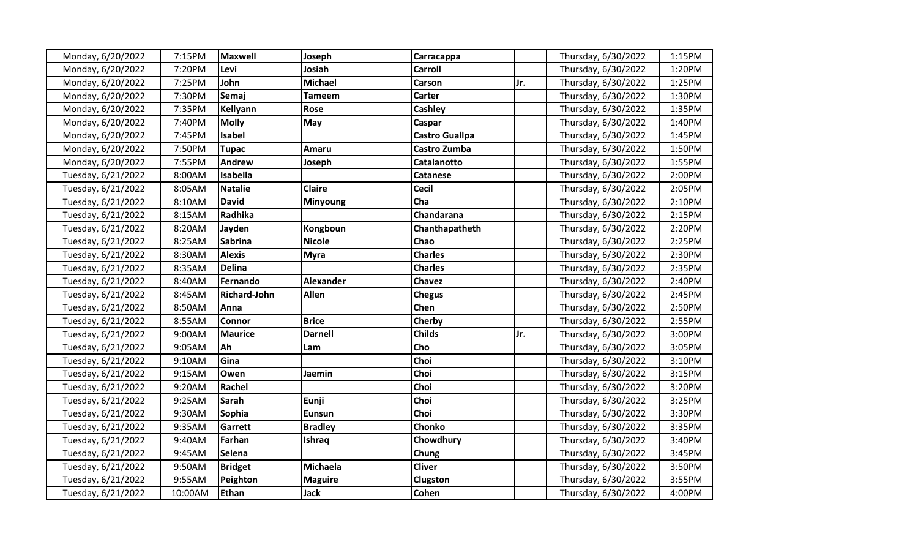| Monday, 6/20/2022  | 7:15PM  | <b>Maxwell</b>      | Joseph           | Carracappa            |     | Thursday, 6/30/2022 | 1:15PM |
|--------------------|---------|---------------------|------------------|-----------------------|-----|---------------------|--------|
| Monday, 6/20/2022  | 7:20PM  | Levi                | Josiah           | <b>Carroll</b>        |     | Thursday, 6/30/2022 | 1:20PM |
| Monday, 6/20/2022  | 7:25PM  | John                | <b>Michael</b>   | Carson                | Jr. | Thursday, 6/30/2022 | 1:25PM |
| Monday, 6/20/2022  | 7:30PM  | Semaj               | <b>Tameem</b>    | Carter                |     | Thursday, 6/30/2022 | 1:30PM |
| Monday, 6/20/2022  | 7:35PM  | Kellyann            | <b>Rose</b>      | Cashley               |     | Thursday, 6/30/2022 | 1:35PM |
| Monday, 6/20/2022  | 7:40PM  | <b>Molly</b>        | May              | Caspar                |     | Thursday, 6/30/2022 | 1:40PM |
| Monday, 6/20/2022  | 7:45PM  | <b>Isabel</b>       |                  | <b>Castro Guallpa</b> |     | Thursday, 6/30/2022 | 1:45PM |
| Monday, 6/20/2022  | 7:50PM  | <b>Tupac</b>        | Amaru            | Castro Zumba          |     | Thursday, 6/30/2022 | 1:50PM |
| Monday, 6/20/2022  | 7:55PM  | <b>Andrew</b>       | Joseph           | Catalanotto           |     | Thursday, 6/30/2022 | 1:55PM |
| Tuesday, 6/21/2022 | 8:00AM  | Isabella            |                  | <b>Catanese</b>       |     | Thursday, 6/30/2022 | 2:00PM |
| Tuesday, 6/21/2022 | 8:05AM  | <b>Natalie</b>      | Claire           | <b>Cecil</b>          |     | Thursday, 6/30/2022 | 2:05PM |
| Tuesday, 6/21/2022 | 8:10AM  | <b>David</b>        | <b>Minyoung</b>  | Cha                   |     | Thursday, 6/30/2022 | 2:10PM |
| Tuesday, 6/21/2022 | 8:15AM  | Radhika             |                  | Chandarana            |     | Thursday, 6/30/2022 | 2:15PM |
| Tuesday, 6/21/2022 | 8:20AM  | Jayden              | Kongboun         | Chanthapatheth        |     | Thursday, 6/30/2022 | 2:20PM |
| Tuesday, 6/21/2022 | 8:25AM  | <b>Sabrina</b>      | <b>Nicole</b>    | Chao                  |     | Thursday, 6/30/2022 | 2:25PM |
| Tuesday, 6/21/2022 | 8:30AM  | <b>Alexis</b>       | <b>Myra</b>      | <b>Charles</b>        |     | Thursday, 6/30/2022 | 2:30PM |
| Tuesday, 6/21/2022 | 8:35AM  | <b>Delina</b>       |                  | <b>Charles</b>        |     | Thursday, 6/30/2022 | 2:35PM |
| Tuesday, 6/21/2022 | 8:40AM  | Fernando            | <b>Alexander</b> | <b>Chavez</b>         |     | Thursday, 6/30/2022 | 2:40PM |
| Tuesday, 6/21/2022 | 8:45AM  | <b>Richard-John</b> | Allen            | <b>Chegus</b>         |     | Thursday, 6/30/2022 | 2:45PM |
| Tuesday, 6/21/2022 | 8:50AM  | Anna                |                  | Chen                  |     | Thursday, 6/30/2022 | 2:50PM |
| Tuesday, 6/21/2022 | 8:55AM  | <b>Connor</b>       | <b>Brice</b>     | Cherby                |     | Thursday, 6/30/2022 | 2:55PM |
| Tuesday, 6/21/2022 | 9:00AM  | <b>Maurice</b>      | <b>Darnell</b>   | <b>Childs</b>         | Jr. | Thursday, 6/30/2022 | 3:00PM |
| Tuesday, 6/21/2022 | 9:05AM  | Ah                  | Lam              | Cho                   |     | Thursday, 6/30/2022 | 3:05PM |
| Tuesday, 6/21/2022 | 9:10AM  | Gina                |                  | Choi                  |     | Thursday, 6/30/2022 | 3:10PM |
| Tuesday, 6/21/2022 | 9:15AM  | Owen                | Jaemin           | Choi                  |     | Thursday, 6/30/2022 | 3:15PM |
| Tuesday, 6/21/2022 | 9:20AM  | Rachel              |                  | Choi                  |     | Thursday, 6/30/2022 | 3:20PM |
| Tuesday, 6/21/2022 | 9:25AM  | <b>Sarah</b>        | Eunji            | Choi                  |     | Thursday, 6/30/2022 | 3:25PM |
| Tuesday, 6/21/2022 | 9:30AM  | Sophia              | <b>Eunsun</b>    | Choi                  |     | Thursday, 6/30/2022 | 3:30PM |
| Tuesday, 6/21/2022 | 9:35AM  | Garrett             | <b>Bradley</b>   | Chonko                |     | Thursday, 6/30/2022 | 3:35PM |
| Tuesday, 6/21/2022 | 9:40AM  | Farhan              | Ishraq           | Chowdhury             |     | Thursday, 6/30/2022 | 3:40PM |
| Tuesday, 6/21/2022 | 9:45AM  | Selena              |                  | Chung                 |     | Thursday, 6/30/2022 | 3:45PM |
| Tuesday, 6/21/2022 | 9:50AM  | <b>Bridget</b>      | Michaela         | <b>Cliver</b>         |     | Thursday, 6/30/2022 | 3:50PM |
| Tuesday, 6/21/2022 | 9:55AM  | Peighton            | <b>Maguire</b>   | Clugston              |     | Thursday, 6/30/2022 | 3:55PM |
| Tuesday, 6/21/2022 | 10:00AM | Ethan               | <b>Jack</b>      | Cohen                 |     | Thursday, 6/30/2022 | 4:00PM |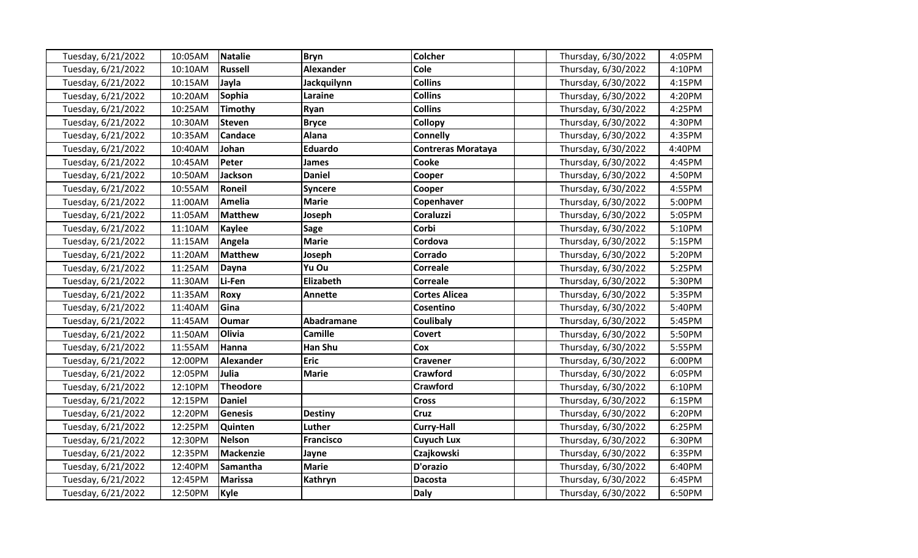| Tuesday, 6/21/2022 | 10:05AM | Natalie          | <b>Bryn</b>        | <b>Colcher</b>            | Thursday, 6/30/2022 | 4:05PM |
|--------------------|---------|------------------|--------------------|---------------------------|---------------------|--------|
| Tuesday, 6/21/2022 | 10:10AM | <b>Russell</b>   | <b>Alexander</b>   | Cole                      | Thursday, 6/30/2022 | 4:10PM |
| Tuesday, 6/21/2022 | 10:15AM | Jayla            | <b>Jackquilynn</b> | <b>Collins</b>            | Thursday, 6/30/2022 | 4:15PM |
| Tuesday, 6/21/2022 | 10:20AM | <b>Sophia</b>    | Laraine            | <b>Collins</b>            | Thursday, 6/30/2022 | 4:20PM |
| Tuesday, 6/21/2022 | 10:25AM | <b>Timothy</b>   | Ryan               | <b>Collins</b>            | Thursday, 6/30/2022 | 4:25PM |
| Tuesday, 6/21/2022 | 10:30AM | <b>Steven</b>    | <b>Bryce</b>       | <b>Collopy</b>            | Thursday, 6/30/2022 | 4:30PM |
| Tuesday, 6/21/2022 | 10:35AM | <b>Candace</b>   | Alana              | <b>Connelly</b>           | Thursday, 6/30/2022 | 4:35PM |
| Tuesday, 6/21/2022 | 10:40AM | Johan            | <b>Eduardo</b>     | <b>Contreras Morataya</b> | Thursday, 6/30/2022 | 4:40PM |
| Tuesday, 6/21/2022 | 10:45AM | Peter            | <b>James</b>       | Cooke                     | Thursday, 6/30/2022 | 4:45PM |
| Tuesday, 6/21/2022 | 10:50AM | Jackson          | <b>Daniel</b>      | Cooper                    | Thursday, 6/30/2022 | 4:50PM |
| Tuesday, 6/21/2022 | 10:55AM | Roneil           | <b>Syncere</b>     | Cooper                    | Thursday, 6/30/2022 | 4:55PM |
| Tuesday, 6/21/2022 | 11:00AM | <b>Amelia</b>    | <b>Marie</b>       | Copenhaver                | Thursday, 6/30/2022 | 5:00PM |
| Tuesday, 6/21/2022 | 11:05AM | <b>Matthew</b>   | Joseph             | <b>Coraluzzi</b>          | Thursday, 6/30/2022 | 5:05PM |
| Tuesday, 6/21/2022 | 11:10AM | <b>Kaylee</b>    | <b>Sage</b>        | Corbi                     | Thursday, 6/30/2022 | 5:10PM |
| Tuesday, 6/21/2022 | 11:15AM | Angela           | <b>Marie</b>       | Cordova                   | Thursday, 6/30/2022 | 5:15PM |
| Tuesday, 6/21/2022 | 11:20AM | <b>Matthew</b>   | Joseph             | Corrado                   | Thursday, 6/30/2022 | 5:20PM |
| Tuesday, 6/21/2022 | 11:25AM | <b>Dayna</b>     | Yu Ou              | <b>Correale</b>           | Thursday, 6/30/2022 | 5:25PM |
| Tuesday, 6/21/2022 | 11:30AM | Li-Fen           | Elizabeth          | <b>Correale</b>           | Thursday, 6/30/2022 | 5:30PM |
| Tuesday, 6/21/2022 | 11:35AM | <b>Roxy</b>      | <b>Annette</b>     | <b>Cortes Alicea</b>      | Thursday, 6/30/2022 | 5:35PM |
| Tuesday, 6/21/2022 | 11:40AM | Gina             |                    | Cosentino                 | Thursday, 6/30/2022 | 5:40PM |
| Tuesday, 6/21/2022 | 11:45AM | <b>Oumar</b>     | Abadramane         | Coulibaly                 | Thursday, 6/30/2022 | 5:45PM |
| Tuesday, 6/21/2022 | 11:50AM | Olivia           | Camille            | Covert                    | Thursday, 6/30/2022 | 5:50PM |
| Tuesday, 6/21/2022 | 11:55AM | Hanna            | Han Shu            | Cox                       | Thursday, 6/30/2022 | 5:55PM |
| Tuesday, 6/21/2022 | 12:00PM | <b>Alexander</b> | <b>Eric</b>        | <b>Cravener</b>           | Thursday, 6/30/2022 | 6:00PM |
| Tuesday, 6/21/2022 | 12:05PM | Julia            | <b>Marie</b>       | <b>Crawford</b>           | Thursday, 6/30/2022 | 6:05PM |
| Tuesday, 6/21/2022 | 12:10PM | <b>Theodore</b>  |                    | <b>Crawford</b>           | Thursday, 6/30/2022 | 6:10PM |
| Tuesday, 6/21/2022 | 12:15PM | <b>Daniel</b>    |                    | <b>Cross</b>              | Thursday, 6/30/2022 | 6:15PM |
| Tuesday, 6/21/2022 | 12:20PM | <b>Genesis</b>   | <b>Destiny</b>     | <b>Cruz</b>               | Thursday, 6/30/2022 | 6:20PM |
| Tuesday, 6/21/2022 | 12:25PM | Quinten          | Luther             | Curry-Hall                | Thursday, 6/30/2022 | 6:25PM |
| Tuesday, 6/21/2022 | 12:30PM | <b>Nelson</b>    | <b>Francisco</b>   | <b>Cuyuch Lux</b>         | Thursday, 6/30/2022 | 6:30PM |
| Tuesday, 6/21/2022 | 12:35PM | Mackenzie        | Jayne              | Czajkowski                | Thursday, 6/30/2022 | 6:35PM |
| Tuesday, 6/21/2022 | 12:40PM | <b>Samantha</b>  | <b>Marie</b>       | D'orazio                  | Thursday, 6/30/2022 | 6:40PM |
| Tuesday, 6/21/2022 | 12:45PM | <b>Marissa</b>   | Kathryn            | <b>Dacosta</b>            | Thursday, 6/30/2022 | 6:45PM |
| Tuesday, 6/21/2022 | 12:50PM | Kyle             |                    | <b>Daly</b>               | Thursday, 6/30/2022 | 6:50PM |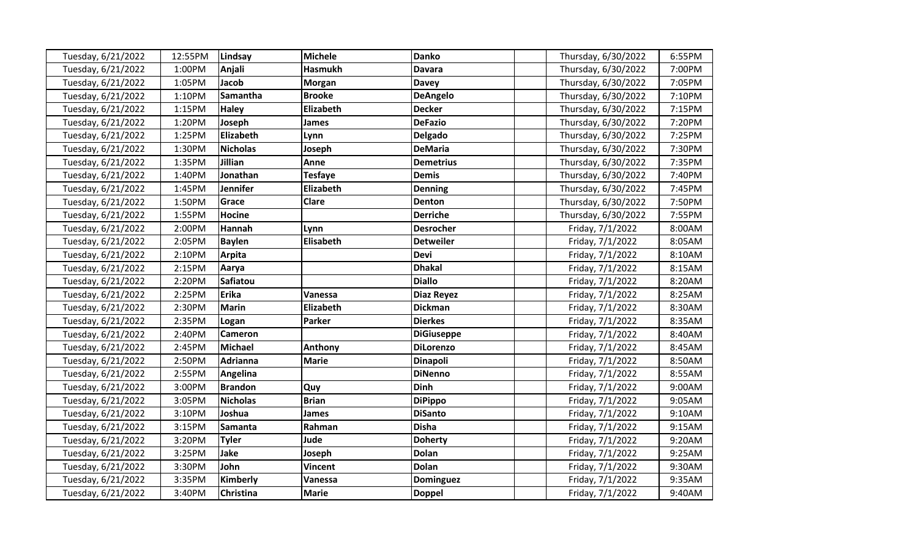| Tuesday, 6/21/2022 | 12:55PM | Lindsay          | <b>Michele</b>   | <b>Danko</b>      | Thursday, 6/30/2022 | 6:55PM |
|--------------------|---------|------------------|------------------|-------------------|---------------------|--------|
| Tuesday, 6/21/2022 | 1:00PM  | Anjali           | <b>Hasmukh</b>   | <b>Davara</b>     | Thursday, 6/30/2022 | 7:00PM |
| Tuesday, 6/21/2022 | 1:05PM  | Jacob            | <b>Morgan</b>    | <b>Davey</b>      | Thursday, 6/30/2022 | 7:05PM |
| Tuesday, 6/21/2022 | 1:10PM  | Samantha         | <b>Brooke</b>    | <b>DeAngelo</b>   | Thursday, 6/30/2022 | 7:10PM |
| Tuesday, 6/21/2022 | 1:15PM  | <b>Haley</b>     | Elizabeth        | <b>Decker</b>     | Thursday, 6/30/2022 | 7:15PM |
| Tuesday, 6/21/2022 | 1:20PM  | Joseph           | James            | <b>DeFazio</b>    | Thursday, 6/30/2022 | 7:20PM |
| Tuesday, 6/21/2022 | 1:25PM  | <b>Elizabeth</b> | Lynn             | <b>Delgado</b>    | Thursday, 6/30/2022 | 7:25PM |
| Tuesday, 6/21/2022 | 1:30PM  | <b>Nicholas</b>  | Joseph           | <b>DeMaria</b>    | Thursday, 6/30/2022 | 7:30PM |
| Tuesday, 6/21/2022 | 1:35PM  | Jillian          | Anne             | <b>Demetrius</b>  | Thursday, 6/30/2022 | 7:35PM |
| Tuesday, 6/21/2022 | 1:40PM  | Jonathan         | <b>Tesfaye</b>   | <b>Demis</b>      | Thursday, 6/30/2022 | 7:40PM |
| Tuesday, 6/21/2022 | 1:45PM  | <b>Jennifer</b>  | <b>Elizabeth</b> | <b>Denning</b>    | Thursday, 6/30/2022 | 7:45PM |
| Tuesday, 6/21/2022 | 1:50PM  | Grace            | Clare            | Denton            | Thursday, 6/30/2022 | 7:50PM |
| Tuesday, 6/21/2022 | 1:55PM  | <b>Hocine</b>    |                  | <b>Derriche</b>   | Thursday, 6/30/2022 | 7:55PM |
| Tuesday, 6/21/2022 | 2:00PM  | Hannah           | Lynn             | <b>Desrocher</b>  | Friday, 7/1/2022    | 8:00AM |
| Tuesday, 6/21/2022 | 2:05PM  | <b>Baylen</b>    | Elisabeth        | <b>Detweiler</b>  | Friday, 7/1/2022    | 8:05AM |
| Tuesday, 6/21/2022 | 2:10PM  | Arpita           |                  | <b>Devi</b>       | Friday, 7/1/2022    | 8:10AM |
| Tuesday, 6/21/2022 | 2:15PM  | Aarya            |                  | <b>Dhakal</b>     | Friday, 7/1/2022    | 8:15AM |
| Tuesday, 6/21/2022 | 2:20PM  | <b>Safiatou</b>  |                  | <b>Diallo</b>     | Friday, 7/1/2022    | 8:20AM |
| Tuesday, 6/21/2022 | 2:25PM  | <b>Erika</b>     | Vanessa          | <b>Diaz Reyez</b> | Friday, 7/1/2022    | 8:25AM |
| Tuesday, 6/21/2022 | 2:30PM  | <b>Marin</b>     | <b>Elizabeth</b> | <b>Dickman</b>    | Friday, 7/1/2022    | 8:30AM |
| Tuesday, 6/21/2022 | 2:35PM  | Logan            | <b>Parker</b>    | <b>Dierkes</b>    | Friday, 7/1/2022    | 8:35AM |
| Tuesday, 6/21/2022 | 2:40PM  | <b>Cameron</b>   |                  | <b>DiGiuseppe</b> | Friday, 7/1/2022    | 8:40AM |
| Tuesday, 6/21/2022 | 2:45PM  | <b>Michael</b>   | Anthony          | <b>DiLorenzo</b>  | Friday, 7/1/2022    | 8:45AM |
| Tuesday, 6/21/2022 | 2:50PM  | <b>Adrianna</b>  | <b>Marie</b>     | Dinapoli          | Friday, 7/1/2022    | 8:50AM |
| Tuesday, 6/21/2022 | 2:55PM  | Angelina         |                  | <b>DiNenno</b>    | Friday, 7/1/2022    | 8:55AM |
| Tuesday, 6/21/2022 | 3:00PM  | <b>Brandon</b>   | Quy              | <b>Dinh</b>       | Friday, 7/1/2022    | 9:00AM |
| Tuesday, 6/21/2022 | 3:05PM  | <b>Nicholas</b>  | <b>Brian</b>     | <b>DiPippo</b>    | Friday, 7/1/2022    | 9:05AM |
| Tuesday, 6/21/2022 | 3:10PM  | Joshua           | James            | <b>DiSanto</b>    | Friday, 7/1/2022    | 9:10AM |
| Tuesday, 6/21/2022 | 3:15PM  | <b>Samanta</b>   | Rahman           | <b>Disha</b>      | Friday, 7/1/2022    | 9:15AM |
| Tuesday, 6/21/2022 | 3:20PM  | <b>Tyler</b>     | Jude             | <b>Doherty</b>    | Friday, 7/1/2022    | 9:20AM |
| Tuesday, 6/21/2022 | 3:25PM  | Jake             | Joseph           | <b>Dolan</b>      | Friday, 7/1/2022    | 9:25AM |
| Tuesday, 6/21/2022 | 3:30PM  | John             | <b>Vincent</b>   | <b>Dolan</b>      | Friday, 7/1/2022    | 9:30AM |
| Tuesday, 6/21/2022 | 3:35PM  | Kimberly         | Vanessa          | Dominguez         | Friday, 7/1/2022    | 9:35AM |
| Tuesday, 6/21/2022 | 3:40PM  | <b>Christina</b> | <b>Marie</b>     | <b>Doppel</b>     | Friday, 7/1/2022    | 9:40AM |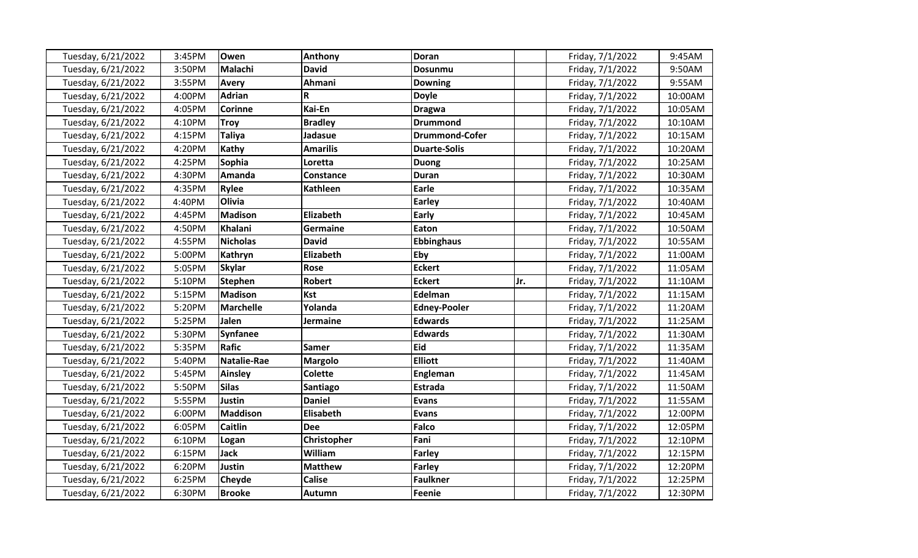| Tuesday, 6/21/2022 | 3:45PM | Owen               | Anthony         | <b>Doran</b>          |     | Friday, 7/1/2022 | 9:45AM  |
|--------------------|--------|--------------------|-----------------|-----------------------|-----|------------------|---------|
| Tuesday, 6/21/2022 | 3:50PM | Malachi            | <b>David</b>    | <b>Dosunmu</b>        |     | Friday, 7/1/2022 | 9:50AM  |
| Tuesday, 6/21/2022 | 3:55PM | <b>Avery</b>       | Ahmani          | <b>Downing</b>        |     | Friday, 7/1/2022 | 9:55AM  |
| Tuesday, 6/21/2022 | 4:00PM | <b>Adrian</b>      | R               | <b>Doyle</b>          |     | Friday, 7/1/2022 | 10:00AM |
| Tuesday, 6/21/2022 | 4:05PM | <b>Corinne</b>     | Kai-En          | <b>Dragwa</b>         |     | Friday, 7/1/2022 | 10:05AM |
| Tuesday, 6/21/2022 | 4:10PM | <b>Troy</b>        | <b>Bradley</b>  | <b>Drummond</b>       |     | Friday, 7/1/2022 | 10:10AM |
| Tuesday, 6/21/2022 | 4:15PM | <b>Taliya</b>      | Jadasue         | <b>Drummond-Cofer</b> |     | Friday, 7/1/2022 | 10:15AM |
| Tuesday, 6/21/2022 | 4:20PM | Kathy              | <b>Amarilis</b> | <b>Duarte-Solis</b>   |     | Friday, 7/1/2022 | 10:20AM |
| Tuesday, 6/21/2022 | 4:25PM | <b>Sophia</b>      | Loretta         | <b>Duong</b>          |     | Friday, 7/1/2022 | 10:25AM |
| Tuesday, 6/21/2022 | 4:30PM | Amanda             | Constance       | <b>Duran</b>          |     | Friday, 7/1/2022 | 10:30AM |
| Tuesday, 6/21/2022 | 4:35PM | <b>Rylee</b>       | <b>Kathleen</b> | Earle                 |     | Friday, 7/1/2022 | 10:35AM |
| Tuesday, 6/21/2022 | 4:40PM | Olivia             |                 | Earley                |     | Friday, 7/1/2022 | 10:40AM |
| Tuesday, 6/21/2022 | 4:45PM | <b>Madison</b>     | Elizabeth       | Early                 |     | Friday, 7/1/2022 | 10:45AM |
| Tuesday, 6/21/2022 | 4:50PM | Khalani            | Germaine        | Eaton                 |     | Friday, 7/1/2022 | 10:50AM |
| Tuesday, 6/21/2022 | 4:55PM | <b>Nicholas</b>    | <b>David</b>    | <b>Ebbinghaus</b>     |     | Friday, 7/1/2022 | 10:55AM |
| Tuesday, 6/21/2022 | 5:00PM | Kathryn            | Elizabeth       | Eby                   |     | Friday, 7/1/2022 | 11:00AM |
| Tuesday, 6/21/2022 | 5:05PM | <b>Skylar</b>      | <b>Rose</b>     | <b>Eckert</b>         |     | Friday, 7/1/2022 | 11:05AM |
| Tuesday, 6/21/2022 | 5:10PM | <b>Stephen</b>     | <b>Robert</b>   | <b>Eckert</b>         | Jr. | Friday, 7/1/2022 | 11:10AM |
| Tuesday, 6/21/2022 | 5:15PM | <b>Madison</b>     | <b>Kst</b>      | Edelman               |     | Friday, 7/1/2022 | 11:15AM |
| Tuesday, 6/21/2022 | 5:20PM | <b>Marchelle</b>   | Yolanda         | <b>Edney-Pooler</b>   |     | Friday, 7/1/2022 | 11:20AM |
| Tuesday, 6/21/2022 | 5:25PM | Jalen              | <b>Jermaine</b> | <b>Edwards</b>        |     | Friday, 7/1/2022 | 11:25AM |
| Tuesday, 6/21/2022 | 5:30PM | <b>Synfanee</b>    |                 | <b>Edwards</b>        |     | Friday, 7/1/2022 | 11:30AM |
| Tuesday, 6/21/2022 | 5:35PM | <b>Rafic</b>       | Samer           | Eid                   |     | Friday, 7/1/2022 | 11:35AM |
| Tuesday, 6/21/2022 | 5:40PM | <b>Natalie-Rae</b> | <b>Margolo</b>  | <b>Elliott</b>        |     | Friday, 7/1/2022 | 11:40AM |
| Tuesday, 6/21/2022 | 5:45PM | <b>Ainsley</b>     | Colette         | Engleman              |     | Friday, 7/1/2022 | 11:45AM |
| Tuesday, 6/21/2022 | 5:50PM | <b>Silas</b>       | Santiago        | <b>Estrada</b>        |     | Friday, 7/1/2022 | 11:50AM |
| Tuesday, 6/21/2022 | 5:55PM | Justin             | <b>Daniel</b>   | <b>Evans</b>          |     | Friday, 7/1/2022 | 11:55AM |
| Tuesday, 6/21/2022 | 6:00PM | <b>Maddison</b>    | Elisabeth       | <b>Evans</b>          |     | Friday, 7/1/2022 | 12:00PM |
| Tuesday, 6/21/2022 | 6:05PM | <b>Caitlin</b>     | Dee             | <b>Falco</b>          |     | Friday, 7/1/2022 | 12:05PM |
| Tuesday, 6/21/2022 | 6:10PM | Logan              | Christopher     | Fani                  |     | Friday, 7/1/2022 | 12:10PM |
| Tuesday, 6/21/2022 | 6:15PM | <b>Jack</b>        | William         | <b>Farley</b>         |     | Friday, 7/1/2022 | 12:15PM |
| Tuesday, 6/21/2022 | 6:20PM | Justin             | <b>Matthew</b>  | <b>Farley</b>         |     | Friday, 7/1/2022 | 12:20PM |
| Tuesday, 6/21/2022 | 6:25PM | Cheyde             | <b>Calise</b>   | <b>Faulkner</b>       |     | Friday, 7/1/2022 | 12:25PM |
| Tuesday, 6/21/2022 | 6:30PM | <b>Brooke</b>      | <b>Autumn</b>   | <b>Feenie</b>         |     | Friday, 7/1/2022 | 12:30PM |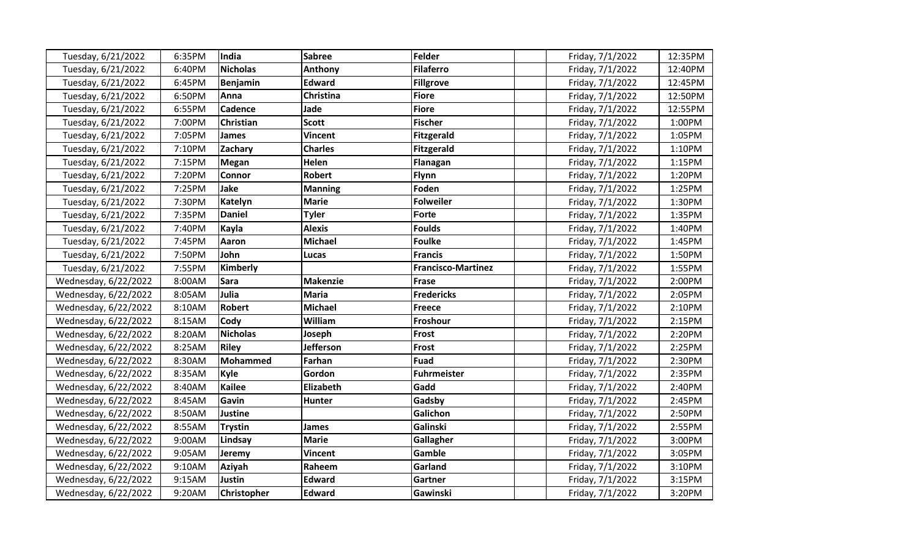| Tuesday, 6/21/2022   | 6:35PM | India              | <b>Sabree</b>    | Felder                    | Friday, 7/1/2022 | 12:35PM |
|----------------------|--------|--------------------|------------------|---------------------------|------------------|---------|
| Tuesday, 6/21/2022   | 6:40PM | <b>Nicholas</b>    | <b>Anthony</b>   | <b>Filaferro</b>          | Friday, 7/1/2022 | 12:40PM |
| Tuesday, 6/21/2022   | 6:45PM | <b>Benjamin</b>    | <b>Edward</b>    | <b>Fillgrove</b>          | Friday, 7/1/2022 | 12:45PM |
| Tuesday, 6/21/2022   | 6:50PM | Anna               | Christina        | <b>Fiore</b>              | Friday, 7/1/2022 | 12:50PM |
| Tuesday, 6/21/2022   | 6:55PM | Cadence            | Jade             | <b>Fiore</b>              | Friday, 7/1/2022 | 12:55PM |
| Tuesday, 6/21/2022   | 7:00PM | Christian          | <b>Scott</b>     | <b>Fischer</b>            | Friday, 7/1/2022 | 1:00PM  |
| Tuesday, 6/21/2022   | 7:05PM | <b>James</b>       | <b>Vincent</b>   | <b>Fitzgerald</b>         | Friday, 7/1/2022 | 1:05PM  |
| Tuesday, 6/21/2022   | 7:10PM | Zachary            | <b>Charles</b>   | <b>Fitzgerald</b>         | Friday, 7/1/2022 | 1:10PM  |
| Tuesday, 6/21/2022   | 7:15PM | <b>Megan</b>       | Helen            | Flanagan                  | Friday, 7/1/2022 | 1:15PM  |
| Tuesday, 6/21/2022   | 7:20PM | Connor             | <b>Robert</b>    | Flynn                     | Friday, 7/1/2022 | 1:20PM  |
| Tuesday, 6/21/2022   | 7:25PM | Jake               | <b>Manning</b>   | Foden                     | Friday, 7/1/2022 | 1:25PM  |
| Tuesday, 6/21/2022   | 7:30PM | <b>Katelyn</b>     | <b>Marie</b>     | <b>Folweiler</b>          | Friday, 7/1/2022 | 1:30PM  |
| Tuesday, 6/21/2022   | 7:35PM | <b>Daniel</b>      | <b>Tyler</b>     | <b>Forte</b>              | Friday, 7/1/2022 | 1:35PM  |
| Tuesday, 6/21/2022   | 7:40PM | Kayla              | <b>Alexis</b>    | <b>Foulds</b>             | Friday, 7/1/2022 | 1:40PM  |
| Tuesday, 6/21/2022   | 7:45PM | Aaron              | <b>Michael</b>   | <b>Foulke</b>             | Friday, 7/1/2022 | 1:45PM  |
| Tuesday, 6/21/2022   | 7:50PM | John               | Lucas            | <b>Francis</b>            | Friday, 7/1/2022 | 1:50PM  |
| Tuesday, 6/21/2022   | 7:55PM | Kimberly           |                  | <b>Francisco-Martinez</b> | Friday, 7/1/2022 | 1:55PM  |
| Wednesday, 6/22/2022 | 8:00AM | <b>Sara</b>        | <b>Makenzie</b>  | <b>Frase</b>              | Friday, 7/1/2022 | 2:00PM  |
| Wednesday, 6/22/2022 | 8:05AM | Julia              | <b>Maria</b>     | <b>Fredericks</b>         | Friday, 7/1/2022 | 2:05PM  |
| Wednesday, 6/22/2022 | 8:10AM | <b>Robert</b>      | <b>Michael</b>   | <b>Freece</b>             | Friday, 7/1/2022 | 2:10PM  |
| Wednesday, 6/22/2022 | 8:15AM | Cody               | William          | Froshour                  | Friday, 7/1/2022 | 2:15PM  |
| Wednesday, 6/22/2022 | 8:20AM | <b>Nicholas</b>    | Joseph           | Frost                     | Friday, 7/1/2022 | 2:20PM  |
| Wednesday, 6/22/2022 | 8:25AM | <b>Riley</b>       | <b>Jefferson</b> | Frost                     | Friday, 7/1/2022 | 2:25PM  |
| Wednesday, 6/22/2022 | 8:30AM | Mohammed           | Farhan           | <b>Fuad</b>               | Friday, 7/1/2022 | 2:30PM  |
| Wednesday, 6/22/2022 | 8:35AM | <b>Kyle</b>        | Gordon           | <b>Fuhrmeister</b>        | Friday, 7/1/2022 | 2:35PM  |
| Wednesday, 6/22/2022 | 8:40AM | <b>Kailee</b>      | Elizabeth        | Gadd                      | Friday, 7/1/2022 | 2:40PM  |
| Wednesday, 6/22/2022 | 8:45AM | Gavin              | <b>Hunter</b>    | Gadsby                    | Friday, 7/1/2022 | 2:45PM  |
| Wednesday, 6/22/2022 | 8:50AM | Justine            |                  | Galichon                  | Friday, 7/1/2022 | 2:50PM  |
| Wednesday, 6/22/2022 | 8:55AM | <b>Trystin</b>     | James            | Galinski                  | Friday, 7/1/2022 | 2:55PM  |
| Wednesday, 6/22/2022 | 9:00AM | Lindsay            | <b>Marie</b>     | Gallagher                 | Friday, 7/1/2022 | 3:00PM  |
| Wednesday, 6/22/2022 | 9:05AM | Jeremy             | <b>Vincent</b>   | Gamble                    | Friday, 7/1/2022 | 3:05PM  |
| Wednesday, 6/22/2022 | 9:10AM | Aziyah             | Raheem           | Garland                   | Friday, 7/1/2022 | 3:10PM  |
| Wednesday, 6/22/2022 | 9:15AM | <b>Justin</b>      | <b>Edward</b>    | Gartner                   | Friday, 7/1/2022 | 3:15PM  |
| Wednesday, 6/22/2022 | 9:20AM | <b>Christopher</b> | <b>Edward</b>    | Gawinski                  | Friday, 7/1/2022 | 3:20PM  |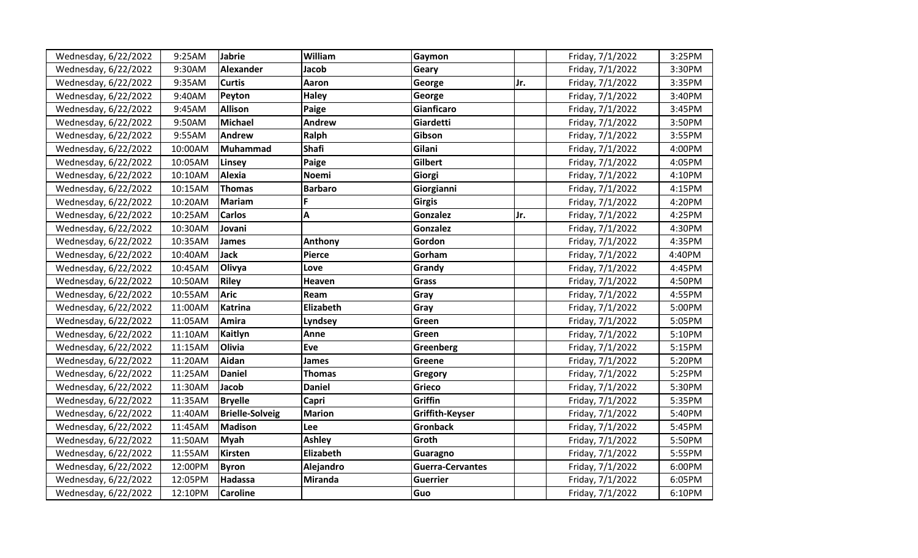| Wednesday, 6/22/2022 | 9:25AM  | Jabrie                 | William        | Gaymon                  |     | Friday, 7/1/2022 | 3:25PM |
|----------------------|---------|------------------------|----------------|-------------------------|-----|------------------|--------|
| Wednesday, 6/22/2022 | 9:30AM  | <b>Alexander</b>       | Jacob          | Geary                   |     | Friday, 7/1/2022 | 3:30PM |
| Wednesday, 6/22/2022 | 9:35AM  | <b>Curtis</b>          | Aaron          | George                  | Jr. | Friday, 7/1/2022 | 3:35PM |
| Wednesday, 6/22/2022 | 9:40AM  | Peyton                 | <b>Haley</b>   | George                  |     | Friday, 7/1/2022 | 3:40PM |
| Wednesday, 6/22/2022 | 9:45AM  | <b>Allison</b>         | Paige          | Gianficaro              |     | Friday, 7/1/2022 | 3:45PM |
| Wednesday, 6/22/2022 | 9:50AM  | <b>Michael</b>         | <b>Andrew</b>  | Giardetti               |     | Friday, 7/1/2022 | 3:50PM |
| Wednesday, 6/22/2022 | 9:55AM  | Andrew                 | Ralph          | Gibson                  |     | Friday, 7/1/2022 | 3:55PM |
| Wednesday, 6/22/2022 | 10:00AM | Muhammad               | <b>Shafi</b>   | Gilani                  |     | Friday, 7/1/2022 | 4:00PM |
| Wednesday, 6/22/2022 | 10:05AM | Linsey                 | Paige          | <b>Gilbert</b>          |     | Friday, 7/1/2022 | 4:05PM |
| Wednesday, 6/22/2022 | 10:10AM | <b>Alexia</b>          | <b>Noemi</b>   | Giorgi                  |     | Friday, 7/1/2022 | 4:10PM |
| Wednesday, 6/22/2022 | 10:15AM | <b>Thomas</b>          | <b>Barbaro</b> | Giorgianni              |     | Friday, 7/1/2022 | 4:15PM |
| Wednesday, 6/22/2022 | 10:20AM | <b>Mariam</b>          | F.             | <b>Girgis</b>           |     | Friday, 7/1/2022 | 4:20PM |
| Wednesday, 6/22/2022 | 10:25AM | <b>Carlos</b>          | A              | Gonzalez                | Jr. | Friday, 7/1/2022 | 4:25PM |
| Wednesday, 6/22/2022 | 10:30AM | Jovani                 |                | Gonzalez                |     | Friday, 7/1/2022 | 4:30PM |
| Wednesday, 6/22/2022 | 10:35AM | <b>James</b>           | Anthony        | Gordon                  |     | Friday, 7/1/2022 | 4:35PM |
| Wednesday, 6/22/2022 | 10:40AM | <b>Jack</b>            | <b>Pierce</b>  | Gorham                  |     | Friday, 7/1/2022 | 4:40PM |
| Wednesday, 6/22/2022 | 10:45AM | Olivya                 | Love           | Grandy                  |     | Friday, 7/1/2022 | 4:45PM |
| Wednesday, 6/22/2022 | 10:50AM | <b>Riley</b>           | Heaven         | <b>Grass</b>            |     | Friday, 7/1/2022 | 4:50PM |
| Wednesday, 6/22/2022 | 10:55AM | <b>Aric</b>            | Ream           | Gray                    |     | Friday, 7/1/2022 | 4:55PM |
| Wednesday, 6/22/2022 | 11:00AM | <b>Katrina</b>         | Elizabeth      | Gray                    |     | Friday, 7/1/2022 | 5:00PM |
| Wednesday, 6/22/2022 | 11:05AM | Amira                  | Lyndsey        | Green                   |     | Friday, 7/1/2022 | 5:05PM |
| Wednesday, 6/22/2022 | 11:10AM | Kaitlyn                | Anne           | Green                   |     | Friday, 7/1/2022 | 5:10PM |
| Wednesday, 6/22/2022 | 11:15AM | <b>Olivia</b>          | Eve            | Greenberg               |     | Friday, 7/1/2022 | 5:15PM |
| Wednesday, 6/22/2022 | 11:20AM | Aidan                  | James          | Greene                  |     | Friday, 7/1/2022 | 5:20PM |
| Wednesday, 6/22/2022 | 11:25AM | <b>Daniel</b>          | <b>Thomas</b>  | Gregory                 |     | Friday, 7/1/2022 | 5:25PM |
| Wednesday, 6/22/2022 | 11:30AM | <b>Jacob</b>           | <b>Daniel</b>  | Grieco                  |     | Friday, 7/1/2022 | 5:30PM |
| Wednesday, 6/22/2022 | 11:35AM | <b>Bryelle</b>         | Capri          | Griffin                 |     | Friday, 7/1/2022 | 5:35PM |
| Wednesday, 6/22/2022 | 11:40AM | <b>Brielle-Solveig</b> | <b>Marion</b>  | Griffith-Keyser         |     | Friday, 7/1/2022 | 5:40PM |
| Wednesday, 6/22/2022 | 11:45AM | Madison                | Lee            | <b>Gronback</b>         |     | Friday, 7/1/2022 | 5:45PM |
| Wednesday, 6/22/2022 | 11:50AM | Myah                   | <b>Ashley</b>  | Groth                   |     | Friday, 7/1/2022 | 5:50PM |
| Wednesday, 6/22/2022 | 11:55AM | Kirsten                | Elizabeth      | Guaragno                |     | Friday, 7/1/2022 | 5:55PM |
| Wednesday, 6/22/2022 | 12:00PM | <b>Byron</b>           | Alejandro      | <b>Guerra-Cervantes</b> |     | Friday, 7/1/2022 | 6:00PM |
| Wednesday, 6/22/2022 | 12:05PM | Hadassa                | <b>Miranda</b> | <b>Guerrier</b>         |     | Friday, 7/1/2022 | 6:05PM |
| Wednesday, 6/22/2022 | 12:10PM | <b>Caroline</b>        |                | Guo                     |     | Friday, 7/1/2022 | 6:10PM |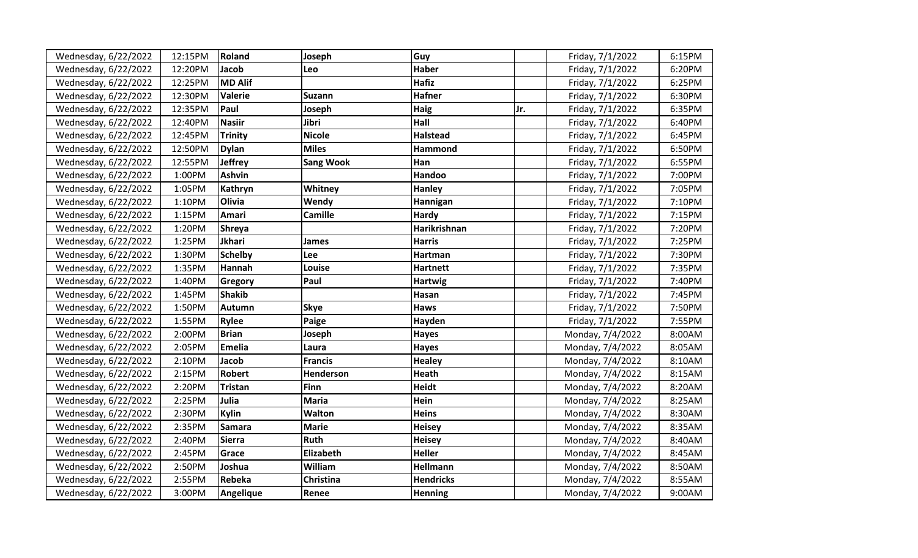| Wednesday, 6/22/2022 | 12:15PM | <b>Roland</b>  | Joseph           | Guy              |     | Friday, 7/1/2022 | 6:15PM |
|----------------------|---------|----------------|------------------|------------------|-----|------------------|--------|
| Wednesday, 6/22/2022 | 12:20PM | Jacob          | Leo              | <b>Haber</b>     |     | Friday, 7/1/2022 | 6:20PM |
| Wednesday, 6/22/2022 | 12:25PM | MD Alif        |                  | <b>Hafiz</b>     |     | Friday, 7/1/2022 | 6:25PM |
| Wednesday, 6/22/2022 | 12:30PM | <b>Valerie</b> | <b>Suzann</b>    | <b>Hafner</b>    |     | Friday, 7/1/2022 | 6:30PM |
| Wednesday, 6/22/2022 | 12:35PM | Paul           | Joseph           | Haig             | Jr. | Friday, 7/1/2022 | 6:35PM |
| Wednesday, 6/22/2022 | 12:40PM | <b>Nasiir</b>  | Jibri            | Hall             |     | Friday, 7/1/2022 | 6:40PM |
| Wednesday, 6/22/2022 | 12:45PM | <b>Trinity</b> | <b>Nicole</b>    | <b>Halstead</b>  |     | Friday, 7/1/2022 | 6:45PM |
| Wednesday, 6/22/2022 | 12:50PM | <b>Dylan</b>   | <b>Miles</b>     | Hammond          |     | Friday, 7/1/2022 | 6:50PM |
| Wednesday, 6/22/2022 | 12:55PM | <b>Jeffrey</b> | <b>Sang Wook</b> | Han              |     | Friday, 7/1/2022 | 6:55PM |
| Wednesday, 6/22/2022 | 1:00PM  | <b>Ashvin</b>  |                  | Handoo           |     | Friday, 7/1/2022 | 7:00PM |
| Wednesday, 6/22/2022 | 1:05PM  | Kathryn        | Whitney          | <b>Hanley</b>    |     | Friday, 7/1/2022 | 7:05PM |
| Wednesday, 6/22/2022 | 1:10PM  | <b>Olivia</b>  | Wendy            | Hannigan         |     | Friday, 7/1/2022 | 7:10PM |
| Wednesday, 6/22/2022 | 1:15PM  | Amari          | <b>Camille</b>   | Hardy            |     | Friday, 7/1/2022 | 7:15PM |
| Wednesday, 6/22/2022 | 1:20PM  | <b>Shreya</b>  |                  | Harikrishnan     |     | Friday, 7/1/2022 | 7:20PM |
| Wednesday, 6/22/2022 | 1:25PM  | Jkhari         | James            | <b>Harris</b>    |     | Friday, 7/1/2022 | 7:25PM |
| Wednesday, 6/22/2022 | 1:30PM  | <b>Schelby</b> | Lee              | Hartman          |     | Friday, 7/1/2022 | 7:30PM |
| Wednesday, 6/22/2022 | 1:35PM  | Hannah         | Louise           | <b>Hartnett</b>  |     | Friday, 7/1/2022 | 7:35PM |
| Wednesday, 6/22/2022 | 1:40PM  | Gregory        | Paul             | <b>Hartwig</b>   |     | Friday, 7/1/2022 | 7:40PM |
| Wednesday, 6/22/2022 | 1:45PM  | <b>Shakib</b>  |                  | Hasan            |     | Friday, 7/1/2022 | 7:45PM |
| Wednesday, 6/22/2022 | 1:50PM  | Autumn         | <b>Skye</b>      | <b>Haws</b>      |     | Friday, 7/1/2022 | 7:50PM |
| Wednesday, 6/22/2022 | 1:55PM  | <b>Rylee</b>   | Paige            | Hayden           |     | Friday, 7/1/2022 | 7:55PM |
| Wednesday, 6/22/2022 | 2:00PM  | <b>Brian</b>   | Joseph           | Hayes            |     | Monday, 7/4/2022 | 8:00AM |
| Wednesday, 6/22/2022 | 2:05PM  | <b>Emelia</b>  | Laura            | <b>Hayes</b>     |     | Monday, 7/4/2022 | 8:05AM |
| Wednesday, 6/22/2022 | 2:10PM  | Jacob          | <b>Francis</b>   | <b>Healey</b>    |     | Monday, 7/4/2022 | 8:10AM |
| Wednesday, 6/22/2022 | 2:15PM  | Robert         | Henderson        | <b>Heath</b>     |     | Monday, 7/4/2022 | 8:15AM |
| Wednesday, 6/22/2022 | 2:20PM  | Tristan        | <b>Finn</b>      | <b>Heidt</b>     |     | Monday, 7/4/2022 | 8:20AM |
| Wednesday, 6/22/2022 | 2:25PM  | Julia          | <b>Maria</b>     | Hein             |     | Monday, 7/4/2022 | 8:25AM |
| Wednesday, 6/22/2022 | 2:30PM  | <b>Kylin</b>   | <b>Walton</b>    | Heins            |     | Monday, 7/4/2022 | 8:30AM |
| Wednesday, 6/22/2022 | 2:35PM  | <b>Samara</b>  | <b>Marie</b>     | <b>Heisey</b>    |     | Monday, 7/4/2022 | 8:35AM |
| Wednesday, 6/22/2022 | 2:40PM  | <b>Sierra</b>  | <b>Ruth</b>      | <b>Heisey</b>    |     | Monday, 7/4/2022 | 8:40AM |
| Wednesday, 6/22/2022 | 2:45PM  | Grace          | Elizabeth        | <b>Heller</b>    |     | Monday, 7/4/2022 | 8:45AM |
| Wednesday, 6/22/2022 | 2:50PM  | Joshua         | William          | Hellmann         |     | Monday, 7/4/2022 | 8:50AM |
| Wednesday, 6/22/2022 | 2:55PM  | Rebeka         | Christina        | <b>Hendricks</b> |     | Monday, 7/4/2022 | 8:55AM |
| Wednesday, 6/22/2022 | 3:00PM  | Angelique      | Renee            | <b>Henning</b>   |     | Monday, 7/4/2022 | 9:00AM |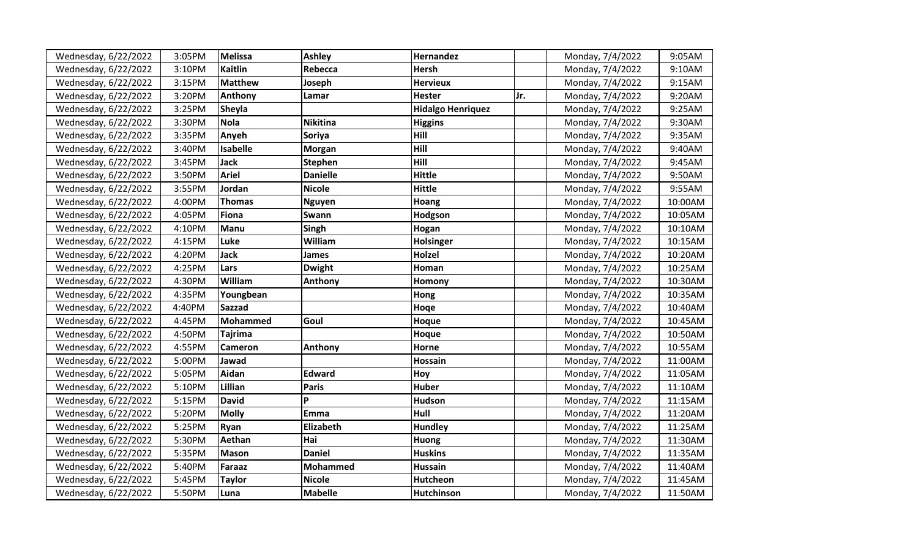| Wednesday, 6/22/2022 | 3:05PM | <b>Melissa</b>  | <b>Ashley</b>   | Hernandez                |     | Monday, 7/4/2022 | 9:05AM  |
|----------------------|--------|-----------------|-----------------|--------------------------|-----|------------------|---------|
| Wednesday, 6/22/2022 | 3:10PM | <b>Kaitlin</b>  | Rebecca         | <b>Hersh</b>             |     | Monday, 7/4/2022 | 9:10AM  |
| Wednesday, 6/22/2022 | 3:15PM | <b>Matthew</b>  | Joseph          | <b>Hervieux</b>          |     | Monday, 7/4/2022 | 9:15AM  |
| Wednesday, 6/22/2022 | 3:20PM | Anthony         | Lamar           | <b>Hester</b>            | Jr. | Monday, 7/4/2022 | 9:20AM  |
| Wednesday, 6/22/2022 | 3:25PM | <b>Sheyla</b>   |                 | <b>Hidalgo Henriquez</b> |     | Monday, 7/4/2022 | 9:25AM  |
| Wednesday, 6/22/2022 | 3:30PM | <b>Nola</b>     | <b>Nikitina</b> | <b>Higgins</b>           |     | Monday, 7/4/2022 | 9:30AM  |
| Wednesday, 6/22/2022 | 3:35PM | Anyeh           | <b>Soriya</b>   | Hill                     |     | Monday, 7/4/2022 | 9:35AM  |
| Wednesday, 6/22/2022 | 3:40PM | <b>Isabelle</b> | <b>Morgan</b>   | Hill                     |     | Monday, 7/4/2022 | 9:40AM  |
| Wednesday, 6/22/2022 | 3:45PM | <b>Jack</b>     | <b>Stephen</b>  | Hill                     |     | Monday, 7/4/2022 | 9:45AM  |
| Wednesday, 6/22/2022 | 3:50PM | <b>Ariel</b>    | <b>Danielle</b> | <b>Hittle</b>            |     | Monday, 7/4/2022 | 9:50AM  |
| Wednesday, 6/22/2022 | 3:55PM | Jordan          | <b>Nicole</b>   | <b>Hittle</b>            |     | Monday, 7/4/2022 | 9:55AM  |
| Wednesday, 6/22/2022 | 4:00PM | <b>Thomas</b>   | <b>Nguyen</b>   | Hoang                    |     | Monday, 7/4/2022 | 10:00AM |
| Wednesday, 6/22/2022 | 4:05PM | Fiona           | Swann           | Hodgson                  |     | Monday, 7/4/2022 | 10:05AM |
| Wednesday, 6/22/2022 | 4:10PM | Manu            | Singh           | Hogan                    |     | Monday, 7/4/2022 | 10:10AM |
| Wednesday, 6/22/2022 | 4:15PM | Luke            | William         | Holsinger                |     | Monday, 7/4/2022 | 10:15AM |
| Wednesday, 6/22/2022 | 4:20PM | <b>Jack</b>     | James           | Holzel                   |     | Monday, 7/4/2022 | 10:20AM |
| Wednesday, 6/22/2022 | 4:25PM | Lars            | <b>Dwight</b>   | Homan                    |     | Monday, 7/4/2022 | 10:25AM |
| Wednesday, 6/22/2022 | 4:30PM | William         | Anthony         | Homony                   |     | Monday, 7/4/2022 | 10:30AM |
| Wednesday, 6/22/2022 | 4:35PM | Youngbean       |                 | Hong                     |     | Monday, 7/4/2022 | 10:35AM |
| Wednesday, 6/22/2022 | 4:40PM | <b>Sazzad</b>   |                 | Hoqe                     |     | Monday, 7/4/2022 | 10:40AM |
| Wednesday, 6/22/2022 | 4:45PM | Mohammed        | Goul            | Hoque                    |     | Monday, 7/4/2022 | 10:45AM |
| Wednesday, 6/22/2022 | 4:50PM | <b>Tajrima</b>  |                 | Hoque                    |     | Monday, 7/4/2022 | 10:50AM |
| Wednesday, 6/22/2022 | 4:55PM | Cameron         | Anthony         | Horne                    |     | Monday, 7/4/2022 | 10:55AM |
| Wednesday, 6/22/2022 | 5:00PM | Jawad           |                 | Hossain                  |     | Monday, 7/4/2022 | 11:00AM |
| Wednesday, 6/22/2022 | 5:05PM | Aidan           | <b>Edward</b>   | Hoy                      |     | Monday, 7/4/2022 | 11:05AM |
| Wednesday, 6/22/2022 | 5:10PM | Lillian         | <b>Paris</b>    | <b>Huber</b>             |     | Monday, 7/4/2022 | 11:10AM |
| Wednesday, 6/22/2022 | 5:15PM | <b>David</b>    | P               | Hudson                   |     | Monday, 7/4/2022 | 11:15AM |
| Wednesday, 6/22/2022 | 5:20PM | <b>Molly</b>    | <b>Emma</b>     | Hull                     |     | Monday, 7/4/2022 | 11:20AM |
| Wednesday, 6/22/2022 | 5:25PM | Ryan            | Elizabeth       | <b>Hundley</b>           |     | Monday, 7/4/2022 | 11:25AM |
| Wednesday, 6/22/2022 | 5:30PM | Aethan          | Hai             | Huong                    |     | Monday, 7/4/2022 | 11:30AM |
| Wednesday, 6/22/2022 | 5:35PM | Mason           | <b>Daniel</b>   | <b>Huskins</b>           |     | Monday, 7/4/2022 | 11:35AM |
| Wednesday, 6/22/2022 | 5:40PM | <b>Faraaz</b>   | <b>Mohammed</b> | <b>Hussain</b>           |     | Monday, 7/4/2022 | 11:40AM |
| Wednesday, 6/22/2022 | 5:45PM | <b>Taylor</b>   | <b>Nicole</b>   | Hutcheon                 |     | Monday, 7/4/2022 | 11:45AM |
| Wednesday, 6/22/2022 | 5:50PM | Luna            | <b>Mabelle</b>  | <b>Hutchinson</b>        |     | Monday, 7/4/2022 | 11:50AM |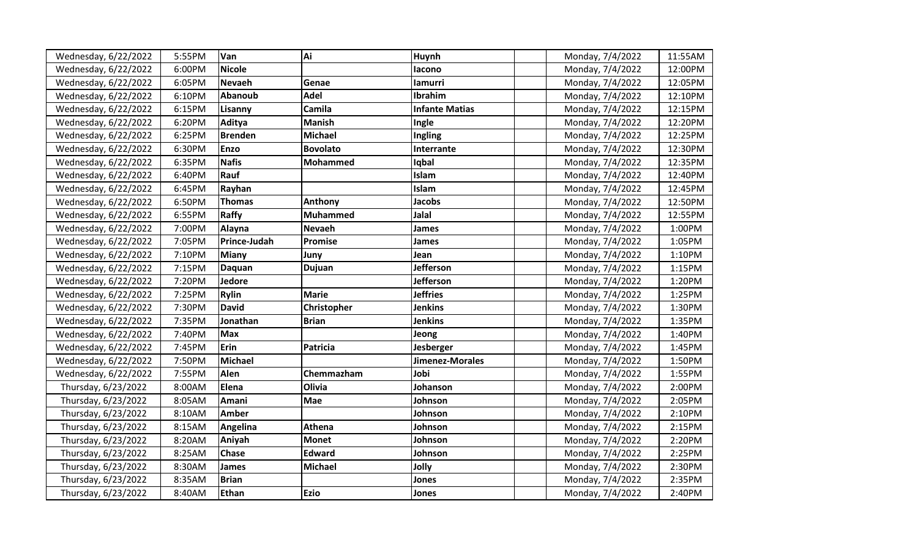| Wednesday, 6/22/2022 | 5:55PM | Van                 | Ai              | Huynh                 | Monday, 7/4/2022 | 11:55AM |
|----------------------|--------|---------------------|-----------------|-----------------------|------------------|---------|
| Wednesday, 6/22/2022 | 6:00PM | <b>Nicole</b>       |                 | lacono                | Monday, 7/4/2022 | 12:00PM |
| Wednesday, 6/22/2022 | 6:05PM | Nevaeh              | Genae           | lamurri               | Monday, 7/4/2022 | 12:05PM |
| Wednesday, 6/22/2022 | 6:10PM | <b>Abanoub</b>      | <b>Adel</b>     | Ibrahim               | Monday, 7/4/2022 | 12:10PM |
| Wednesday, 6/22/2022 | 6:15PM | Lisanny             | Camila          | <b>Infante Matias</b> | Monday, 7/4/2022 | 12:15PM |
| Wednesday, 6/22/2022 | 6:20PM | Aditya              | <b>Manish</b>   | Ingle                 | Monday, 7/4/2022 | 12:20PM |
| Wednesday, 6/22/2022 | 6:25PM | <b>Brenden</b>      | <b>Michael</b>  | Ingling               | Monday, 7/4/2022 | 12:25PM |
| Wednesday, 6/22/2022 | 6:30PM | <b>Enzo</b>         | <b>Bovolato</b> | Interrante            | Monday, 7/4/2022 | 12:30PM |
| Wednesday, 6/22/2022 | 6:35PM | <b>Nafis</b>        | <b>Mohammed</b> | Iqbal                 | Monday, 7/4/2022 | 12:35PM |
| Wednesday, 6/22/2022 | 6:40PM | Rauf                |                 | Islam                 | Monday, 7/4/2022 | 12:40PM |
| Wednesday, 6/22/2022 | 6:45PM | Rayhan              |                 | Islam                 | Monday, 7/4/2022 | 12:45PM |
| Wednesday, 6/22/2022 | 6:50PM | <b>Thomas</b>       | Anthony         | <b>Jacobs</b>         | Monday, 7/4/2022 | 12:50PM |
| Wednesday, 6/22/2022 | 6:55PM | Raffy               | <b>Muhammed</b> | Jalal                 | Monday, 7/4/2022 | 12:55PM |
| Wednesday, 6/22/2022 | 7:00PM | Alayna              | <b>Nevaeh</b>   | <b>James</b>          | Monday, 7/4/2022 | 1:00PM  |
| Wednesday, 6/22/2022 | 7:05PM | <b>Prince-Judah</b> | Promise         | <b>James</b>          | Monday, 7/4/2022 | 1:05PM  |
| Wednesday, 6/22/2022 | 7:10PM | Miany               | Juny            | Jean                  | Monday, 7/4/2022 | 1:10PM  |
| Wednesday, 6/22/2022 | 7:15PM | <b>Daquan</b>       | <b>Dujuan</b>   | Jefferson             | Monday, 7/4/2022 | 1:15PM  |
| Wednesday, 6/22/2022 | 7:20PM | Jedore              |                 | <b>Jefferson</b>      | Monday, 7/4/2022 | 1:20PM  |
| Wednesday, 6/22/2022 | 7:25PM | <b>Rylin</b>        | <b>Marie</b>    | <b>Jeffries</b>       | Monday, 7/4/2022 | 1:25PM  |
| Wednesday, 6/22/2022 | 7:30PM | <b>David</b>        | Christopher     | <b>Jenkins</b>        | Monday, 7/4/2022 | 1:30PM  |
| Wednesday, 6/22/2022 | 7:35PM | Jonathan            | <b>Brian</b>    | <b>Jenkins</b>        | Monday, 7/4/2022 | 1:35PM  |
| Wednesday, 6/22/2022 | 7:40PM | <b>Max</b>          |                 | Jeong                 | Monday, 7/4/2022 | 1:40PM  |
| Wednesday, 6/22/2022 | 7:45PM | Erin                | <b>Patricia</b> | Jesberger             | Monday, 7/4/2022 | 1:45PM  |
| Wednesday, 6/22/2022 | 7:50PM | <b>Michael</b>      |                 | Jimenez-Morales       | Monday, 7/4/2022 | 1:50PM  |
| Wednesday, 6/22/2022 | 7:55PM | Alen                | Chemmazham      | Jobi                  | Monday, 7/4/2022 | 1:55PM  |
| Thursday, 6/23/2022  | 8:00AM | Elena               | Olivia          | Johanson              | Monday, 7/4/2022 | 2:00PM  |
| Thursday, 6/23/2022  | 8:05AM | Amani               | <b>Mae</b>      | Johnson               | Monday, 7/4/2022 | 2:05PM  |
| Thursday, 6/23/2022  | 8:10AM | <b>Amber</b>        |                 | Johnson               | Monday, 7/4/2022 | 2:10PM  |
| Thursday, 6/23/2022  | 8:15AM | Angelina            | Athena          | Johnson               | Monday, 7/4/2022 | 2:15PM  |
| Thursday, 6/23/2022  | 8:20AM | Aniyah              | <b>Monet</b>    | Johnson               | Monday, 7/4/2022 | 2:20PM  |
| Thursday, 6/23/2022  | 8:25AM | <b>Chase</b>        | <b>Edward</b>   | Johnson               | Monday, 7/4/2022 | 2:25PM  |
| Thursday, 6/23/2022  | 8:30AM | James               | <b>Michael</b>  | Jolly                 | Monday, 7/4/2022 | 2:30PM  |
| Thursday, 6/23/2022  | 8:35AM | <b>Brian</b>        |                 | Jones                 | Monday, 7/4/2022 | 2:35PM  |
| Thursday, 6/23/2022  | 8:40AM | Ethan               | <b>Ezio</b>     | Jones                 | Monday, 7/4/2022 | 2:40PM  |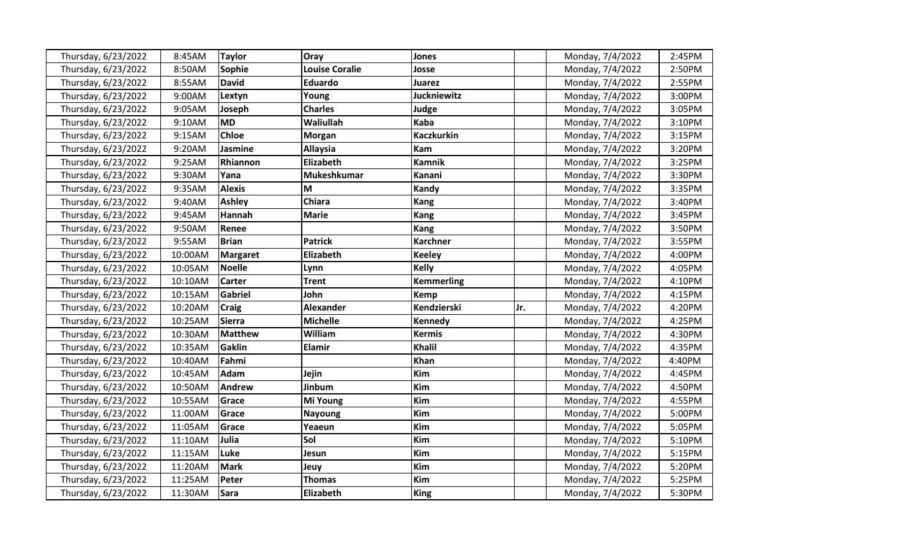| Thursday, 6/23/2022 | 8:45AM  | <b>Taylor</b>  | <b>Oray</b>           | Jones              |     | Monday, 7/4/2022 | 2:45PM |
|---------------------|---------|----------------|-----------------------|--------------------|-----|------------------|--------|
| Thursday, 6/23/2022 | 8:50AM  | Sophie         | <b>Louise Coralie</b> | Josse              |     | Monday, 7/4/2022 | 2:50PM |
| Thursday, 6/23/2022 | 8:55AM  | David          | <b>Eduardo</b>        | Juarez             |     | Monday, 7/4/2022 | 2:55PM |
| Thursday, 6/23/2022 | 9:00AM  | Lextyn         | Young                 | <b>Juckniewitz</b> |     | Monday, 7/4/2022 | 3:00PM |
| Thursday, 6/23/2022 | 9:05AM  | Joseph         | <b>Charles</b>        | Judge              |     | Monday, 7/4/2022 | 3:05PM |
| Thursday, 6/23/2022 | 9:10AM  | <b>MD</b>      | Waliullah             | Kaba               |     | Monday, 7/4/2022 | 3:10PM |
| Thursday, 6/23/2022 | 9:15AM  | <b>Chloe</b>   | <b>Morgan</b>         | <b>Kaczkurkin</b>  |     | Monday, 7/4/2022 | 3:15PM |
| Thursday, 6/23/2022 | 9:20AM  | Jasmine        | <b>Allaysia</b>       | <b>Kam</b>         |     | Monday, 7/4/2022 | 3:20PM |
| Thursday, 6/23/2022 | 9:25AM  | Rhiannon       | Elizabeth             | <b>Kamnik</b>      |     | Monday, 7/4/2022 | 3:25PM |
| Thursday, 6/23/2022 | 9:30AM  | Yana           | <b>Mukeshkumar</b>    | Kanani             |     | Monday, 7/4/2022 | 3:30PM |
| Thursday, 6/23/2022 | 9:35AM  | <b>Alexis</b>  | lм                    | Kandy              |     | Monday, 7/4/2022 | 3:35PM |
| Thursday, 6/23/2022 | 9:40AM  | <b>Ashley</b>  | <b>Chiara</b>         | Kang               |     | Monday, 7/4/2022 | 3:40PM |
| Thursday, 6/23/2022 | 9:45AM  | <b>Hannah</b>  | <b>Marie</b>          | <b>Kang</b>        |     | Monday, 7/4/2022 | 3:45PM |
| Thursday, 6/23/2022 | 9:50AM  | Renee          |                       | Kang               |     | Monday, 7/4/2022 | 3:50PM |
| Thursday, 6/23/2022 | 9:55AM  | <b>Brian</b>   | <b>Patrick</b>        | <b>Karchner</b>    |     | Monday, 7/4/2022 | 3:55PM |
| Thursday, 6/23/2022 | 10:00AM | Margaret       | Elizabeth             | <b>Keeley</b>      |     | Monday, 7/4/2022 | 4:00PM |
| Thursday, 6/23/2022 | 10:05AM | Noelle         | Lynn                  | <b>Kelly</b>       |     | Monday, 7/4/2022 | 4:05PM |
| Thursday, 6/23/2022 | 10:10AM | <b>Carter</b>  | <b>Trent</b>          | <b>Kemmerling</b>  |     | Monday, 7/4/2022 | 4:10PM |
| Thursday, 6/23/2022 | 10:15AM | <b>Gabriel</b> | John                  | <b>Kemp</b>        |     | Monday, 7/4/2022 | 4:15PM |
| Thursday, 6/23/2022 | 10:20AM | <b>Craig</b>   | <b>Alexander</b>      | Kendzierski        | Jr. | Monday, 7/4/2022 | 4:20PM |
| Thursday, 6/23/2022 | 10:25AM | Sierra         | <b>Michelle</b>       | <b>Kennedy</b>     |     | Monday, 7/4/2022 | 4:25PM |
| Thursday, 6/23/2022 | 10:30AM | <b>Matthew</b> | William               | <b>Kermis</b>      |     | Monday, 7/4/2022 | 4:30PM |
| Thursday, 6/23/2022 | 10:35AM | Gaklin         | <b>Elamir</b>         | Khalil             |     | Monday, 7/4/2022 | 4:35PM |
| Thursday, 6/23/2022 | 10:40AM | Fahmi          |                       | <b>Khan</b>        |     | Monday, 7/4/2022 | 4:40PM |
| Thursday, 6/23/2022 | 10:45AM | Adam           | Jejin                 | <b>Kim</b>         |     | Monday, 7/4/2022 | 4:45PM |
| Thursday, 6/23/2022 | 10:50AM | <b>Andrew</b>  | Jinbum                | <b>Kim</b>         |     | Monday, 7/4/2022 | 4:50PM |
| Thursday, 6/23/2022 | 10:55AM | Grace          | Mi Young              | Kim                |     | Monday, 7/4/2022 | 4:55PM |
| Thursday, 6/23/2022 | 11:00AM | Grace          | <b>Nayoung</b>        | Kim                |     | Monday, 7/4/2022 | 5:00PM |
| Thursday, 6/23/2022 | 11:05AM | Grace          | Yeaeun                | Kim                |     | Monday, 7/4/2022 | 5:05PM |
| Thursday, 6/23/2022 | 11:10AM | Julia          | Sol                   | <b>Kim</b>         |     | Monday, 7/4/2022 | 5:10PM |
| Thursday, 6/23/2022 | 11:15AM | Luke           | Jesun                 | Kim                |     | Monday, 7/4/2022 | 5:15PM |
| Thursday, 6/23/2022 | 11:20AM | <b>Mark</b>    | Jeuy                  | <b>Kim</b>         |     | Monday, 7/4/2022 | 5:20PM |
| Thursday, 6/23/2022 | 11:25AM | Peter          | Thomas                | <b>Kim</b>         |     | Monday, 7/4/2022 | 5:25PM |
| Thursday, 6/23/2022 | 11:30AM | <b>Sara</b>    | Elizabeth             | King               |     | Monday, 7/4/2022 | 5:30PM |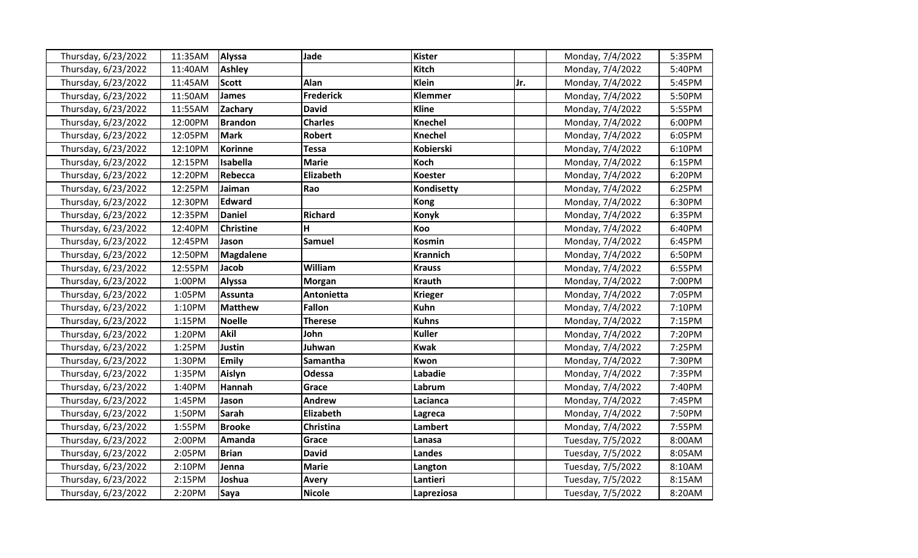| Thursday, 6/23/2022 | 11:35AM | <b>Alyssa</b>    | Jade             | <b>Kister</b>   |     | Monday, 7/4/2022  | 5:35PM |
|---------------------|---------|------------------|------------------|-----------------|-----|-------------------|--------|
| Thursday, 6/23/2022 | 11:40AM | <b>Ashley</b>    |                  | <b>Kitch</b>    |     | Monday, 7/4/2022  | 5:40PM |
| Thursday, 6/23/2022 | 11:45AM | <b>Scott</b>     | Alan             | Klein           | Jr. | Monday, 7/4/2022  | 5:45PM |
| Thursday, 6/23/2022 | 11:50AM | <b>James</b>     | <b>Frederick</b> | Klemmer         |     | Monday, 7/4/2022  | 5:50PM |
| Thursday, 6/23/2022 | 11:55AM | Zachary          | <b>David</b>     | <b>Kline</b>    |     | Monday, 7/4/2022  | 5:55PM |
| Thursday, 6/23/2022 | 12:00PM | <b>Brandon</b>   | <b>Charles</b>   | <b>Knechel</b>  |     | Monday, 7/4/2022  | 6:00PM |
| Thursday, 6/23/2022 | 12:05PM | <b>Mark</b>      | <b>Robert</b>    | Knechel         |     | Monday, 7/4/2022  | 6:05PM |
| Thursday, 6/23/2022 | 12:10PM | <b>Korinne</b>   | <b>Tessa</b>     | Kobierski       |     | Monday, 7/4/2022  | 6:10PM |
| Thursday, 6/23/2022 | 12:15PM | Isabella         | <b>Marie</b>     | Koch            |     | Monday, 7/4/2022  | 6:15PM |
| Thursday, 6/23/2022 | 12:20PM | Rebecca          | Elizabeth        | <b>Koester</b>  |     | Monday, 7/4/2022  | 6:20PM |
| Thursday, 6/23/2022 | 12:25PM | Jaiman           | Rao              | Kondisetty      |     | Monday, 7/4/2022  | 6:25PM |
| Thursday, 6/23/2022 | 12:30PM | <b>Edward</b>    |                  | <b>Kong</b>     |     | Monday, 7/4/2022  | 6:30PM |
| Thursday, 6/23/2022 | 12:35PM | <b>Daniel</b>    | <b>Richard</b>   | Konyk           |     | Monday, 7/4/2022  | 6:35PM |
| Thursday, 6/23/2022 | 12:40PM | <b>Christine</b> | H                | Koo             |     | Monday, 7/4/2022  | 6:40PM |
| Thursday, 6/23/2022 | 12:45PM | Jason            | <b>Samuel</b>    | <b>Kosmin</b>   |     | Monday, 7/4/2022  | 6:45PM |
| Thursday, 6/23/2022 | 12:50PM | <b>Magdalene</b> |                  | <b>Krannich</b> |     | Monday, 7/4/2022  | 6:50PM |
| Thursday, 6/23/2022 | 12:55PM | Jacob            | William          | <b>Krauss</b>   |     | Monday, 7/4/2022  | 6:55PM |
| Thursday, 6/23/2022 | 1:00PM  | <b>Alyssa</b>    | <b>Morgan</b>    | <b>Krauth</b>   |     | Monday, 7/4/2022  | 7:00PM |
| Thursday, 6/23/2022 | 1:05PM  | <b>Assunta</b>   | Antonietta       | <b>Krieger</b>  |     | Monday, 7/4/2022  | 7:05PM |
| Thursday, 6/23/2022 | 1:10PM  | <b>Matthew</b>   | <b>Fallon</b>    | <b>Kuhn</b>     |     | Monday, 7/4/2022  | 7:10PM |
| Thursday, 6/23/2022 | 1:15PM  | <b>Noelle</b>    | Therese          | <b>Kuhns</b>    |     | Monday, 7/4/2022  | 7:15PM |
| Thursday, 6/23/2022 | 1:20PM  | <b>Akil</b>      | John             | <b>Kuller</b>   |     | Monday, 7/4/2022  | 7:20PM |
| Thursday, 6/23/2022 | 1:25PM  | Justin           | Juhwan           | <b>Kwak</b>     |     | Monday, 7/4/2022  | 7:25PM |
| Thursday, 6/23/2022 | 1:30PM  | <b>Emily</b>     | Samantha         | Kwon            |     | Monday, 7/4/2022  | 7:30PM |
| Thursday, 6/23/2022 | 1:35PM  | Aislyn           | Odessa           | Labadie         |     | Monday, 7/4/2022  | 7:35PM |
| Thursday, 6/23/2022 | 1:40PM  | Hannah           | Grace            | Labrum          |     | Monday, 7/4/2022  | 7:40PM |
| Thursday, 6/23/2022 | 1:45PM  | Jason            | <b>Andrew</b>    | Lacianca        |     | Monday, 7/4/2022  | 7:45PM |
| Thursday, 6/23/2022 | 1:50PM  | <b>Sarah</b>     | Elizabeth        | Lagreca         |     | Monday, 7/4/2022  | 7:50PM |
| Thursday, 6/23/2022 | 1:55PM  | <b>Brooke</b>    | <b>Christina</b> | <b>Lambert</b>  |     | Monday, 7/4/2022  | 7:55PM |
| Thursday, 6/23/2022 | 2:00PM  | Amanda           | Grace            | Lanasa          |     | Tuesday, 7/5/2022 | 8:00AM |
| Thursday, 6/23/2022 | 2:05PM  | <b>Brian</b>     | <b>David</b>     | <b>Landes</b>   |     | Tuesday, 7/5/2022 | 8:05AM |
| Thursday, 6/23/2022 | 2:10PM  | Jenna            | <b>Marie</b>     | Langton         |     | Tuesday, 7/5/2022 | 8:10AM |
| Thursday, 6/23/2022 | 2:15PM  | Joshua           | <b>Avery</b>     | Lantieri        |     | Tuesday, 7/5/2022 | 8:15AM |
| Thursday, 6/23/2022 | 2:20PM  | <b>Saya</b>      | <b>Nicole</b>    | Lapreziosa      |     | Tuesday, 7/5/2022 | 8:20AM |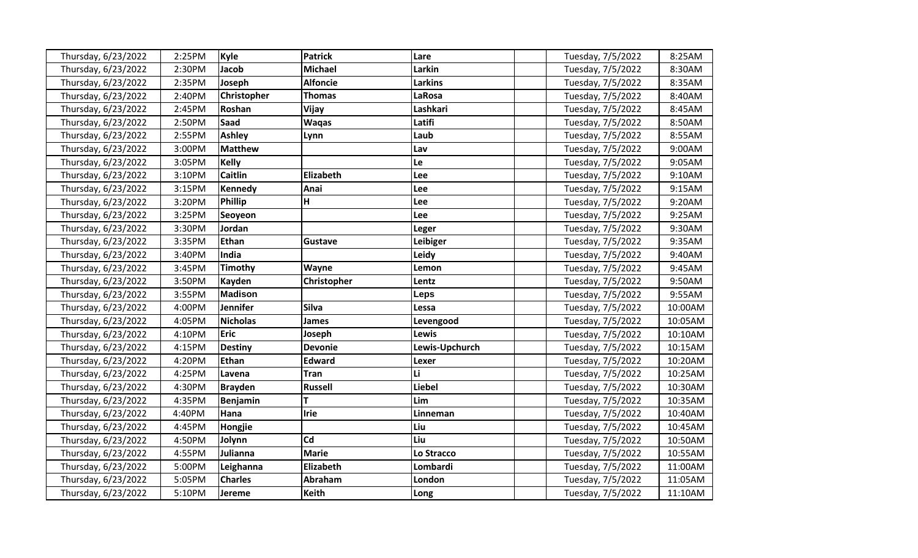|                     | 2:25PM |                 | <b>Patrick</b>  |                |                   | 8:25AM  |
|---------------------|--------|-----------------|-----------------|----------------|-------------------|---------|
| Thursday, 6/23/2022 |        | Kyle            |                 | Lare           | Tuesday, 7/5/2022 |         |
| Thursday, 6/23/2022 | 2:30PM | Jacob           | <b>Michael</b>  | Larkin         | Tuesday, 7/5/2022 | 8:30AM  |
| Thursday, 6/23/2022 | 2:35PM | Joseph          | <b>Alfoncie</b> | <b>Larkins</b> | Tuesday, 7/5/2022 | 8:35AM  |
| Thursday, 6/23/2022 | 2:40PM | Christopher     | Thomas          | <b>LaRosa</b>  | Tuesday, 7/5/2022 | 8:40AM  |
| Thursday, 6/23/2022 | 2:45PM | Roshan          | Vijay           | Lashkari       | Tuesday, 7/5/2022 | 8:45AM  |
| Thursday, 6/23/2022 | 2:50PM | Saad            | <b>Waqas</b>    | Latifi         | Tuesday, 7/5/2022 | 8:50AM  |
| Thursday, 6/23/2022 | 2:55PM | <b>Ashley</b>   | Lynn            | Laub           | Tuesday, 7/5/2022 | 8:55AM  |
| Thursday, 6/23/2022 | 3:00PM | <b>Matthew</b>  |                 | Lav            | Tuesday, 7/5/2022 | 9:00AM  |
| Thursday, 6/23/2022 | 3:05PM | <b>Kelly</b>    |                 | Le             | Tuesday, 7/5/2022 | 9:05AM  |
| Thursday, 6/23/2022 | 3:10PM | <b>Caitlin</b>  | Elizabeth       | Lee            | Tuesday, 7/5/2022 | 9:10AM  |
| Thursday, 6/23/2022 | 3:15PM | <b>Kennedy</b>  | Anai            | Lee            | Tuesday, 7/5/2022 | 9:15AM  |
| Thursday, 6/23/2022 | 3:20PM | <b>Phillip</b>  | H               | Lee            | Tuesday, 7/5/2022 | 9:20AM  |
| Thursday, 6/23/2022 | 3:25PM | Seoyeon         |                 | Lee            | Tuesday, 7/5/2022 | 9:25AM  |
| Thursday, 6/23/2022 | 3:30PM | Jordan          |                 | Leger          | Tuesday, 7/5/2022 | 9:30AM  |
| Thursday, 6/23/2022 | 3:35PM | <b>Ethan</b>    | Gustave         | Leibiger       | Tuesday, 7/5/2022 | 9:35AM  |
| Thursday, 6/23/2022 | 3:40PM | India           |                 | Leidy          | Tuesday, 7/5/2022 | 9:40AM  |
| Thursday, 6/23/2022 | 3:45PM | <b>Timothy</b>  | Wayne           | Lemon          | Tuesday, 7/5/2022 | 9:45AM  |
| Thursday, 6/23/2022 | 3:50PM | <b>Kayden</b>   | Christopher     | Lentz          | Tuesday, 7/5/2022 | 9:50AM  |
| Thursday, 6/23/2022 | 3:55PM | <b>Madison</b>  |                 | Leps           | Tuesday, 7/5/2022 | 9:55AM  |
| Thursday, 6/23/2022 | 4:00PM | Jennifer        | <b>Silva</b>    | Lessa          | Tuesday, 7/5/2022 | 10:00AM |
| Thursday, 6/23/2022 | 4:05PM | <b>Nicholas</b> | James           | Levengood      | Tuesday, 7/5/2022 | 10:05AM |
| Thursday, 6/23/2022 | 4:10PM | <b>Eric</b>     | Joseph          | Lewis          | Tuesday, 7/5/2022 | 10:10AM |
| Thursday, 6/23/2022 | 4:15PM | <b>Destiny</b>  | <b>Devonie</b>  | Lewis-Upchurch | Tuesday, 7/5/2022 | 10:15AM |
| Thursday, 6/23/2022 | 4:20PM | <b>Ethan</b>    | <b>Edward</b>   | Lexer          | Tuesday, 7/5/2022 | 10:20AM |
| Thursday, 6/23/2022 | 4:25PM | Lavena          | <b>Tran</b>     | Li.            | Tuesday, 7/5/2022 | 10:25AM |
| Thursday, 6/23/2022 | 4:30PM | <b>Brayden</b>  | <b>Russell</b>  | <b>Liebel</b>  | Tuesday, 7/5/2022 | 10:30AM |
| Thursday, 6/23/2022 | 4:35PM | <b>Benjamin</b> | т               | Lim            | Tuesday, 7/5/2022 | 10:35AM |
| Thursday, 6/23/2022 | 4:40PM | Hana            | <b>Irie</b>     | Linneman       | Tuesday, 7/5/2022 | 10:40AM |
| Thursday, 6/23/2022 | 4:45PM | Hongjie         |                 | Liu            | Tuesday, 7/5/2022 | 10:45AM |
| Thursday, 6/23/2022 | 4:50PM | Jolynn          | Cd              | Liu            | Tuesday, 7/5/2022 | 10:50AM |
| Thursday, 6/23/2022 | 4:55PM | Julianna        | <b>Marie</b>    | Lo Stracco     | Tuesday, 7/5/2022 | 10:55AM |
| Thursday, 6/23/2022 | 5:00PM | Leighanna       | Elizabeth       | Lombardi       | Tuesday, 7/5/2022 | 11:00AM |
| Thursday, 6/23/2022 | 5:05PM | <b>Charles</b>  | Abraham         | London         | Tuesday, 7/5/2022 | 11:05AM |
| Thursday, 6/23/2022 | 5:10PM | Jereme          | <b>Keith</b>    | Long           | Tuesday, 7/5/2022 | 11:10AM |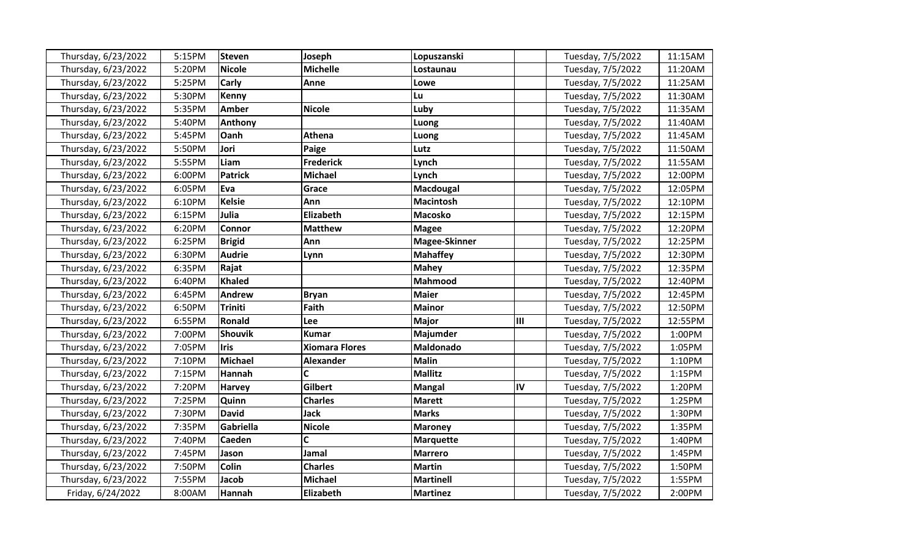| Thursday, 6/23/2022 | 5:15PM | <b>Steven</b>  | Joseph                | Lopuszanski      |    | Tuesday, 7/5/2022 | 11:15AM |
|---------------------|--------|----------------|-----------------------|------------------|----|-------------------|---------|
| Thursday, 6/23/2022 | 5:20PM | <b>Nicole</b>  | <b>Michelle</b>       | Lostaunau        |    | Tuesday, 7/5/2022 | 11:20AM |
| Thursday, 6/23/2022 | 5:25PM | <b>Carly</b>   | Anne                  | Lowe             |    | Tuesday, 7/5/2022 | 11:25AM |
| Thursday, 6/23/2022 | 5:30PM | Kenny          |                       | <b>Lu</b>        |    | Tuesday, 7/5/2022 | 11:30AM |
| Thursday, 6/23/2022 | 5:35PM | <b>Amber</b>   | <b>Nicole</b>         | Luby             |    | Tuesday, 7/5/2022 | 11:35AM |
| Thursday, 6/23/2022 | 5:40PM | Anthony        |                       | Luong            |    | Tuesday, 7/5/2022 | 11:40AM |
| Thursday, 6/23/2022 | 5:45PM | Oanh           | Athena                | Luong            |    | Tuesday, 7/5/2022 | 11:45AM |
| Thursday, 6/23/2022 | 5:50PM | Jori           | Paige                 | Lutz             |    | Tuesday, 7/5/2022 | 11:50AM |
| Thursday, 6/23/2022 | 5:55PM | Liam           | <b>Frederick</b>      | Lynch            |    | Tuesday, 7/5/2022 | 11:55AM |
| Thursday, 6/23/2022 | 6:00PM | <b>Patrick</b> | <b>Michael</b>        | Lynch            |    | Tuesday, 7/5/2022 | 12:00PM |
| Thursday, 6/23/2022 | 6:05PM | Eva            | Grace                 | Macdougal        |    | Tuesday, 7/5/2022 | 12:05PM |
| Thursday, 6/23/2022 | 6:10PM | <b>Kelsie</b>  | Ann                   | <b>Macintosh</b> |    | Tuesday, 7/5/2022 | 12:10PM |
| Thursday, 6/23/2022 | 6:15PM | Julia          | Elizabeth             | <b>Macosko</b>   |    | Tuesday, 7/5/2022 | 12:15PM |
| Thursday, 6/23/2022 | 6:20PM | Connor         | <b>Matthew</b>        | <b>Magee</b>     |    | Tuesday, 7/5/2022 | 12:20PM |
| Thursday, 6/23/2022 | 6:25PM | <b>Brigid</b>  | Ann                   | Magee-Skinner    |    | Tuesday, 7/5/2022 | 12:25PM |
| Thursday, 6/23/2022 | 6:30PM | <b>Audrie</b>  | Lynn                  | <b>Mahaffey</b>  |    | Tuesday, 7/5/2022 | 12:30PM |
| Thursday, 6/23/2022 | 6:35PM | Rajat          |                       | <b>Mahey</b>     |    | Tuesday, 7/5/2022 | 12:35PM |
| Thursday, 6/23/2022 | 6:40PM | <b>Khaled</b>  |                       | Mahmood          |    | Tuesday, 7/5/2022 | 12:40PM |
| Thursday, 6/23/2022 | 6:45PM | <b>Andrew</b>  | <b>Bryan</b>          | <b>Maier</b>     |    | Tuesday, 7/5/2022 | 12:45PM |
| Thursday, 6/23/2022 | 6:50PM | Triniti        | <b>Faith</b>          | <b>Mainor</b>    |    | Tuesday, 7/5/2022 | 12:50PM |
| Thursday, 6/23/2022 | 6:55PM | Ronald         | Lee                   | <b>Major</b>     | Ш  | Tuesday, 7/5/2022 | 12:55PM |
| Thursday, 6/23/2022 | 7:00PM | <b>Shouvik</b> | <b>Kumar</b>          | Majumder         |    | Tuesday, 7/5/2022 | 1:00PM  |
| Thursday, 6/23/2022 | 7:05PM | <b>Iris</b>    | <b>Xiomara Flores</b> | Maldonado        |    | Tuesday, 7/5/2022 | 1:05PM  |
| Thursday, 6/23/2022 | 7:10PM | <b>Michael</b> | <b>Alexander</b>      | <b>Malin</b>     |    | Tuesday, 7/5/2022 | 1:10PM  |
| Thursday, 6/23/2022 | 7:15PM | Hannah         | C                     | <b>Mallitz</b>   |    | Tuesday, 7/5/2022 | 1:15PM  |
| Thursday, 6/23/2022 | 7:20PM | <b>Harvey</b>  | Gilbert               | <b>Mangal</b>    | IV | Tuesday, 7/5/2022 | 1:20PM  |
| Thursday, 6/23/2022 | 7:25PM | Quinn          | <b>Charles</b>        | <b>Marett</b>    |    | Tuesday, 7/5/2022 | 1:25PM  |
| Thursday, 6/23/2022 | 7:30PM | <b>David</b>   | <b>Jack</b>           | <b>Marks</b>     |    | Tuesday, 7/5/2022 | 1:30PM  |
| Thursday, 6/23/2022 | 7:35PM | Gabriella      | <b>Nicole</b>         | <b>Maroney</b>   |    | Tuesday, 7/5/2022 | 1:35PM  |
| Thursday, 6/23/2022 | 7:40PM | Caeden         | C                     | <b>Marquette</b> |    | Tuesday, 7/5/2022 | 1:40PM  |
| Thursday, 6/23/2022 | 7:45PM | Jason          | Jamal                 | <b>Marrero</b>   |    | Tuesday, 7/5/2022 | 1:45PM  |
| Thursday, 6/23/2022 | 7:50PM | Colin          | <b>Charles</b>        | <b>Martin</b>    |    | Tuesday, 7/5/2022 | 1:50PM  |
| Thursday, 6/23/2022 | 7:55PM | Jacob          | <b>Michael</b>        | <b>Martinell</b> |    | Tuesday, 7/5/2022 | 1:55PM  |
| Friday, 6/24/2022   | 8:00AM | Hannah         | Elizabeth             | <b>Martinez</b>  |    | Tuesday, 7/5/2022 | 2:00PM  |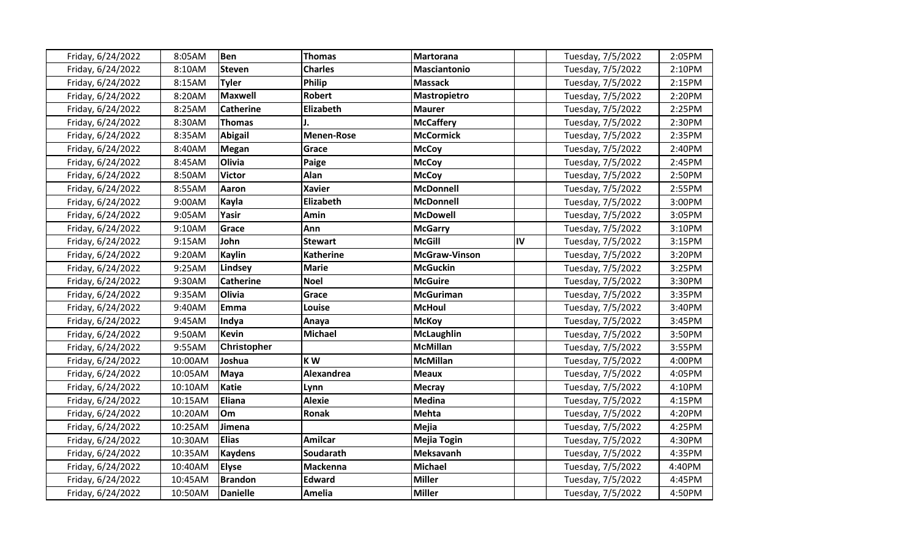| Friday, 6/24/2022 | 8:05AM  | Ben                | <b>Thomas</b>     | <b>Martorana</b>     |    | Tuesday, 7/5/2022 | 2:05PM |
|-------------------|---------|--------------------|-------------------|----------------------|----|-------------------|--------|
| Friday, 6/24/2022 | 8:10AM  | <b>Steven</b>      | <b>Charles</b>    | <b>Masciantonio</b>  |    | Tuesday, 7/5/2022 | 2:10PM |
| Friday, 6/24/2022 | 8:15AM  | <b>Tyler</b>       | <b>Philip</b>     | <b>Massack</b>       |    | Tuesday, 7/5/2022 | 2:15PM |
| Friday, 6/24/2022 | 8:20AM  | <b>Maxwell</b>     | <b>Robert</b>     | <b>Mastropietro</b>  |    | Tuesday, 7/5/2022 | 2:20PM |
| Friday, 6/24/2022 | 8:25AM  | <b>Catherine</b>   | Elizabeth         | <b>Maurer</b>        |    | Tuesday, 7/5/2022 | 2:25PM |
| Friday, 6/24/2022 | 8:30AM  | Thomas             |                   | <b>McCaffery</b>     |    | Tuesday, 7/5/2022 | 2:30PM |
| Friday, 6/24/2022 | 8:35AM  | <b>Abigail</b>     | <b>Menen-Rose</b> | <b>McCormick</b>     |    | Tuesday, 7/5/2022 | 2:35PM |
| Friday, 6/24/2022 | 8:40AM  | Megan              | Grace             | <b>McCoy</b>         |    | Tuesday, 7/5/2022 | 2:40PM |
| Friday, 6/24/2022 | 8:45AM  | Olivia             | Paige             | <b>McCoy</b>         |    | Tuesday, 7/5/2022 | 2:45PM |
| Friday, 6/24/2022 | 8:50AM  | <b>Victor</b>      | Alan              | <b>McCoy</b>         |    | Tuesday, 7/5/2022 | 2:50PM |
| Friday, 6/24/2022 | 8:55AM  | Aaron              | <b>Xavier</b>     | <b>McDonnell</b>     |    | Tuesday, 7/5/2022 | 2:55PM |
| Friday, 6/24/2022 | 9:00AM  | Kayla              | Elizabeth         | <b>McDonnell</b>     |    | Tuesday, 7/5/2022 | 3:00PM |
| Friday, 6/24/2022 | 9:05AM  | Yasir              | Amin              | <b>McDowell</b>      |    | Tuesday, 7/5/2022 | 3:05PM |
| Friday, 6/24/2022 | 9:10AM  | Grace              | Ann               | <b>McGarry</b>       |    | Tuesday, 7/5/2022 | 3:10PM |
| Friday, 6/24/2022 | 9:15AM  | John               | <b>Stewart</b>    | <b>McGill</b>        | IV | Tuesday, 7/5/2022 | 3:15PM |
| Friday, 6/24/2022 | 9:20AM  | <b>Kaylin</b>      | <b>Katherine</b>  | <b>McGraw-Vinson</b> |    | Tuesday, 7/5/2022 | 3:20PM |
| Friday, 6/24/2022 | 9:25AM  | Lindsey            | <b>Marie</b>      | <b>McGuckin</b>      |    | Tuesday, 7/5/2022 | 3:25PM |
| Friday, 6/24/2022 | 9:30AM  | <b>Catherine</b>   | <b>Noel</b>       | <b>McGuire</b>       |    | Tuesday, 7/5/2022 | 3:30PM |
| Friday, 6/24/2022 | 9:35AM  | Olivia             | Grace             | <b>McGuriman</b>     |    | Tuesday, 7/5/2022 | 3:35PM |
| Friday, 6/24/2022 | 9:40AM  | Emma               | Louise            | <b>McHoul</b>        |    | Tuesday, 7/5/2022 | 3:40PM |
| Friday, 6/24/2022 | 9:45AM  | Indya              | Anaya             | <b>McKoy</b>         |    | Tuesday, 7/5/2022 | 3:45PM |
| Friday, 6/24/2022 | 9:50AM  | <b>Kevin</b>       | <b>Michael</b>    | <b>McLaughlin</b>    |    | Tuesday, 7/5/2022 | 3:50PM |
| Friday, 6/24/2022 | 9:55AM  | <b>Christopher</b> |                   | <b>McMillan</b>      |    | Tuesday, 7/5/2022 | 3:55PM |
| Friday, 6/24/2022 | 10:00AM | Joshua             | KW                | <b>McMillan</b>      |    | Tuesday, 7/5/2022 | 4:00PM |
| Friday, 6/24/2022 | 10:05AM | Maya               | Alexandrea        | <b>Meaux</b>         |    | Tuesday, 7/5/2022 | 4:05PM |
| Friday, 6/24/2022 | 10:10AM | <b>Katie</b>       | Lynn              | <b>Mecray</b>        |    | Tuesday, 7/5/2022 | 4:10PM |
| Friday, 6/24/2022 | 10:15AM | Eliana             | <b>Alexie</b>     | <b>Medina</b>        |    | Tuesday, 7/5/2022 | 4:15PM |
| Friday, 6/24/2022 | 10:20AM | <b>Om</b>          | <b>Ronak</b>      | <b>Mehta</b>         |    | Tuesday, 7/5/2022 | 4:20PM |
| Friday, 6/24/2022 | 10:25AM | Jimena             |                   | <b>Mejia</b>         |    | Tuesday, 7/5/2022 | 4:25PM |
| Friday, 6/24/2022 | 10:30AM | <b>Elias</b>       | <b>Amilcar</b>    | <b>Mejia Togin</b>   |    | Tuesday, 7/5/2022 | 4:30PM |
| Friday, 6/24/2022 | 10:35AM | Kaydens            | Soudarath         | Meksavanh            |    | Tuesday, 7/5/2022 | 4:35PM |
| Friday, 6/24/2022 | 10:40AM | <b>Elyse</b>       | <b>Mackenna</b>   | <b>Michael</b>       |    | Tuesday, 7/5/2022 | 4:40PM |
| Friday, 6/24/2022 | 10:45AM | <b>Brandon</b>     | <b>Edward</b>     | <b>Miller</b>        |    | Tuesday, 7/5/2022 | 4:45PM |
| Friday, 6/24/2022 | 10:50AM | <b>Danielle</b>    | Amelia            | <b>Miller</b>        |    | Tuesday, 7/5/2022 | 4:50PM |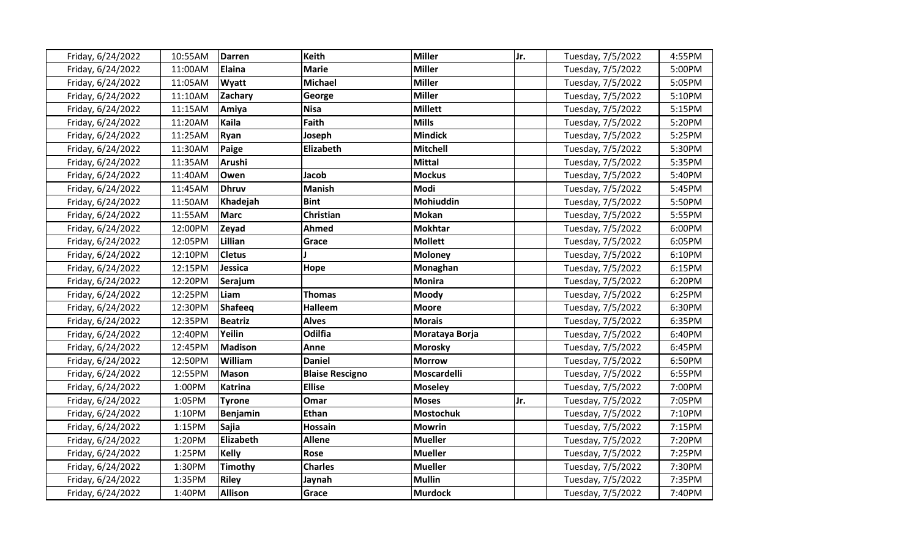| Friday, 6/24/2022 | 10:55AM | <b>Darren</b>  | <b>Keith</b>           | <b>Miller</b>    | Jr. | Tuesday, 7/5/2022 | 4:55PM |
|-------------------|---------|----------------|------------------------|------------------|-----|-------------------|--------|
| Friday, 6/24/2022 | 11:00AM | Elaina         | <b>Marie</b>           | <b>Miller</b>    |     | Tuesday, 7/5/2022 | 5:00PM |
| Friday, 6/24/2022 | 11:05AM | Wyatt          | <b>Michael</b>         | <b>Miller</b>    |     | Tuesday, 7/5/2022 | 5:05PM |
| Friday, 6/24/2022 | 11:10AM | <b>Zachary</b> | George                 | <b>Miller</b>    |     | Tuesday, 7/5/2022 | 5:10PM |
| Friday, 6/24/2022 | 11:15AM | Amiya          | <b>Nisa</b>            | <b>Millett</b>   |     | Tuesday, 7/5/2022 | 5:15PM |
| Friday, 6/24/2022 | 11:20AM | Kaila          | Faith                  | <b>Mills</b>     |     | Tuesday, 7/5/2022 | 5:20PM |
| Friday, 6/24/2022 | 11:25AM | Ryan           | Joseph                 | <b>Mindick</b>   |     | Tuesday, 7/5/2022 | 5:25PM |
| Friday, 6/24/2022 | 11:30AM | <b>Paige</b>   | Elizabeth              | <b>Mitchell</b>  |     | Tuesday, 7/5/2022 | 5:30PM |
| Friday, 6/24/2022 | 11:35AM | Arushi         |                        | <b>Mittal</b>    |     | Tuesday, 7/5/2022 | 5:35PM |
| Friday, 6/24/2022 | 11:40AM | Owen           | <b>Jacob</b>           | <b>Mockus</b>    |     | Tuesday, 7/5/2022 | 5:40PM |
| Friday, 6/24/2022 | 11:45AM | <b>Dhruv</b>   | <b>Manish</b>          | Modi             |     | Tuesday, 7/5/2022 | 5:45PM |
| Friday, 6/24/2022 | 11:50AM | Khadejah       | <b>Bint</b>            | Mohiuddin        |     | Tuesday, 7/5/2022 | 5:50PM |
| Friday, 6/24/2022 | 11:55AM | Marc           | Christian              | <b>Mokan</b>     |     | Tuesday, 7/5/2022 | 5:55PM |
| Friday, 6/24/2022 | 12:00PM | Zeyad          | Ahmed                  | <b>Mokhtar</b>   |     | Tuesday, 7/5/2022 | 6:00PM |
| Friday, 6/24/2022 | 12:05PM | Lillian        | Grace                  | <b>Mollett</b>   |     | Tuesday, 7/5/2022 | 6:05PM |
| Friday, 6/24/2022 | 12:10PM | <b>Cletus</b>  |                        | <b>Moloney</b>   |     | Tuesday, 7/5/2022 | 6:10PM |
| Friday, 6/24/2022 | 12:15PM | Jessica        | Hope                   | Monaghan         |     | Tuesday, 7/5/2022 | 6:15PM |
| Friday, 6/24/2022 | 12:20PM | Serajum        |                        | <b>Monira</b>    |     | Tuesday, 7/5/2022 | 6:20PM |
| Friday, 6/24/2022 | 12:25PM | Liam           | <b>Thomas</b>          | Moody            |     | Tuesday, 7/5/2022 | 6:25PM |
| Friday, 6/24/2022 | 12:30PM | Shafeeq        | <b>Halleem</b>         | <b>Moore</b>     |     | Tuesday, 7/5/2022 | 6:30PM |
| Friday, 6/24/2022 | 12:35PM | <b>Beatriz</b> | <b>Alves</b>           | <b>Morais</b>    |     | Tuesday, 7/5/2022 | 6:35PM |
| Friday, 6/24/2022 | 12:40PM | Yeilin         | Odilfia                | Morataya Borja   |     | Tuesday, 7/5/2022 | 6:40PM |
| Friday, 6/24/2022 | 12:45PM | <b>Madison</b> | Anne                   | <b>Morosky</b>   |     | Tuesday, 7/5/2022 | 6:45PM |
| Friday, 6/24/2022 | 12:50PM | William        | <b>Daniel</b>          | <b>Morrow</b>    |     | Tuesday, 7/5/2022 | 6:50PM |
| Friday, 6/24/2022 | 12:55PM | <b>Mason</b>   | <b>Blaise Rescigno</b> | Moscardelli      |     | Tuesday, 7/5/2022 | 6:55PM |
| Friday, 6/24/2022 | 1:00PM  | <b>Katrina</b> | <b>Ellise</b>          | <b>Moseley</b>   |     | Tuesday, 7/5/2022 | 7:00PM |
| Friday, 6/24/2022 | 1:05PM  | <b>Tyrone</b>  | Omar                   | <b>Moses</b>     | Jr. | Tuesday, 7/5/2022 | 7:05PM |
| Friday, 6/24/2022 | 1:10PM  | Benjamin       | <b>Ethan</b>           | <b>Mostochuk</b> |     | Tuesday, 7/5/2022 | 7:10PM |
| Friday, 6/24/2022 | 1:15PM  | <b>Sajia</b>   | <b>Hossain</b>         | <b>Mowrin</b>    |     | Tuesday, 7/5/2022 | 7:15PM |
| Friday, 6/24/2022 | 1:20PM  | Elizabeth      | <b>Allene</b>          | <b>Mueller</b>   |     | Tuesday, 7/5/2022 | 7:20PM |
| Friday, 6/24/2022 | 1:25PM  | Kelly          | Rose                   | <b>Mueller</b>   |     | Tuesday, 7/5/2022 | 7:25PM |
| Friday, 6/24/2022 | 1:30PM  | <b>Timothy</b> | <b>Charles</b>         | <b>Mueller</b>   |     | Tuesday, 7/5/2022 | 7:30PM |
| Friday, 6/24/2022 | 1:35PM  | <b>Riley</b>   | Jaynah                 | <b>Mullin</b>    |     | Tuesday, 7/5/2022 | 7:35PM |
| Friday, 6/24/2022 | 1:40PM  | Allison        | Grace                  | <b>Murdock</b>   |     | Tuesday, 7/5/2022 | 7:40PM |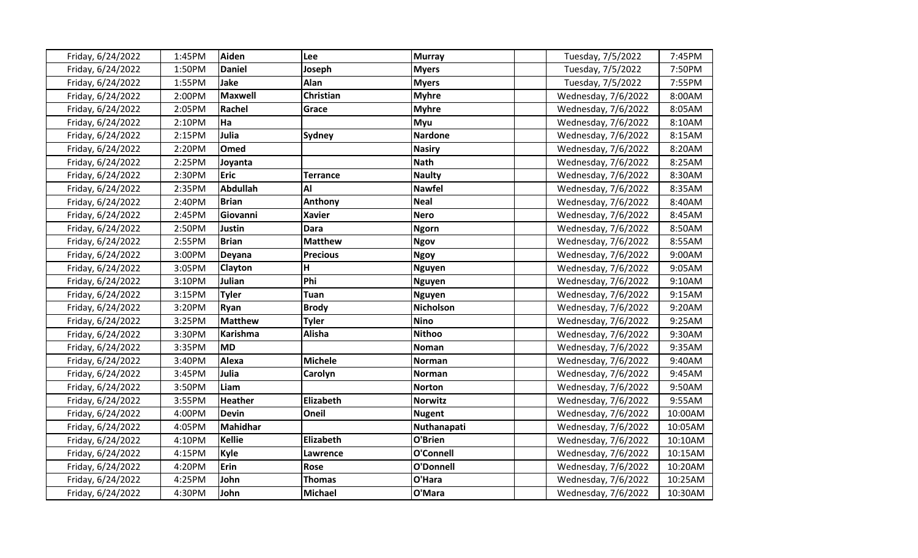| Friday, 6/24/2022 | 1:45PM | Aiden           | Lee             | <b>Murray</b>  | Tuesday, 7/5/2022   | 7:45PM  |
|-------------------|--------|-----------------|-----------------|----------------|---------------------|---------|
| Friday, 6/24/2022 | 1:50PM | <b>Daniel</b>   | Joseph          | <b>Myers</b>   | Tuesday, 7/5/2022   | 7:50PM  |
| Friday, 6/24/2022 | 1:55PM | Jake            | Alan            | <b>Myers</b>   | Tuesday, 7/5/2022   | 7:55PM  |
| Friday, 6/24/2022 | 2:00PM | Maxwell         | Christian       | <b>Myhre</b>   | Wednesday, 7/6/2022 | 8:00AM  |
| Friday, 6/24/2022 | 2:05PM | Rachel          | Grace           | <b>Myhre</b>   | Wednesday, 7/6/2022 | 8:05AM  |
| Friday, 6/24/2022 | 2:10PM | Ha              |                 | Myu            | Wednesday, 7/6/2022 | 8:10AM  |
| Friday, 6/24/2022 | 2:15PM | Julia           | Sydney          | <b>Nardone</b> | Wednesday, 7/6/2022 | 8:15AM  |
| Friday, 6/24/2022 | 2:20PM | <b>Omed</b>     |                 | <b>Nasiry</b>  | Wednesday, 7/6/2022 | 8:20AM  |
| Friday, 6/24/2022 | 2:25PM | Joyanta         |                 | <b>Nath</b>    | Wednesday, 7/6/2022 | 8:25AM  |
| Friday, 6/24/2022 | 2:30PM | <b>Eric</b>     | <b>Terrance</b> | <b>Naulty</b>  | Wednesday, 7/6/2022 | 8:30AM  |
| Friday, 6/24/2022 | 2:35PM | Abdullah        | Al              | <b>Nawfel</b>  | Wednesday, 7/6/2022 | 8:35AM  |
| Friday, 6/24/2022 | 2:40PM | <b>Brian</b>    | Anthony         | <b>Neal</b>    | Wednesday, 7/6/2022 | 8:40AM  |
| Friday, 6/24/2022 | 2:45PM | Giovanni        | <b>Xavier</b>   | <b>Nero</b>    | Wednesday, 7/6/2022 | 8:45AM  |
| Friday, 6/24/2022 | 2:50PM | Justin          | <b>Dara</b>     | <b>Ngorn</b>   | Wednesday, 7/6/2022 | 8:50AM  |
| Friday, 6/24/2022 | 2:55PM | <b>Brian</b>    | <b>Matthew</b>  | <b>Ngov</b>    | Wednesday, 7/6/2022 | 8:55AM  |
| Friday, 6/24/2022 | 3:00PM | Deyana          | <b>Precious</b> | <b>Ngoy</b>    | Wednesday, 7/6/2022 | 9:00AM  |
| Friday, 6/24/2022 | 3:05PM | <b>Clayton</b>  | H               | <b>Nguyen</b>  | Wednesday, 7/6/2022 | 9:05AM  |
| Friday, 6/24/2022 | 3:10PM | Julian          | Phi             | <b>Nguyen</b>  | Wednesday, 7/6/2022 | 9:10AM  |
| Friday, 6/24/2022 | 3:15PM | <b>Tyler</b>    | Tuan            | <b>Nguyen</b>  | Wednesday, 7/6/2022 | 9:15AM  |
| Friday, 6/24/2022 | 3:20PM | <b>Ryan</b>     | <b>Brody</b>    | Nicholson      | Wednesday, 7/6/2022 | 9:20AM  |
| Friday, 6/24/2022 | 3:25PM | <b>Matthew</b>  | <b>Tyler</b>    | <b>Nino</b>    | Wednesday, 7/6/2022 | 9:25AM  |
| Friday, 6/24/2022 | 3:30PM | <b>Karishma</b> | Alisha          | <b>Nithoo</b>  | Wednesday, 7/6/2022 | 9:30AM  |
| Friday, 6/24/2022 | 3:35PM | lmd             |                 | Noman          | Wednesday, 7/6/2022 | 9:35AM  |
| Friday, 6/24/2022 | 3:40PM | Alexa           | <b>Michele</b>  | Norman         | Wednesday, 7/6/2022 | 9:40AM  |
| Friday, 6/24/2022 | 3:45PM | Julia           | Carolyn         | Norman         | Wednesday, 7/6/2022 | 9:45AM  |
| Friday, 6/24/2022 | 3:50PM | Liam            |                 | <b>Norton</b>  | Wednesday, 7/6/2022 | 9:50AM  |
| Friday, 6/24/2022 | 3:55PM | <b>Heather</b>  | Elizabeth       | <b>Norwitz</b> | Wednesday, 7/6/2022 | 9:55AM  |
| Friday, 6/24/2022 | 4:00PM | <b>Devin</b>    | Oneil           | <b>Nugent</b>  | Wednesday, 7/6/2022 | 10:00AM |
| Friday, 6/24/2022 | 4:05PM | Mahidhar        |                 | Nuthanapati    | Wednesday, 7/6/2022 | 10:05AM |
| Friday, 6/24/2022 | 4:10PM | Kellie          | Elizabeth       | O'Brien        | Wednesday, 7/6/2022 | 10:10AM |
| Friday, 6/24/2022 | 4:15PM | Kyle            | Lawrence        | O'Connell      | Wednesday, 7/6/2022 | 10:15AM |
| Friday, 6/24/2022 | 4:20PM | Erin            | Rose            | O'Donnell      | Wednesday, 7/6/2022 | 10:20AM |
| Friday, 6/24/2022 | 4:25PM | John            | <b>Thomas</b>   | O'Hara         | Wednesday, 7/6/2022 | 10:25AM |
| Friday, 6/24/2022 | 4:30PM | John            | <b>Michael</b>  | O'Mara         | Wednesday, 7/6/2022 | 10:30AM |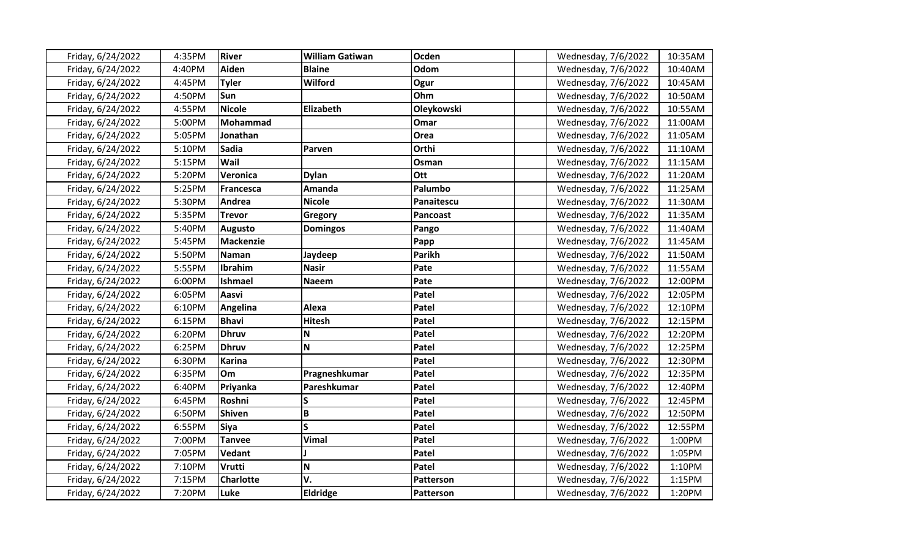| Friday, 6/24/2022 | 4:35PM | <b>River</b>     | <b>William Gatiwan</b> | Ocden           | Wednesday, 7/6/2022 | 10:35AM |
|-------------------|--------|------------------|------------------------|-----------------|---------------------|---------|
| Friday, 6/24/2022 | 4:40PM | Aiden            | <b>Blaine</b>          | Odom            | Wednesday, 7/6/2022 | 10:40AM |
| Friday, 6/24/2022 | 4:45PM | <b>Tyler</b>     | Wilford                | Ogur            | Wednesday, 7/6/2022 | 10:45AM |
| Friday, 6/24/2022 | 4:50PM | Sun              |                        | Ohm             | Wednesday, 7/6/2022 | 10:50AM |
| Friday, 6/24/2022 | 4:55PM | <b>Nicole</b>    | Elizabeth              | Oleykowski      | Wednesday, 7/6/2022 | 10:55AM |
| Friday, 6/24/2022 | 5:00PM | <b>Mohammad</b>  |                        | Omar            | Wednesday, 7/6/2022 | 11:00AM |
| Friday, 6/24/2022 | 5:05PM | Jonathan         |                        | Orea            | Wednesday, 7/6/2022 | 11:05AM |
| Friday, 6/24/2022 | 5:10PM | <b>Sadia</b>     | Parven                 | Orthi           | Wednesday, 7/6/2022 | 11:10AM |
| Friday, 6/24/2022 | 5:15PM | Wail             |                        | Osman           | Wednesday, 7/6/2022 | 11:15AM |
| Friday, 6/24/2022 | 5:20PM | Veronica         | <b>Dylan</b>           | Ott             | Wednesday, 7/6/2022 | 11:20AM |
| Friday, 6/24/2022 | 5:25PM | <b>Francesca</b> | Amanda                 | Palumbo         | Wednesday, 7/6/2022 | 11:25AM |
| Friday, 6/24/2022 | 5:30PM | Andrea           | <b>Nicole</b>          | Panaitescu      | Wednesday, 7/6/2022 | 11:30AM |
| Friday, 6/24/2022 | 5:35PM | <b>Trevor</b>    | Gregory                | <b>Pancoast</b> | Wednesday, 7/6/2022 | 11:35AM |
| Friday, 6/24/2022 | 5:40PM | <b>Augusto</b>   | <b>Domingos</b>        | Pango           | Wednesday, 7/6/2022 | 11:40AM |
| Friday, 6/24/2022 | 5:45PM | <b>Mackenzie</b> |                        | Papp            | Wednesday, 7/6/2022 | 11:45AM |
| Friday, 6/24/2022 | 5:50PM | Naman            | Jaydeep                | <b>Parikh</b>   | Wednesday, 7/6/2022 | 11:50AM |
| Friday, 6/24/2022 | 5:55PM | Ibrahim          | <b>Nasir</b>           | Pate            | Wednesday, 7/6/2022 | 11:55AM |
| Friday, 6/24/2022 | 6:00PM | <b>Ishmael</b>   | <b>Naeem</b>           | Pate            | Wednesday, 7/6/2022 | 12:00PM |
| Friday, 6/24/2022 | 6:05PM | Aasvi            |                        | Patel           | Wednesday, 7/6/2022 | 12:05PM |
| Friday, 6/24/2022 | 6:10PM | Angelina         | Alexa                  | Patel           | Wednesday, 7/6/2022 | 12:10PM |
| Friday, 6/24/2022 | 6:15PM | <b>Bhavi</b>     | <b>Hitesh</b>          | Patel           | Wednesday, 7/6/2022 | 12:15PM |
| Friday, 6/24/2022 | 6:20PM | <b>Dhruv</b>     | N                      | Patel           | Wednesday, 7/6/2022 | 12:20PM |
| Friday, 6/24/2022 | 6:25PM | <b>Dhruv</b>     | N                      | Patel           | Wednesday, 7/6/2022 | 12:25PM |
| Friday, 6/24/2022 | 6:30PM | <b>Karina</b>    |                        | Patel           | Wednesday, 7/6/2022 | 12:30PM |
| Friday, 6/24/2022 | 6:35PM | Om               | Pragneshkumar          | Patel           | Wednesday, 7/6/2022 | 12:35PM |
| Friday, 6/24/2022 | 6:40PM | Priyanka         | Pareshkumar            | Patel           | Wednesday, 7/6/2022 | 12:40PM |
| Friday, 6/24/2022 | 6:45PM | Roshni           | S                      | Patel           | Wednesday, 7/6/2022 | 12:45PM |
| Friday, 6/24/2022 | 6:50PM | Shiven           | B                      | Patel           | Wednesday, 7/6/2022 | 12:50PM |
| Friday, 6/24/2022 | 6:55PM | <b>Siya</b>      | $\mathsf{s}$           | Patel           | Wednesday, 7/6/2022 | 12:55PM |
| Friday, 6/24/2022 | 7:00PM | <b>Tanvee</b>    | <b>Vimal</b>           | Patel           | Wednesday, 7/6/2022 | 1:00PM  |
| Friday, 6/24/2022 | 7:05PM | <b>Vedant</b>    |                        | Patel           | Wednesday, 7/6/2022 | 1:05PM  |
| Friday, 6/24/2022 | 7:10PM | <b>Vrutti</b>    | N                      | Patel           | Wednesday, 7/6/2022 | 1:10PM  |
| Friday, 6/24/2022 | 7:15PM | <b>Charlotte</b> | V.                     | Patterson       | Wednesday, 7/6/2022 | 1:15PM  |
| Friday, 6/24/2022 | 7:20PM | Luke             | <b>Eldridge</b>        | Patterson       | Wednesday, 7/6/2022 | 1:20PM  |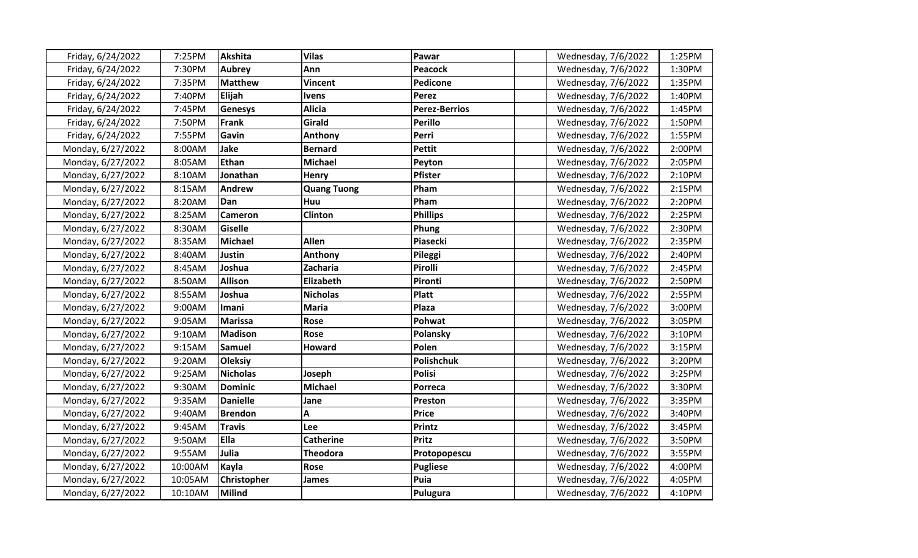| Friday, 6/24/2022 | 7:25PM  | <b>Akshita</b>     | <b>Vilas</b>       | Pawar                | Wednesday, 7/6/2022 | 1:25PM |
|-------------------|---------|--------------------|--------------------|----------------------|---------------------|--------|
| Friday, 6/24/2022 | 7:30PM  | Aubrey             | Ann                | <b>Peacock</b>       | Wednesday, 7/6/2022 | 1:30PM |
| Friday, 6/24/2022 | 7:35PM  | <b>Matthew</b>     | Vincent            | Pedicone             | Wednesday, 7/6/2022 | 1:35PM |
| Friday, 6/24/2022 | 7:40PM  | <b>Elijah</b>      | <b>Ivens</b>       | Perez                | Wednesday, 7/6/2022 | 1:40PM |
| Friday, 6/24/2022 | 7:45PM  | <b>Genesys</b>     | <b>Alicia</b>      | <b>Perez-Berrios</b> | Wednesday, 7/6/2022 | 1:45PM |
| Friday, 6/24/2022 | 7:50PM  | <b>Frank</b>       | Girald             | <b>Perillo</b>       | Wednesday, 7/6/2022 | 1:50PM |
| Friday, 6/24/2022 | 7:55PM  | Gavin              | Anthony            | Perri                | Wednesday, 7/6/2022 | 1:55PM |
| Monday, 6/27/2022 | 8:00AM  | Jake               | <b>Bernard</b>     | <b>Pettit</b>        | Wednesday, 7/6/2022 | 2:00PM |
| Monday, 6/27/2022 | 8:05AM  | <b>Ethan</b>       | <b>Michael</b>     | Peyton               | Wednesday, 7/6/2022 | 2:05PM |
| Monday, 6/27/2022 | 8:10AM  | Jonathan           | <b>Henry</b>       | <b>Pfister</b>       | Wednesday, 7/6/2022 | 2:10PM |
| Monday, 6/27/2022 | 8:15AM  | Andrew             | <b>Quang Tuong</b> | Pham                 | Wednesday, 7/6/2022 | 2:15PM |
| Monday, 6/27/2022 | 8:20AM  | Dan                | Huu                | Pham                 | Wednesday, 7/6/2022 | 2:20PM |
| Monday, 6/27/2022 | 8:25AM  | <b>Cameron</b>     | <b>Clinton</b>     | <b>Phillips</b>      | Wednesday, 7/6/2022 | 2:25PM |
| Monday, 6/27/2022 | 8:30AM  | <b>Giselle</b>     |                    | Phung                | Wednesday, 7/6/2022 | 2:30PM |
| Monday, 6/27/2022 | 8:35AM  | <b>Michael</b>     | <b>Allen</b>       | Piasecki             | Wednesday, 7/6/2022 | 2:35PM |
| Monday, 6/27/2022 | 8:40AM  | <b>Justin</b>      | Anthony            | Pileggi              | Wednesday, 7/6/2022 | 2:40PM |
| Monday, 6/27/2022 | 8:45AM  | Joshua             | Zacharia           | Pirolli              | Wednesday, 7/6/2022 | 2:45PM |
| Monday, 6/27/2022 | 8:50AM  | <b>Allison</b>     | Elizabeth          | Pironti              | Wednesday, 7/6/2022 | 2:50PM |
| Monday, 6/27/2022 | 8:55AM  | Joshua             | <b>Nicholas</b>    | <b>Platt</b>         | Wednesday, 7/6/2022 | 2:55PM |
| Monday, 6/27/2022 | 9:00AM  | Imani              | <b>Maria</b>       | Plaza                | Wednesday, 7/6/2022 | 3:00PM |
| Monday, 6/27/2022 | 9:05AM  | Marissa            | <b>Rose</b>        | Pohwat               | Wednesday, 7/6/2022 | 3:05PM |
| Monday, 6/27/2022 | 9:10AM  | <b>Madison</b>     | <b>Rose</b>        | Polansky             | Wednesday, 7/6/2022 | 3:10PM |
| Monday, 6/27/2022 | 9:15AM  | <b>Samuel</b>      | <b>Howard</b>      | Polen                | Wednesday, 7/6/2022 | 3:15PM |
| Monday, 6/27/2022 | 9:20AM  | <b>Oleksiy</b>     |                    | <b>Polishchuk</b>    | Wednesday, 7/6/2022 | 3:20PM |
| Monday, 6/27/2022 | 9:25AM  | <b>Nicholas</b>    | Joseph             | <b>Polisi</b>        | Wednesday, 7/6/2022 | 3:25PM |
| Monday, 6/27/2022 | 9:30AM  | <b>Dominic</b>     | <b>Michael</b>     | <b>Porreca</b>       | Wednesday, 7/6/2022 | 3:30PM |
| Monday, 6/27/2022 | 9:35AM  | <b>Danielle</b>    | Jane               | Preston              | Wednesday, 7/6/2022 | 3:35PM |
| Monday, 6/27/2022 | 9:40AM  | <b>Brendon</b>     | A                  | <b>Price</b>         | Wednesday, 7/6/2022 | 3:40PM |
| Monday, 6/27/2022 | 9:45AM  | <b>Travis</b>      | Lee                | <b>Printz</b>        | Wednesday, 7/6/2022 | 3:45PM |
| Monday, 6/27/2022 | 9:50AM  | <b>Ella</b>        | <b>Catherine</b>   | <b>Pritz</b>         | Wednesday, 7/6/2022 | 3:50PM |
| Monday, 6/27/2022 | 9:55AM  | Julia              | <b>Theodora</b>    | Protopopescu         | Wednesday, 7/6/2022 | 3:55PM |
| Monday, 6/27/2022 | 10:00AM | Kayla              | <b>Rose</b>        | <b>Pugliese</b>      | Wednesday, 7/6/2022 | 4:00PM |
| Monday, 6/27/2022 | 10:05AM | <b>Christopher</b> | <b>James</b>       | Puia                 | Wednesday, 7/6/2022 | 4:05PM |
| Monday, 6/27/2022 | 10:10AM | Milind             |                    | Pulugura             | Wednesday, 7/6/2022 | 4:10PM |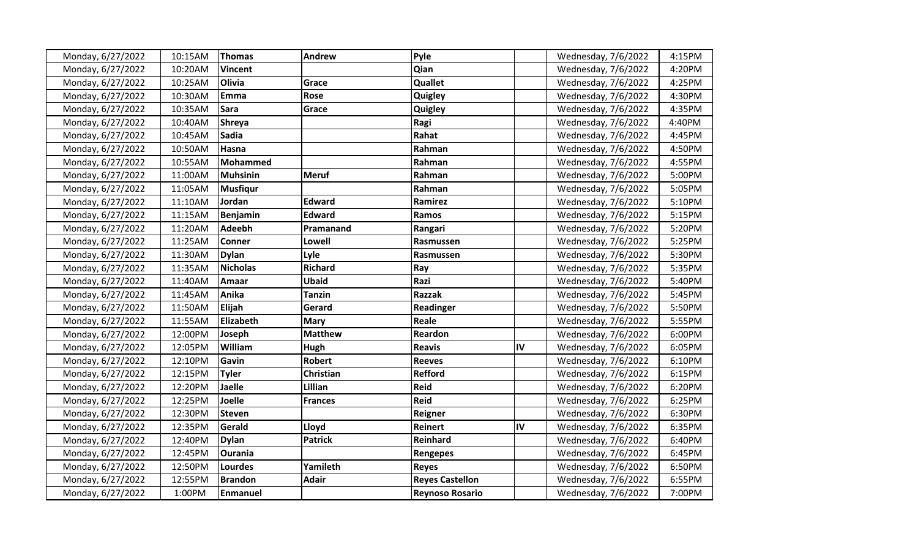| Monday, 6/27/2022 | 10:15AM | <b>Thomas</b>   | <b>Andrew</b>    | Pyle                   |    | Wednesday, 7/6/2022 | 4:15PM |
|-------------------|---------|-----------------|------------------|------------------------|----|---------------------|--------|
| Monday, 6/27/2022 | 10:20AM | <b>Vincent</b>  |                  | Qian                   |    | Wednesday, 7/6/2022 | 4:20PM |
| Monday, 6/27/2022 | 10:25AM | Olivia          | Grace            | Quallet                |    | Wednesday, 7/6/2022 | 4:25PM |
| Monday, 6/27/2022 | 10:30AM | Emma            | <b>Rose</b>      | Quigley                |    | Wednesday, 7/6/2022 | 4:30PM |
| Monday, 6/27/2022 | 10:35AM | <b>Sara</b>     | Grace            | Quigley                |    | Wednesday, 7/6/2022 | 4:35PM |
| Monday, 6/27/2022 | 10:40AM | <b>Shreya</b>   |                  | Ragi                   |    | Wednesday, 7/6/2022 | 4:40PM |
| Monday, 6/27/2022 | 10:45AM | <b>Sadia</b>    |                  | Rahat                  |    | Wednesday, 7/6/2022 | 4:45PM |
| Monday, 6/27/2022 | 10:50AM | Hasna           |                  | Rahman                 |    | Wednesday, 7/6/2022 | 4:50PM |
| Monday, 6/27/2022 | 10:55AM | Mohammed        |                  | Rahman                 |    | Wednesday, 7/6/2022 | 4:55PM |
| Monday, 6/27/2022 | 11:00AM | Muhsinin        | <b>Meruf</b>     | Rahman                 |    | Wednesday, 7/6/2022 | 5:00PM |
| Monday, 6/27/2022 | 11:05AM | <b>Musfigur</b> |                  | Rahman                 |    | Wednesday, 7/6/2022 | 5:05PM |
| Monday, 6/27/2022 | 11:10AM | Jordan          | <b>Edward</b>    | Ramirez                |    | Wednesday, 7/6/2022 | 5:10PM |
| Monday, 6/27/2022 | 11:15AM | <b>Benjamin</b> | <b>Edward</b>    | <b>Ramos</b>           |    | Wednesday, 7/6/2022 | 5:15PM |
| Monday, 6/27/2022 | 11:20AM | <b>Adeebh</b>   | Pramanand        | Rangari                |    | Wednesday, 7/6/2022 | 5:20PM |
| Monday, 6/27/2022 | 11:25AM | <b>Conner</b>   | Lowell           | Rasmussen              |    | Wednesday, 7/6/2022 | 5:25PM |
| Monday, 6/27/2022 | 11:30AM | <b>Dylan</b>    | Lyle             | Rasmussen              |    | Wednesday, 7/6/2022 | 5:30PM |
| Monday, 6/27/2022 | 11:35AM | <b>Nicholas</b> | <b>Richard</b>   | Ray                    |    | Wednesday, 7/6/2022 | 5:35PM |
| Monday, 6/27/2022 | 11:40AM | Amaar           | <b>Ubaid</b>     | Razi                   |    | Wednesday, 7/6/2022 | 5:40PM |
| Monday, 6/27/2022 | 11:45AM | Anika           | <b>Tanzin</b>    | <b>Razzak</b>          |    | Wednesday, 7/6/2022 | 5:45PM |
| Monday, 6/27/2022 | 11:50AM | <b>Elijah</b>   | Gerard           | Readinger              |    | Wednesday, 7/6/2022 | 5:50PM |
| Monday, 6/27/2022 | 11:55AM | Elizabeth       | <b>Mary</b>      | Reale                  |    | Wednesday, 7/6/2022 | 5:55PM |
| Monday, 6/27/2022 | 12:00PM | Joseph          | <b>Matthew</b>   | Reardon                |    | Wednesday, 7/6/2022 | 6:00PM |
| Monday, 6/27/2022 | 12:05PM | William         | <b>Hugh</b>      | <b>Reavis</b>          | IV | Wednesday, 7/6/2022 | 6:05PM |
| Monday, 6/27/2022 | 12:10PM | Gavin           | <b>Robert</b>    | <b>Reeves</b>          |    | Wednesday, 7/6/2022 | 6:10PM |
| Monday, 6/27/2022 | 12:15PM | <b>Tyler</b>    | <b>Christian</b> | <b>Refford</b>         |    | Wednesday, 7/6/2022 | 6:15PM |
| Monday, 6/27/2022 | 12:20PM | <b>Jaelle</b>   | Lillian          | <b>Reid</b>            |    | Wednesday, 7/6/2022 | 6:20PM |
| Monday, 6/27/2022 | 12:25PM | Joelle          | <b>Frances</b>   | <b>Reid</b>            |    | Wednesday, 7/6/2022 | 6:25PM |
| Monday, 6/27/2022 | 12:30PM | <b>Steven</b>   |                  | Reigner                |    | Wednesday, 7/6/2022 | 6:30PM |
| Monday, 6/27/2022 | 12:35PM | Gerald          | Lloyd            | <b>Reinert</b>         | IV | Wednesday, 7/6/2022 | 6:35PM |
| Monday, 6/27/2022 | 12:40PM | <b>Dylan</b>    | <b>Patrick</b>   | Reinhard               |    | Wednesday, 7/6/2022 | 6:40PM |
| Monday, 6/27/2022 | 12:45PM | <b>Ourania</b>  |                  | Rengepes               |    | Wednesday, 7/6/2022 | 6:45PM |
| Monday, 6/27/2022 | 12:50PM | Lourdes         | Yamileth         | <b>Reyes</b>           |    | Wednesday, 7/6/2022 | 6:50PM |
| Monday, 6/27/2022 | 12:55PM | <b>Brandon</b>  | <b>Adair</b>     | <b>Reyes Castellon</b> |    | Wednesday, 7/6/2022 | 6:55PM |
| Monday, 6/27/2022 | 1:00PM  | <b>Enmanuel</b> |                  | <b>Reynoso Rosario</b> |    | Wednesday, 7/6/2022 | 7:00PM |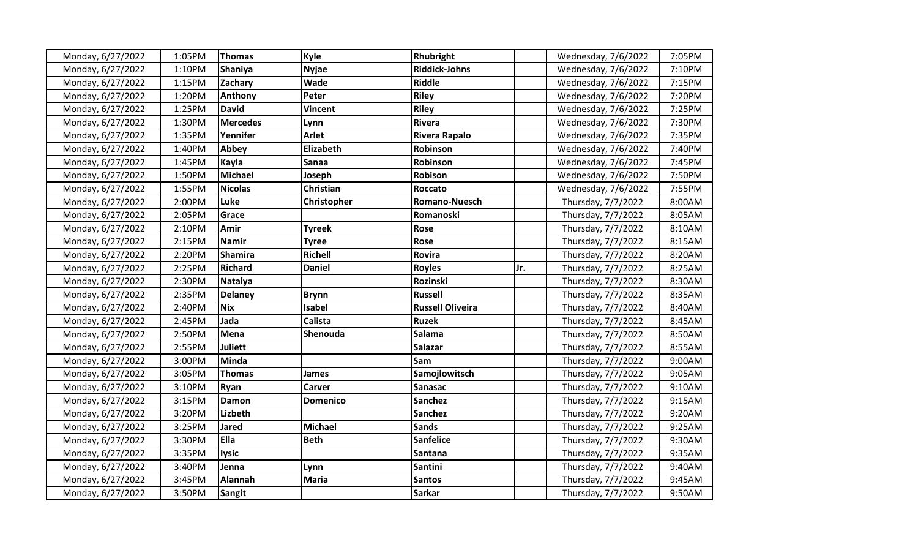| Monday, 6/27/2022 | 1:05PM | <b>Thomas</b>   | Kyle            | Rhubright               |     | Wednesday, 7/6/2022 | 7:05PM |
|-------------------|--------|-----------------|-----------------|-------------------------|-----|---------------------|--------|
| Monday, 6/27/2022 | 1:10PM | <b>Shaniya</b>  | <b>Nyjae</b>    | <b>Riddick-Johns</b>    |     | Wednesday, 7/6/2022 | 7:10PM |
| Monday, 6/27/2022 | 1:15PM | Zachary         | Wade            | <b>Riddle</b>           |     | Wednesday, 7/6/2022 | 7:15PM |
| Monday, 6/27/2022 | 1:20PM | Anthony         | Peter           | <b>Riley</b>            |     | Wednesday, 7/6/2022 | 7:20PM |
| Monday, 6/27/2022 | 1:25PM | <b>David</b>    | <b>Vincent</b>  | <b>Riley</b>            |     | Wednesday, 7/6/2022 | 7:25PM |
| Monday, 6/27/2022 | 1:30PM | <b>Mercedes</b> | Lynn            | <b>Rivera</b>           |     | Wednesday, 7/6/2022 | 7:30PM |
| Monday, 6/27/2022 | 1:35PM | Yennifer        | <b>Arlet</b>    | Rivera Rapalo           |     | Wednesday, 7/6/2022 | 7:35PM |
| Monday, 6/27/2022 | 1:40PM | Abbey           | Elizabeth       | Robinson                |     | Wednesday, 7/6/2022 | 7:40PM |
| Monday, 6/27/2022 | 1:45PM | Kayla           | Sanaa           | Robinson                |     | Wednesday, 7/6/2022 | 7:45PM |
| Monday, 6/27/2022 | 1:50PM | Michael         | Joseph          | <b>Robison</b>          |     | Wednesday, 7/6/2022 | 7:50PM |
| Monday, 6/27/2022 | 1:55PM | <b>Nicolas</b>  | Christian       | Roccato                 |     | Wednesday, 7/6/2022 | 7:55PM |
| Monday, 6/27/2022 | 2:00PM | Luke            | Christopher     | <b>Romano-Nuesch</b>    |     | Thursday, 7/7/2022  | 8:00AM |
| Monday, 6/27/2022 | 2:05PM | Grace           |                 | Romanoski               |     | Thursday, 7/7/2022  | 8:05AM |
| Monday, 6/27/2022 | 2:10PM | Amir            | <b>Tyreek</b>   | Rose                    |     | Thursday, 7/7/2022  | 8:10AM |
| Monday, 6/27/2022 | 2:15PM | Namir           | <b>Tyree</b>    | Rose                    |     | Thursday, 7/7/2022  | 8:15AM |
| Monday, 6/27/2022 | 2:20PM | <b>Shamira</b>  | <b>Richell</b>  | Rovira                  |     | Thursday, 7/7/2022  | 8:20AM |
| Monday, 6/27/2022 | 2:25PM | <b>Richard</b>  | <b>Daniel</b>   | <b>Royles</b>           | Jr. | Thursday, 7/7/2022  | 8:25AM |
| Monday, 6/27/2022 | 2:30PM | Natalya         |                 | Rozinski                |     | Thursday, 7/7/2022  | 8:30AM |
| Monday, 6/27/2022 | 2:35PM | <b>Delaney</b>  | <b>Brynn</b>    | <b>Russell</b>          |     | Thursday, 7/7/2022  | 8:35AM |
| Monday, 6/27/2022 | 2:40PM | <b>Nix</b>      | <b>Isabel</b>   | <b>Russell Oliveira</b> |     | Thursday, 7/7/2022  | 8:40AM |
| Monday, 6/27/2022 | 2:45PM | Jada            | <b>Calista</b>  | <b>Ruzek</b>            |     | Thursday, 7/7/2022  | 8:45AM |
| Monday, 6/27/2022 | 2:50PM | Mena            | Shenouda        | Salama                  |     | Thursday, 7/7/2022  | 8:50AM |
| Monday, 6/27/2022 | 2:55PM | <b>Juliett</b>  |                 | <b>Salazar</b>          |     | Thursday, 7/7/2022  | 8:55AM |
| Monday, 6/27/2022 | 3:00PM | Minda           |                 | Sam                     |     | Thursday, 7/7/2022  | 9:00AM |
| Monday, 6/27/2022 | 3:05PM | <b>Thomas</b>   | James           | Samojlowitsch           |     | Thursday, 7/7/2022  | 9:05AM |
| Monday, 6/27/2022 | 3:10PM | Ryan            | Carver          | Sanasac                 |     | Thursday, 7/7/2022  | 9:10AM |
| Monday, 6/27/2022 | 3:15PM | <b>Damon</b>    | <b>Domenico</b> | <b>Sanchez</b>          |     | Thursday, 7/7/2022  | 9:15AM |
| Monday, 6/27/2022 | 3:20PM | Lizbeth         |                 | <b>Sanchez</b>          |     | Thursday, 7/7/2022  | 9:20AM |
| Monday, 6/27/2022 | 3:25PM | <b>Jared</b>    | <b>Michael</b>  | <b>Sands</b>            |     | Thursday, 7/7/2022  | 9:25AM |
| Monday, 6/27/2022 | 3:30PM | <b>Ella</b>     | <b>Beth</b>     | <b>Sanfelice</b>        |     | Thursday, 7/7/2022  | 9:30AM |
| Monday, 6/27/2022 | 3:35PM | <b>lysic</b>    |                 | Santana                 |     | Thursday, 7/7/2022  | 9:35AM |
| Monday, 6/27/2022 | 3:40PM | Jenna           | Lynn            | Santini                 |     | Thursday, 7/7/2022  | 9:40AM |
| Monday, 6/27/2022 | 3:45PM | <b>Alannah</b>  | <b>Maria</b>    | <b>Santos</b>           |     | Thursday, 7/7/2022  | 9:45AM |
| Monday, 6/27/2022 | 3:50PM | Sangit          |                 | <b>Sarkar</b>           |     | Thursday, 7/7/2022  | 9:50AM |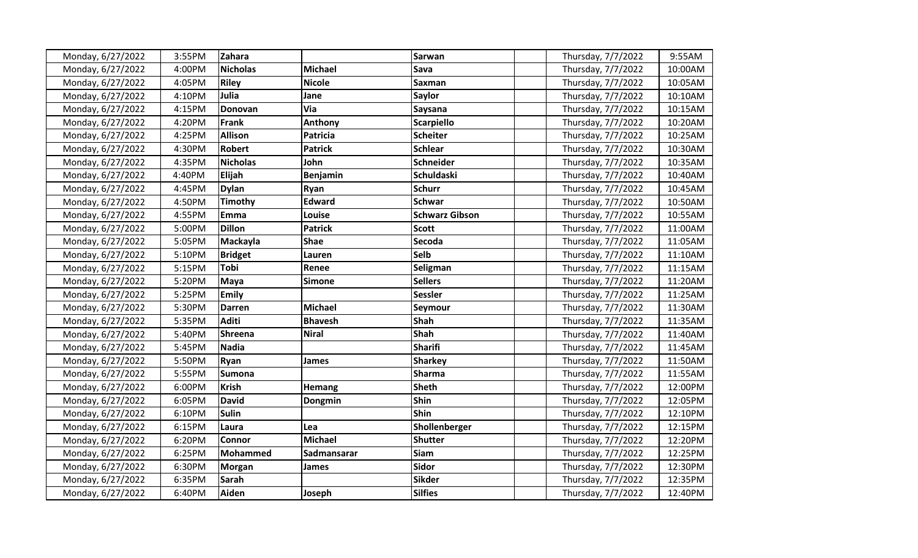| Monday, 6/27/2022 | 3:55PM | Zahara          |                 | Sarwan                | Thursday, 7/7/2022 | 9:55AM  |
|-------------------|--------|-----------------|-----------------|-----------------------|--------------------|---------|
| Monday, 6/27/2022 | 4:00PM | <b>Nicholas</b> | <b>Michael</b>  | Sava                  | Thursday, 7/7/2022 | 10:00AM |
| Monday, 6/27/2022 | 4:05PM | <b>Riley</b>    | <b>Nicole</b>   | Saxman                | Thursday, 7/7/2022 | 10:05AM |
| Monday, 6/27/2022 | 4:10PM | Julia           | Jane            | <b>Saylor</b>         | Thursday, 7/7/2022 | 10:10AM |
| Monday, 6/27/2022 | 4:15PM | Donovan         | Via             | Saysana               | Thursday, 7/7/2022 | 10:15AM |
| Monday, 6/27/2022 | 4:20PM | <b>Frank</b>    | Anthony         | <b>Scarpiello</b>     | Thursday, 7/7/2022 | 10:20AM |
| Monday, 6/27/2022 | 4:25PM | <b>Allison</b>  | Patricia        | <b>Scheiter</b>       | Thursday, 7/7/2022 | 10:25AM |
| Monday, 6/27/2022 | 4:30PM | <b>Robert</b>   | <b>Patrick</b>  | <b>Schlear</b>        | Thursday, 7/7/2022 | 10:30AM |
| Monday, 6/27/2022 | 4:35PM | <b>Nicholas</b> | John            | <b>Schneider</b>      | Thursday, 7/7/2022 | 10:35AM |
| Monday, 6/27/2022 | 4:40PM | Elijah          | <b>Benjamin</b> | <b>Schuldaski</b>     | Thursday, 7/7/2022 | 10:40AM |
| Monday, 6/27/2022 | 4:45PM | <b>Dylan</b>    | Ryan            | <b>Schurr</b>         | Thursday, 7/7/2022 | 10:45AM |
| Monday, 6/27/2022 | 4:50PM | Timothy         | <b>Edward</b>   | <b>Schwar</b>         | Thursday, 7/7/2022 | 10:50AM |
| Monday, 6/27/2022 | 4:55PM | Emma            | Louise          | <b>Schwarz Gibson</b> | Thursday, 7/7/2022 | 10:55AM |
| Monday, 6/27/2022 | 5:00PM | <b>Dillon</b>   | <b>Patrick</b>  | <b>Scott</b>          | Thursday, 7/7/2022 | 11:00AM |
| Monday, 6/27/2022 | 5:05PM | Mackayla        | <b>Shae</b>     | Secoda                | Thursday, 7/7/2022 | 11:05AM |
| Monday, 6/27/2022 | 5:10PM | <b>Bridget</b>  | Lauren          | Selb                  | Thursday, 7/7/2022 | 11:10AM |
| Monday, 6/27/2022 | 5:15PM | <b>Tobi</b>     | Renee           | Seligman              | Thursday, 7/7/2022 | 11:15AM |
| Monday, 6/27/2022 | 5:20PM | <b>Maya</b>     | <b>Simone</b>   | <b>Sellers</b>        | Thursday, 7/7/2022 | 11:20AM |
| Monday, 6/27/2022 | 5:25PM | <b>Emily</b>    |                 | <b>Sessler</b>        | Thursday, 7/7/2022 | 11:25AM |
| Monday, 6/27/2022 | 5:30PM | <b>Darren</b>   | <b>Michael</b>  | Seymour               | Thursday, 7/7/2022 | 11:30AM |
| Monday, 6/27/2022 | 5:35PM | <b>Aditi</b>    | <b>Bhavesh</b>  | Shah                  | Thursday, 7/7/2022 | 11:35AM |
| Monday, 6/27/2022 | 5:40PM | <b>Shreena</b>  | <b>Niral</b>    | <b>Shah</b>           | Thursday, 7/7/2022 | 11:40AM |
| Monday, 6/27/2022 | 5:45PM | <b>Nadia</b>    |                 | <b>Sharifi</b>        | Thursday, 7/7/2022 | 11:45AM |
| Monday, 6/27/2022 | 5:50PM | Ryan            | James           | <b>Sharkey</b>        | Thursday, 7/7/2022 | 11:50AM |
| Monday, 6/27/2022 | 5:55PM | <b>Sumona</b>   |                 | <b>Sharma</b>         | Thursday, 7/7/2022 | 11:55AM |
| Monday, 6/27/2022 | 6:00PM | <b>Krish</b>    | <b>Hemang</b>   | <b>Sheth</b>          | Thursday, 7/7/2022 | 12:00PM |
| Monday, 6/27/2022 | 6:05PM | <b>David</b>    | Dongmin         | Shin                  | Thursday, 7/7/2022 | 12:05PM |
| Monday, 6/27/2022 | 6:10PM | <b>Sulin</b>    |                 | <b>Shin</b>           | Thursday, 7/7/2022 | 12:10PM |
| Monday, 6/27/2022 | 6:15PM | Laura           | Lea             | Shollenberger         | Thursday, 7/7/2022 | 12:15PM |
| Monday, 6/27/2022 | 6:20PM | <b>Connor</b>   | <b>Michael</b>  | <b>Shutter</b>        | Thursday, 7/7/2022 | 12:20PM |
| Monday, 6/27/2022 | 6:25PM | <b>Mohammed</b> | Sadmansarar     | <b>Siam</b>           | Thursday, 7/7/2022 | 12:25PM |
| Monday, 6/27/2022 | 6:30PM | <b>Morgan</b>   | James           | <b>Sidor</b>          | Thursday, 7/7/2022 | 12:30PM |
| Monday, 6/27/2022 | 6:35PM | <b>Sarah</b>    |                 | <b>Sikder</b>         | Thursday, 7/7/2022 | 12:35PM |
| Monday, 6/27/2022 | 6:40PM | Aiden           | Joseph          | <b>Silfies</b>        | Thursday, 7/7/2022 | 12:40PM |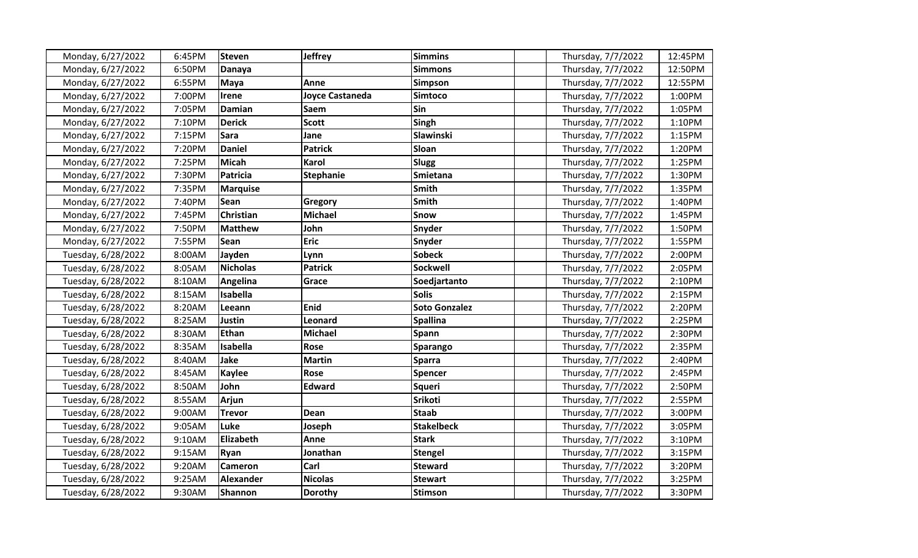| Monday, 6/27/2022  | 6:45PM | Steven           | <b>Jeffrey</b>         | <b>Simmins</b>       | Thursday, 7/7/2022 | 12:45PM |
|--------------------|--------|------------------|------------------------|----------------------|--------------------|---------|
| Monday, 6/27/2022  | 6:50PM | <b>Danaya</b>    |                        | <b>Simmons</b>       | Thursday, 7/7/2022 | 12:50PM |
| Monday, 6/27/2022  | 6:55PM | Maya             | Anne                   | <b>Simpson</b>       | Thursday, 7/7/2022 | 12:55PM |
| Monday, 6/27/2022  | 7:00PM | Irene            | <b>Joyce Castaneda</b> | Simtoco              | Thursday, 7/7/2022 | 1:00PM  |
| Monday, 6/27/2022  | 7:05PM | <b>Damian</b>    | <b>Saem</b>            | <b>Sin</b>           | Thursday, 7/7/2022 | 1:05PM  |
| Monday, 6/27/2022  | 7:10PM | <b>Derick</b>    | <b>Scott</b>           | Singh                | Thursday, 7/7/2022 | 1:10PM  |
| Monday, 6/27/2022  | 7:15PM | <b>Sara</b>      | Jane                   | Slawinski            | Thursday, 7/7/2022 | 1:15PM  |
| Monday, 6/27/2022  | 7:20PM | <b>Daniel</b>    | <b>Patrick</b>         | <b>Sloan</b>         | Thursday, 7/7/2022 | 1:20PM  |
| Monday, 6/27/2022  | 7:25PM | <b>Micah</b>     | <b>Karol</b>           | <b>Slugg</b>         | Thursday, 7/7/2022 | 1:25PM  |
| Monday, 6/27/2022  | 7:30PM | Patricia         | <b>Stephanie</b>       | Smietana             | Thursday, 7/7/2022 | 1:30PM  |
| Monday, 6/27/2022  | 7:35PM | <b>Marquise</b>  |                        | <b>Smith</b>         | Thursday, 7/7/2022 | 1:35PM  |
| Monday, 6/27/2022  | 7:40PM | Sean             | <b>Gregory</b>         | <b>Smith</b>         | Thursday, 7/7/2022 | 1:40PM  |
| Monday, 6/27/2022  | 7:45PM | Christian        | <b>Michael</b>         | <b>Snow</b>          | Thursday, 7/7/2022 | 1:45PM  |
| Monday, 6/27/2022  | 7:50PM | <b>Matthew</b>   | John                   | Snyder               | Thursday, 7/7/2022 | 1:50PM  |
| Monday, 6/27/2022  | 7:55PM | <b>Sean</b>      | <b>Eric</b>            | Snyder               | Thursday, 7/7/2022 | 1:55PM  |
| Tuesday, 6/28/2022 | 8:00AM | Jayden           | Lynn                   | <b>Sobeck</b>        | Thursday, 7/7/2022 | 2:00PM  |
| Tuesday, 6/28/2022 | 8:05AM | <b>Nicholas</b>  | <b>Patrick</b>         | <b>Sockwell</b>      | Thursday, 7/7/2022 | 2:05PM  |
| Tuesday, 6/28/2022 | 8:10AM | Angelina         | Grace                  | Soedjartanto         | Thursday, 7/7/2022 | 2:10PM  |
| Tuesday, 6/28/2022 | 8:15AM | Isabella         |                        | <b>Solis</b>         | Thursday, 7/7/2022 | 2:15PM  |
| Tuesday, 6/28/2022 | 8:20AM | Leeann           | Enid                   | <b>Soto Gonzalez</b> | Thursday, 7/7/2022 | 2:20PM  |
| Tuesday, 6/28/2022 | 8:25AM | <b>Justin</b>    | Leonard                | <b>Spallina</b>      | Thursday, 7/7/2022 | 2:25PM  |
| Tuesday, 6/28/2022 | 8:30AM | Ethan            | <b>Michael</b>         | Spann                | Thursday, 7/7/2022 | 2:30PM  |
| Tuesday, 6/28/2022 | 8:35AM | Isabella         | Rose                   | Sparango             | Thursday, 7/7/2022 | 2:35PM  |
| Tuesday, 6/28/2022 | 8:40AM | Jake             | <b>Martin</b>          | <b>Sparra</b>        | Thursday, 7/7/2022 | 2:40PM  |
| Tuesday, 6/28/2022 | 8:45AM | Kaylee           | Rose                   | <b>Spencer</b>       | Thursday, 7/7/2022 | 2:45PM  |
| Tuesday, 6/28/2022 | 8:50AM | John             | <b>Edward</b>          | <b>Squeri</b>        | Thursday, 7/7/2022 | 2:50PM  |
| Tuesday, 6/28/2022 | 8:55AM | <b>Arjun</b>     |                        | Srikoti              | Thursday, 7/7/2022 | 2:55PM  |
| Tuesday, 6/28/2022 | 9:00AM | <b>Trevor</b>    | Dean                   | <b>Staab</b>         | Thursday, 7/7/2022 | 3:00PM  |
| Tuesday, 6/28/2022 | 9:05AM | Luke             | Joseph                 | <b>Stakelbeck</b>    | Thursday, 7/7/2022 | 3:05PM  |
| Tuesday, 6/28/2022 | 9:10AM | Elizabeth        | Anne                   | <b>Stark</b>         | Thursday, 7/7/2022 | 3:10PM  |
| Tuesday, 6/28/2022 | 9:15AM | <b>Ryan</b>      | Jonathan               | <b>Stengel</b>       | Thursday, 7/7/2022 | 3:15PM  |
| Tuesday, 6/28/2022 | 9:20AM | <b>Cameron</b>   | Carl                   | <b>Steward</b>       | Thursday, 7/7/2022 | 3:20PM  |
| Tuesday, 6/28/2022 | 9:25AM | <b>Alexander</b> | <b>Nicolas</b>         | <b>Stewart</b>       | Thursday, 7/7/2022 | 3:25PM  |
| Tuesday, 6/28/2022 | 9:30AM | <b>Shannon</b>   | <b>Dorothy</b>         | <b>Stimson</b>       | Thursday, 7/7/2022 | 3:30PM  |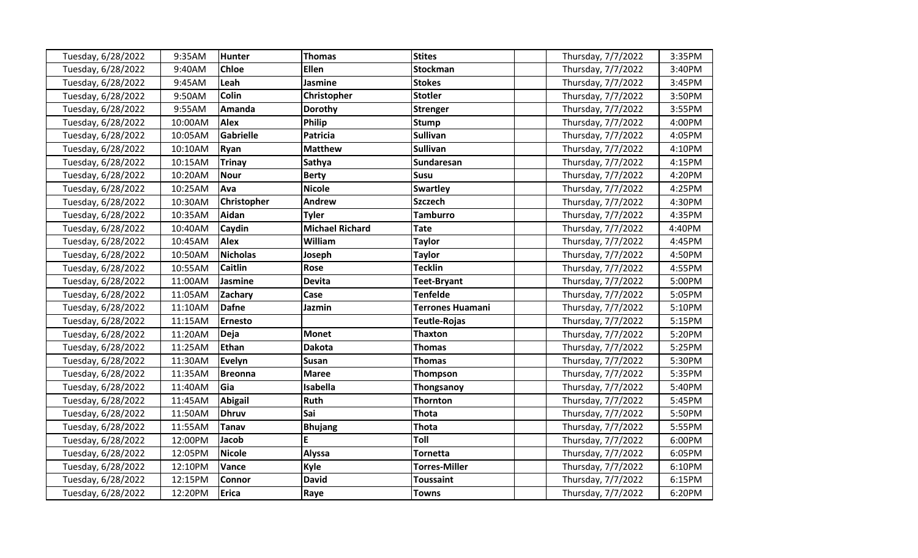| Tuesday, 6/28/2022 | 9:35AM  | <b>Hunter</b>   | <b>Thomas</b>          | <b>Stites</b>           | Thursday, 7/7/2022 | 3:35PM |
|--------------------|---------|-----------------|------------------------|-------------------------|--------------------|--------|
| Tuesday, 6/28/2022 | 9:40AM  | <b>Chloe</b>    | <b>Ellen</b>           | <b>Stockman</b>         | Thursday, 7/7/2022 | 3:40PM |
| Tuesday, 6/28/2022 | 9:45AM  | Leah            | <b>Jasmine</b>         | <b>Stokes</b>           | Thursday, 7/7/2022 | 3:45PM |
| Tuesday, 6/28/2022 | 9:50AM  | <b>Colin</b>    | Christopher            | <b>Stotler</b>          | Thursday, 7/7/2022 | 3:50PM |
| Tuesday, 6/28/2022 | 9:55AM  | Amanda          | Dorothy                | <b>Strenger</b>         | Thursday, 7/7/2022 | 3:55PM |
| Tuesday, 6/28/2022 | 10:00AM | <b>Alex</b>     | Philip                 | <b>Stump</b>            | Thursday, 7/7/2022 | 4:00PM |
| Tuesday, 6/28/2022 | 10:05AM | Gabrielle       | <b>Patricia</b>        | <b>Sullivan</b>         | Thursday, 7/7/2022 | 4:05PM |
| Tuesday, 6/28/2022 | 10:10AM | Ryan            | <b>Matthew</b>         | <b>Sullivan</b>         | Thursday, 7/7/2022 | 4:10PM |
| Tuesday, 6/28/2022 | 10:15AM | <b>Trinay</b>   | Sathya                 | Sundaresan              | Thursday, 7/7/2022 | 4:15PM |
| Tuesday, 6/28/2022 | 10:20AM | <b>Nour</b>     | <b>Berty</b>           | <b>Susu</b>             | Thursday, 7/7/2022 | 4:20PM |
| Tuesday, 6/28/2022 | 10:25AM | Ava             | <b>Nicole</b>          | <b>Swartley</b>         | Thursday, 7/7/2022 | 4:25PM |
| Tuesday, 6/28/2022 | 10:30AM | Christopher     | Andrew                 | <b>Szczech</b>          | Thursday, 7/7/2022 | 4:30PM |
| Tuesday, 6/28/2022 | 10:35AM | Aidan           | <b>Tyler</b>           | <b>Tamburro</b>         | Thursday, 7/7/2022 | 4:35PM |
| Tuesday, 6/28/2022 | 10:40AM | Caydin          | <b>Michael Richard</b> | <b>Tate</b>             | Thursday, 7/7/2022 | 4:40PM |
| Tuesday, 6/28/2022 | 10:45AM | <b>Alex</b>     | William                | <b>Taylor</b>           | Thursday, 7/7/2022 | 4:45PM |
| Tuesday, 6/28/2022 | 10:50AM | <b>Nicholas</b> | Joseph                 | <b>Taylor</b>           | Thursday, 7/7/2022 | 4:50PM |
| Tuesday, 6/28/2022 | 10:55AM | <b>Caitlin</b>  | Rose                   | <b>Tecklin</b>          | Thursday, 7/7/2022 | 4:55PM |
| Tuesday, 6/28/2022 | 11:00AM | Jasmine         | <b>Devita</b>          | <b>Teet-Bryant</b>      | Thursday, 7/7/2022 | 5:00PM |
| Tuesday, 6/28/2022 | 11:05AM | Zachary         | Case                   | <b>Tenfelde</b>         | Thursday, 7/7/2022 | 5:05PM |
| Tuesday, 6/28/2022 | 11:10AM | <b>Dafne</b>    | Jazmin                 | <b>Terrones Huamani</b> | Thursday, 7/7/2022 | 5:10PM |
| Tuesday, 6/28/2022 | 11:15AM | <b>Ernesto</b>  |                        | <b>Teutle-Rojas</b>     | Thursday, 7/7/2022 | 5:15PM |
| Tuesday, 6/28/2022 | 11:20AM | <b>Deja</b>     | <b>Monet</b>           | <b>Thaxton</b>          | Thursday, 7/7/2022 | 5:20PM |
| Tuesday, 6/28/2022 | 11:25AM | Ethan           | <b>Dakota</b>          | <b>Thomas</b>           | Thursday, 7/7/2022 | 5:25PM |
| Tuesday, 6/28/2022 | 11:30AM | <b>Evelyn</b>   | <b>Susan</b>           | <b>Thomas</b>           | Thursday, 7/7/2022 | 5:30PM |
| Tuesday, 6/28/2022 | 11:35AM | <b>Breonna</b>  | <b>Maree</b>           | Thompson                | Thursday, 7/7/2022 | 5:35PM |
| Tuesday, 6/28/2022 | 11:40AM | Gia             | Isabella               | Thongsanoy              | Thursday, 7/7/2022 | 5:40PM |
| Tuesday, 6/28/2022 | 11:45AM | <b>Abigail</b>  | Ruth                   | <b>Thornton</b>         | Thursday, 7/7/2022 | 5:45PM |
| Tuesday, 6/28/2022 | 11:50AM | <b>Dhruv</b>    | Sai                    | <b>Thota</b>            | Thursday, 7/7/2022 | 5:50PM |
| Tuesday, 6/28/2022 | 11:55AM | <b>Tanav</b>    | <b>Bhujang</b>         | <b>Thota</b>            | Thursday, 7/7/2022 | 5:55PM |
| Tuesday, 6/28/2022 | 12:00PM | Jacob           | E                      | Toll                    | Thursday, 7/7/2022 | 6:00PM |
| Tuesday, 6/28/2022 | 12:05PM | <b>Nicole</b>   | <b>Alyssa</b>          | <b>Tornetta</b>         | Thursday, 7/7/2022 | 6:05PM |
| Tuesday, 6/28/2022 | 12:10PM | Vance           | Kyle                   | <b>Torres-Miller</b>    | Thursday, 7/7/2022 | 6:10PM |
| Tuesday, 6/28/2022 | 12:15PM | Connor          | <b>David</b>           | <b>Toussaint</b>        | Thursday, 7/7/2022 | 6:15PM |
| Tuesday, 6/28/2022 | 12:20PM | Erica           | Raye                   | <b>Towns</b>            | Thursday, 7/7/2022 | 6:20PM |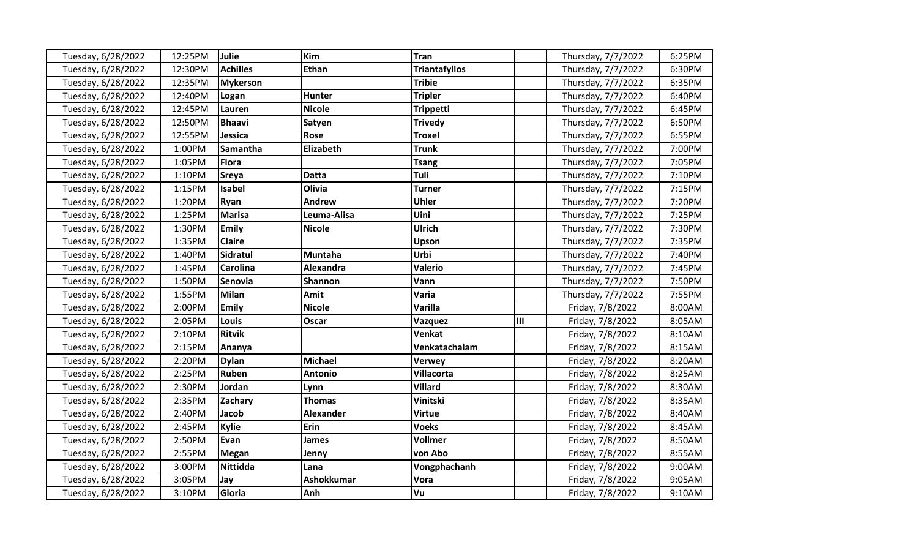| Tuesday, 6/28/2022 | 12:25PM | <b>Julie</b>    | Kim              | Tran                 |   | Thursday, 7/7/2022 | 6:25PM |
|--------------------|---------|-----------------|------------------|----------------------|---|--------------------|--------|
| Tuesday, 6/28/2022 | 12:30PM | <b>Achilles</b> | <b>Ethan</b>     | <b>Triantafyllos</b> |   | Thursday, 7/7/2022 | 6:30PM |
| Tuesday, 6/28/2022 | 12:35PM | <b>Mykerson</b> |                  | <b>Tribie</b>        |   | Thursday, 7/7/2022 | 6:35PM |
| Tuesday, 6/28/2022 | 12:40PM | Logan           | Hunter           | <b>Tripler</b>       |   | Thursday, 7/7/2022 | 6:40PM |
| Tuesday, 6/28/2022 | 12:45PM | Lauren          | <b>Nicole</b>    | <b>Trippetti</b>     |   | Thursday, 7/7/2022 | 6:45PM |
| Tuesday, 6/28/2022 | 12:50PM | <b>Bhaavi</b>   | Satyen           | <b>Trivedy</b>       |   | Thursday, 7/7/2022 | 6:50PM |
| Tuesday, 6/28/2022 | 12:55PM | Jessica         | Rose             | <b>Troxel</b>        |   | Thursday, 7/7/2022 | 6:55PM |
| Tuesday, 6/28/2022 | 1:00PM  | Samantha        | Elizabeth        | <b>Trunk</b>         |   | Thursday, 7/7/2022 | 7:00PM |
| Tuesday, 6/28/2022 | 1:05PM  | Flora           |                  | <b>Tsang</b>         |   | Thursday, 7/7/2022 | 7:05PM |
| Tuesday, 6/28/2022 | 1:10PM  | <b>Sreya</b>    | <b>Datta</b>     | Tuli                 |   | Thursday, 7/7/2022 | 7:10PM |
| Tuesday, 6/28/2022 | 1:15PM  | Isabel          | Olivia           | <b>Turner</b>        |   | Thursday, 7/7/2022 | 7:15PM |
| Tuesday, 6/28/2022 | 1:20PM  | Ryan            | Andrew           | <b>Uhler</b>         |   | Thursday, 7/7/2022 | 7:20PM |
| Tuesday, 6/28/2022 | 1:25PM  | <b>Marisa</b>   | Leuma-Alisa      | Uini                 |   | Thursday, 7/7/2022 | 7:25PM |
| Tuesday, 6/28/2022 | 1:30PM  | <b>Emily</b>    | <b>Nicole</b>    | <b>Ulrich</b>        |   | Thursday, 7/7/2022 | 7:30PM |
| Tuesday, 6/28/2022 | 1:35PM  | <b>Claire</b>   |                  | Upson                |   | Thursday, 7/7/2022 | 7:35PM |
| Tuesday, 6/28/2022 | 1:40PM  | <b>Sidratul</b> | Muntaha          | Urbi                 |   | Thursday, 7/7/2022 | 7:40PM |
| Tuesday, 6/28/2022 | 1:45PM  | <b>Carolina</b> | Alexandra        | <b>Valerio</b>       |   | Thursday, 7/7/2022 | 7:45PM |
| Tuesday, 6/28/2022 | 1:50PM  | Senovia         | Shannon          | Vann                 |   | Thursday, 7/7/2022 | 7:50PM |
| Tuesday, 6/28/2022 | 1:55PM  | <b>Milan</b>    | Amit             | Varia                |   | Thursday, 7/7/2022 | 7:55PM |
| Tuesday, 6/28/2022 | 2:00PM  | <b>Emily</b>    | <b>Nicole</b>    | <b>Varilla</b>       |   | Friday, 7/8/2022   | 8:00AM |
| Tuesday, 6/28/2022 | 2:05PM  | Louis           | Oscar            | Vazquez              | Ш | Friday, 7/8/2022   | 8:05AM |
| Tuesday, 6/28/2022 | 2:10PM  | <b>Ritvik</b>   |                  | Venkat               |   | Friday, 7/8/2022   | 8:10AM |
| Tuesday, 6/28/2022 | 2:15PM  | Ananya          |                  | Venkatachalam        |   | Friday, 7/8/2022   | 8:15AM |
| Tuesday, 6/28/2022 | 2:20PM  | <b>Dylan</b>    | <b>Michael</b>   | <b>Verwey</b>        |   | Friday, 7/8/2022   | 8:20AM |
| Tuesday, 6/28/2022 | 2:25PM  | Ruben           | Antonio          | <b>Villacorta</b>    |   | Friday, 7/8/2022   | 8:25AM |
| Tuesday, 6/28/2022 | 2:30PM  | Jordan          | Lynn             | <b>Villard</b>       |   | Friday, 7/8/2022   | 8:30AM |
| Tuesday, 6/28/2022 | 2:35PM  | Zachary         | <b>Thomas</b>    | Vinitski             |   | Friday, 7/8/2022   | 8:35AM |
| Tuesday, 6/28/2022 | 2:40PM  | Jacob           | <b>Alexander</b> | <b>Virtue</b>        |   | Friday, 7/8/2022   | 8:40AM |
| Tuesday, 6/28/2022 | 2:45PM  | <b>Kylie</b>    | <b>Erin</b>      | <b>Voeks</b>         |   | Friday, 7/8/2022   | 8:45AM |
| Tuesday, 6/28/2022 | 2:50PM  | Evan            | <b>James</b>     | <b>Vollmer</b>       |   | Friday, 7/8/2022   | 8:50AM |
| Tuesday, 6/28/2022 | 2:55PM  | Megan           | Jenny            | von Abo              |   | Friday, 7/8/2022   | 8:55AM |
| Tuesday, 6/28/2022 | 3:00PM  | <b>Nittidda</b> | Lana             | Vongphachanh         |   | Friday, 7/8/2022   | 9:00AM |
| Tuesday, 6/28/2022 | 3:05PM  | Jay             | Ashokkumar       | Vora                 |   | Friday, 7/8/2022   | 9:05AM |
| Tuesday, 6/28/2022 | 3:10PM  | Gloria          | Anh              | Vu                   |   | Friday, 7/8/2022   | 9:10AM |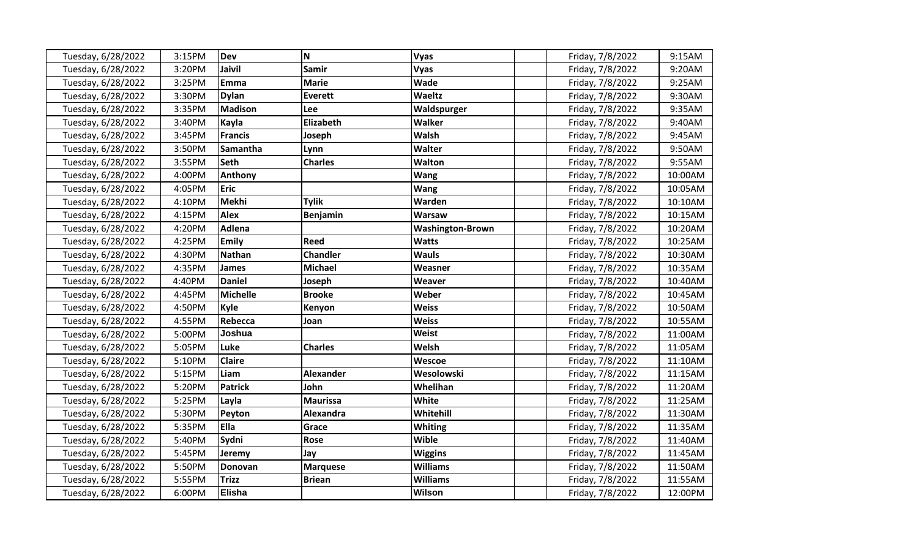| Tuesday, 6/28/2022 | 3:15PM | <b>Dev</b>      | N                | <b>Vyas</b>             | Friday, 7/8/2022 | 9:15AM  |
|--------------------|--------|-----------------|------------------|-------------------------|------------------|---------|
| Tuesday, 6/28/2022 | 3:20PM | Jaivil          | <b>Samir</b>     | Vyas                    | Friday, 7/8/2022 | 9:20AM  |
| Tuesday, 6/28/2022 | 3:25PM | <b>Emma</b>     | <b>Marie</b>     | Wade                    | Friday, 7/8/2022 | 9:25AM  |
| Tuesday, 6/28/2022 | 3:30PM | <b>Dylan</b>    | <b>Everett</b>   | Waeltz                  | Friday, 7/8/2022 | 9:30AM  |
| Tuesday, 6/28/2022 | 3:35PM | <b>Madison</b>  | Lee              | Waldspurger             | Friday, 7/8/2022 | 9:35AM  |
| Tuesday, 6/28/2022 | 3:40PM | Kayla           | <b>Elizabeth</b> | <b>Walker</b>           | Friday, 7/8/2022 | 9:40AM  |
| Tuesday, 6/28/2022 | 3:45PM | <b>Francis</b>  | Joseph           | <b>Walsh</b>            | Friday, 7/8/2022 | 9:45AM  |
| Tuesday, 6/28/2022 | 3:50PM | <b>Samantha</b> | Lynn             | Walter                  | Friday, 7/8/2022 | 9:50AM  |
| Tuesday, 6/28/2022 | 3:55PM | <b>Seth</b>     | <b>Charles</b>   | Walton                  | Friday, 7/8/2022 | 9:55AM  |
| Tuesday, 6/28/2022 | 4:00PM | Anthony         |                  | <b>Wang</b>             | Friday, 7/8/2022 | 10:00AM |
| Tuesday, 6/28/2022 | 4:05PM | <b>Eric</b>     |                  | <b>Wang</b>             | Friday, 7/8/2022 | 10:05AM |
| Tuesday, 6/28/2022 | 4:10PM | <b>Mekhi</b>    | <b>Tylik</b>     | Warden                  | Friday, 7/8/2022 | 10:10AM |
| Tuesday, 6/28/2022 | 4:15PM | <b>Alex</b>     | <b>Benjamin</b>  | <b>Warsaw</b>           | Friday, 7/8/2022 | 10:15AM |
| Tuesday, 6/28/2022 | 4:20PM | <b>Adlena</b>   |                  | <b>Washington-Brown</b> | Friday, 7/8/2022 | 10:20AM |
| Tuesday, 6/28/2022 | 4:25PM | <b>Emily</b>    | <b>Reed</b>      | <b>Watts</b>            | Friday, 7/8/2022 | 10:25AM |
| Tuesday, 6/28/2022 | 4:30PM | <b>Nathan</b>   | <b>Chandler</b>  | <b>Wauls</b>            | Friday, 7/8/2022 | 10:30AM |
| Tuesday, 6/28/2022 | 4:35PM | <b>James</b>    | <b>Michael</b>   | Weasner                 | Friday, 7/8/2022 | 10:35AM |
| Tuesday, 6/28/2022 | 4:40PM | <b>Daniel</b>   | Joseph           | Weaver                  | Friday, 7/8/2022 | 10:40AM |
| Tuesday, 6/28/2022 | 4:45PM | <b>Michelle</b> | <b>Brooke</b>    | Weber                   | Friday, 7/8/2022 | 10:45AM |
| Tuesday, 6/28/2022 | 4:50PM | Kyle            | Kenyon           | <b>Weiss</b>            | Friday, 7/8/2022 | 10:50AM |
| Tuesday, 6/28/2022 | 4:55PM | Rebecca         | Joan             | <b>Weiss</b>            | Friday, 7/8/2022 | 10:55AM |
| Tuesday, 6/28/2022 | 5:00PM | Joshua          |                  | <b>Weist</b>            | Friday, 7/8/2022 | 11:00AM |
| Tuesday, 6/28/2022 | 5:05PM | Luke            | <b>Charles</b>   | Welsh                   | Friday, 7/8/2022 | 11:05AM |
| Tuesday, 6/28/2022 | 5:10PM | <b>Claire</b>   |                  | Wescoe                  | Friday, 7/8/2022 | 11:10AM |
| Tuesday, 6/28/2022 | 5:15PM | Liam            | <b>Alexander</b> | Wesolowski              | Friday, 7/8/2022 | 11:15AM |
| Tuesday, 6/28/2022 | 5:20PM | <b>Patrick</b>  | John             | Whelihan                | Friday, 7/8/2022 | 11:20AM |
| Tuesday, 6/28/2022 | 5:25PM | Layla           | <b>Maurissa</b>  | White                   | Friday, 7/8/2022 | 11:25AM |
| Tuesday, 6/28/2022 | 5:30PM | Peyton          | Alexandra        | Whitehill               | Friday, 7/8/2022 | 11:30AM |
| Tuesday, 6/28/2022 | 5:35PM | Ella            | Grace            | Whiting                 | Friday, 7/8/2022 | 11:35AM |
| Tuesday, 6/28/2022 | 5:40PM | Sydni           | <b>Rose</b>      | Wible                   | Friday, 7/8/2022 | 11:40AM |
| Tuesday, 6/28/2022 | 5:45PM | Jeremy          | Jay              | <b>Wiggins</b>          | Friday, 7/8/2022 | 11:45AM |
| Tuesday, 6/28/2022 | 5:50PM | Donovan         | <b>Marquese</b>  | <b>Williams</b>         | Friday, 7/8/2022 | 11:50AM |
| Tuesday, 6/28/2022 | 5:55PM | <b>Trizz</b>    | <b>Briean</b>    | <b>Williams</b>         | Friday, 7/8/2022 | 11:55AM |
| Tuesday, 6/28/2022 | 6:00PM | <b>Elisha</b>   |                  | Wilson                  | Friday, 7/8/2022 | 12:00PM |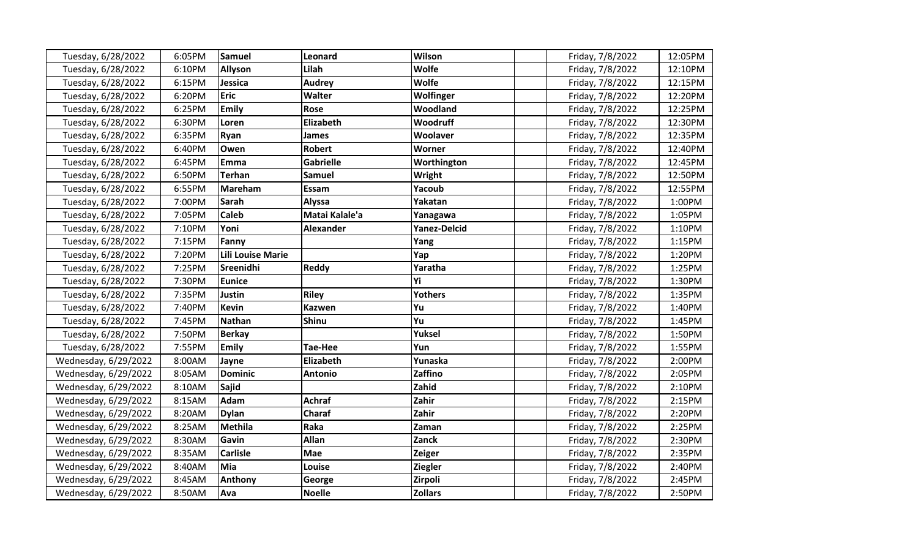| Tuesday, 6/28/2022   | 6:05PM | <b>Samuel</b>            | Leonard          | Wilson              | Friday, 7/8/2022 | 12:05PM |
|----------------------|--------|--------------------------|------------------|---------------------|------------------|---------|
| Tuesday, 6/28/2022   | 6:10PM | <b>Allyson</b>           | Lilah            | <b>Wolfe</b>        | Friday, 7/8/2022 | 12:10PM |
| Tuesday, 6/28/2022   | 6:15PM | Jessica                  | <b>Audrey</b>    | <b>Wolfe</b>        | Friday, 7/8/2022 | 12:15PM |
| Tuesday, 6/28/2022   | 6:20PM | Eric                     | Walter           | Wolfinger           | Friday, 7/8/2022 | 12:20PM |
| Tuesday, 6/28/2022   | 6:25PM | Emily                    | <b>Rose</b>      | Woodland            | Friday, 7/8/2022 | 12:25PM |
| Tuesday, 6/28/2022   | 6:30PM | Loren                    | Elizabeth        | Woodruff            | Friday, 7/8/2022 | 12:30PM |
| Tuesday, 6/28/2022   | 6:35PM | Ryan                     | <b>James</b>     | Woolaver            | Friday, 7/8/2022 | 12:35PM |
| Tuesday, 6/28/2022   | 6:40PM | Owen                     | <b>Robert</b>    | Worner              | Friday, 7/8/2022 | 12:40PM |
| Tuesday, 6/28/2022   | 6:45PM | Emma                     | <b>Gabrielle</b> | Worthington         | Friday, 7/8/2022 | 12:45PM |
| Tuesday, 6/28/2022   | 6:50PM | <b>Terhan</b>            | <b>Samuel</b>    | Wright              | Friday, 7/8/2022 | 12:50PM |
| Tuesday, 6/28/2022   | 6:55PM | <b>Mareham</b>           | Essam            | Yacoub              | Friday, 7/8/2022 | 12:55PM |
| Tuesday, 6/28/2022   | 7:00PM | Sarah                    | Alyssa           | Yakatan             | Friday, 7/8/2022 | 1:00PM  |
| Tuesday, 6/28/2022   | 7:05PM | <b>Caleb</b>             | Matai Kalale'a   | Yanagawa            | Friday, 7/8/2022 | 1:05PM  |
| Tuesday, 6/28/2022   | 7:10PM | Yoni                     | <b>Alexander</b> | <b>Yanez-Delcid</b> | Friday, 7/8/2022 | 1:10PM  |
| Tuesday, 6/28/2022   | 7:15PM | Fanny                    |                  | Yang                | Friday, 7/8/2022 | 1:15PM  |
| Tuesday, 6/28/2022   | 7:20PM | <b>Lili Louise Marie</b> |                  | Yap                 | Friday, 7/8/2022 | 1:20PM  |
| Tuesday, 6/28/2022   | 7:25PM | Sreenidhi                | <b>Reddy</b>     | Yaratha             | Friday, 7/8/2022 | 1:25PM  |
| Tuesday, 6/28/2022   | 7:30PM | <b>Eunice</b>            |                  | Υi                  | Friday, 7/8/2022 | 1:30PM  |
| Tuesday, 6/28/2022   | 7:35PM | Justin                   | <b>Riley</b>     | <b>Yothers</b>      | Friday, 7/8/2022 | 1:35PM  |
| Tuesday, 6/28/2022   | 7:40PM | <b>Kevin</b>             | <b>Kazwen</b>    | Yu                  | Friday, 7/8/2022 | 1:40PM  |
| Tuesday, 6/28/2022   | 7:45PM | <b>Nathan</b>            | <b>Shinu</b>     | Yu                  | Friday, 7/8/2022 | 1:45PM  |
| Tuesday, 6/28/2022   | 7:50PM | <b>Berkay</b>            |                  | Yuksel              | Friday, 7/8/2022 | 1:50PM  |
| Tuesday, 6/28/2022   | 7:55PM | <b>Emily</b>             | <b>Tae-Hee</b>   | Yun                 | Friday, 7/8/2022 | 1:55PM  |
| Wednesday, 6/29/2022 | 8:00AM | Jayne                    | Elizabeth        | Yunaska             | Friday, 7/8/2022 | 2:00PM  |
| Wednesday, 6/29/2022 | 8:05AM | <b>Dominic</b>           | <b>Antonio</b>   | Zaffino             | Friday, 7/8/2022 | 2:05PM  |
| Wednesday, 6/29/2022 | 8:10AM | <b>Sajid</b>             |                  | Zahid               | Friday, 7/8/2022 | 2:10PM  |
| Wednesday, 6/29/2022 | 8:15AM | Adam                     | <b>Achraf</b>    | Zahir               | Friday, 7/8/2022 | 2:15PM  |
| Wednesday, 6/29/2022 | 8:20AM | <b>Dylan</b>             | Charaf           | Zahir               | Friday, 7/8/2022 | 2:20PM  |
| Wednesday, 6/29/2022 | 8:25AM | <b>Methila</b>           | Raka             | Zaman               | Friday, 7/8/2022 | 2:25PM  |
| Wednesday, 6/29/2022 | 8:30AM | Gavin                    | Allan            | Zanck               | Friday, 7/8/2022 | 2:30PM  |
| Wednesday, 6/29/2022 | 8:35AM | <b>Carlisle</b>          | Mae              | <b>Zeiger</b>       | Friday, 7/8/2022 | 2:35PM  |
| Wednesday, 6/29/2022 | 8:40AM | Mia                      | Louise           | <b>Ziegler</b>      | Friday, 7/8/2022 | 2:40PM  |
| Wednesday, 6/29/2022 | 8:45AM | Anthony                  | George           | Zirpoli             | Friday, 7/8/2022 | 2:45PM  |
| Wednesday, 6/29/2022 | 8:50AM | Ava                      | <b>Noelle</b>    | <b>Zollars</b>      | Friday, 7/8/2022 | 2:50PM  |